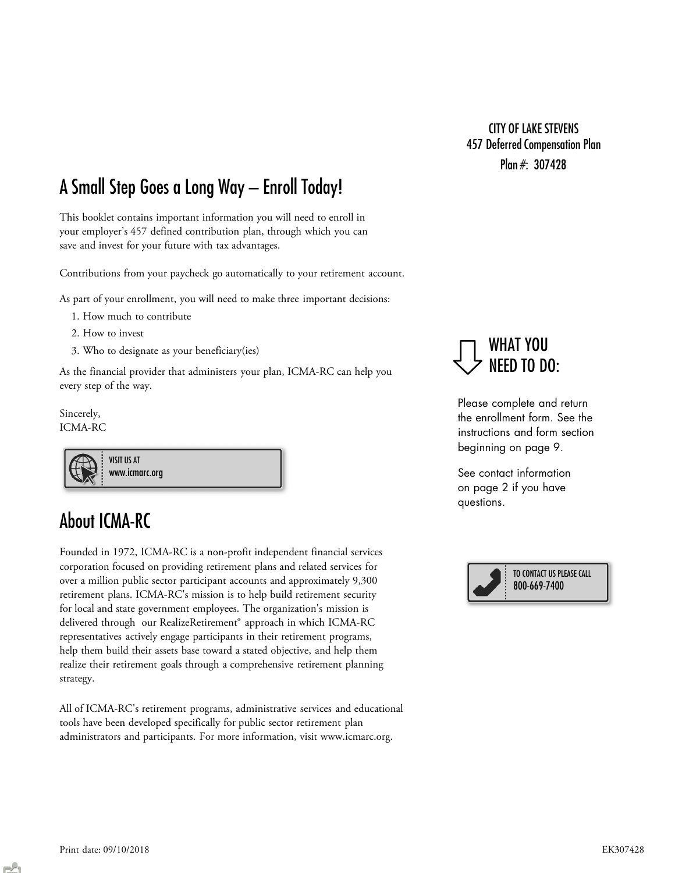Plan #: 307428 CITY OF LAKE STEVENS 457 Deferred Compensation Plan

## A Small Step Goes a Long Way – Enroll Today!

This booklet contains important information you will need to enroll in your employer's 457 defined contribution plan, through which you can save and invest for your future with tax advantages.

Contributions from your paycheck go automatically to your retirement account.

As part of your enrollment, you will need to make three important decisions:

- 1. How much to contribute
- 2. How to invest
- 3. Who to designate as your beneficiary(ies)

As the financial provider that administers your plan, ICMA-RC can help you every step of the way.

Sincerely, ICMA-RC

VISIT US AT www.icmarc.org

## About ICMA-RC

Founded in 1972, ICMA-RC is a non-profit independent financial services corporation focused on providing retirement plans and related services for over a million public sector participant accounts and approximately 9,300 retirement plans. ICMA-RC's mission is to help build retirement security for local and state government employees. The organization's mission is delivered through our RealizeRetirement® approach in which ICMA-RC representatives actively engage participants in their retirement programs, help them build their assets base toward a stated objective, and help them realize their retirement goals through a comprehensive retirement planning strategy.

All of ICMA-RC's retirement programs, administrative services and educational tools have been developed specifically for public sector retirement plan administrators and participants. For more information, visit www.icmarc.org.



Please complete and return the enrollment form. See the instructions and form section beginning on page 9.

See contact information on page 2 if you have questions.

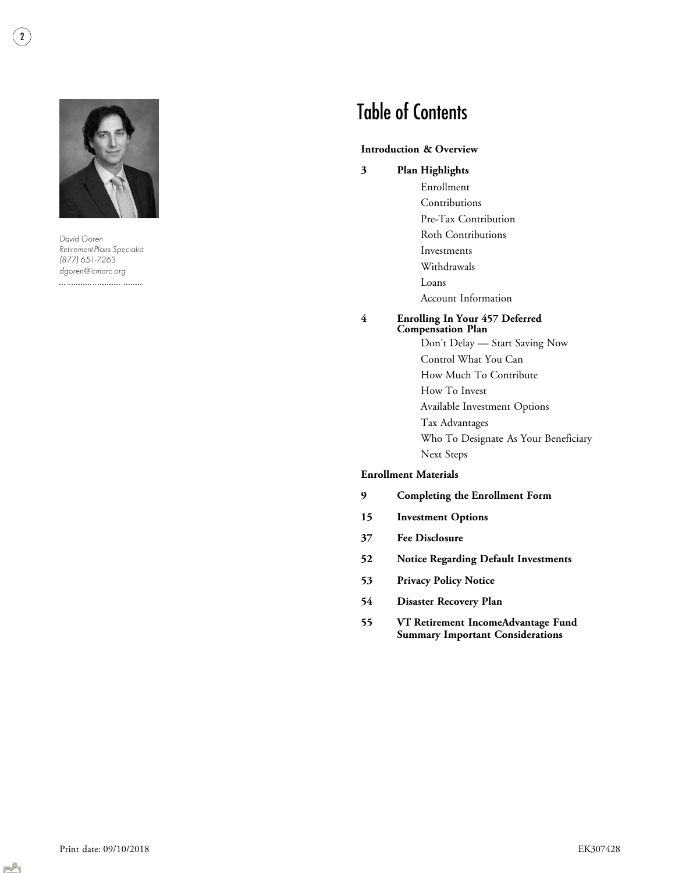

David Goren Retirement Plans Specialist (877) 651-7263 dgoren@icmarc.org 

# Table of Contents

#### Introduction & Overview

- Plan Highlights 3
	- Enrollment Contributions Pre-Tax Contribution Roth Contributions Investments Withdrawals Loans Account Information

#### Enrolling In Your 457 Deferred Compensation Plan 4

Don't Delay — Start Saving Now Control What You Can How Much To Contribute How To Invest Available Investment Options Tax Advantages Who To Designate As Your Beneficiary Next Steps

#### Enrollment Materials

- Completing the Enrollment Form 9
- Investment Options 15
- Fee Disclosure 37
- Notice Regarding Default Investments 52
- Privacy Policy Notice 53
- Disaster Recovery Plan 54
- VT Retirement IncomeAdvantage Fund Summary Important Considerations 55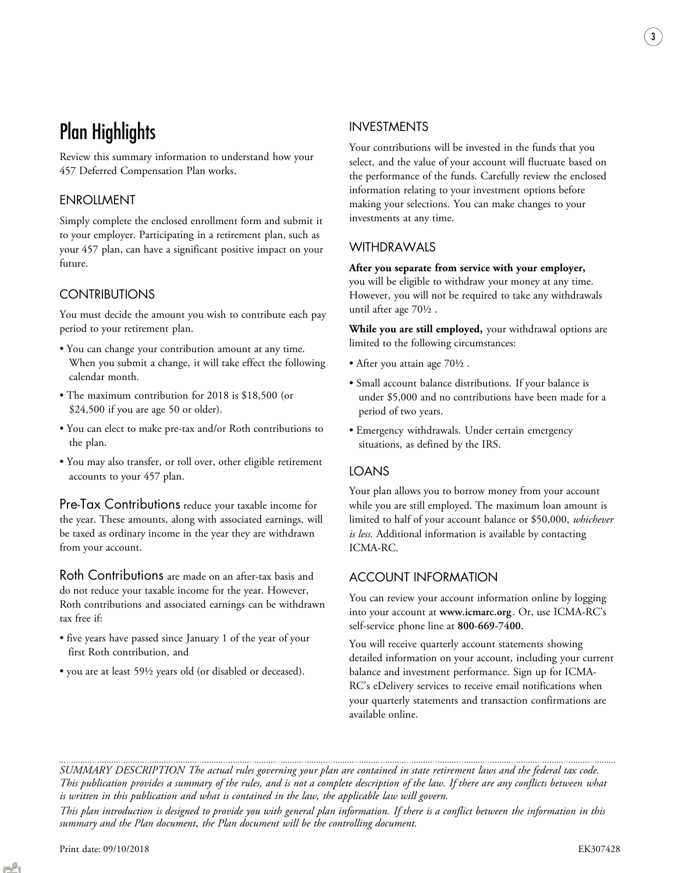# Plan Highlights

Review this summary information to understand how your 457 Deferred Compensation Plan works.

### ENROLLMENT

Simply complete the enclosed enrollment form and submit it to your employer. Participating in a retirement plan, such as your 457 plan, can have a significant positive impact on your future.

### **CONTRIBUTIONS**

You must decide the amount you wish to contribute each pay period to your retirement plan.

- You can change your contribution amount at any time. When you submit a change, it will take effect the following calendar month.
- The maximum contribution for 2018 is \$18,500 (or \$24,500 if you are age 50 or older).
- You can elect to make pre-tax and/or Roth contributions to the plan.
- You may also transfer, or roll over, other eligible retirement accounts to your 457 plan.

Pre-Tax Contributions reduce your taxable income for the year. These amounts, along with associated earnings, will be taxed as ordinary income in the year they are withdrawn from your account.

Roth Contributions are made on an after-tax basis and do not reduce your taxable income for the year. However, Roth contributions and associated earnings can be withdrawn tax free if:

- five years have passed since January 1 of the year of your first Roth contribution, and
- you are at least 59½ years old (or disabled or deceased).

### INVESTMENTS

Your contributions will be invested in the funds that you select, and the value of your account will fluctuate based on the performance of the funds. Carefully review the enclosed information relating to your investment options before making your selections. You can make changes to your investments at any time.

3

### WITHDRAWALS

#### After you separate from service with your employer,

you will be eligible to withdraw your money at any time. However, you will not be required to take any withdrawals until after age 70½ .

While you are still employed, your withdrawal options are limited to the following circumstances:

- After you attain age 70½ .
- Small account balance distributions. If your balance is under \$5,000 and no contributions have been made for a period of two years.
- Emergency withdrawals. Under certain emergency situations, as defined by the IRS.

### LOANS

Your plan allows you to borrow money from your account while you are still employed. The maximum loan amount is limited to half of your account balance or \$50,000, whichever is less. Additional information is available by contacting ICMA-RC.

### ACCOUNT INFORMATION

You can review your account information online by logging into your account at www.icmarc.org . Or, use ICMA-RC's self-service phone line at 800-669-7400.

You will receive quarterly account statements showing detailed information on your account, including your current balance and investment performance. Sign up for ICMA-RC's eDelivery services to receive email notifications when your quarterly statements and transaction confirmations are available online.

SUMMARY DESCRIPTION The actual rules governing your plan are contained in state retirement laws and the federal tax code. This publication provides a summary of the rules, and is not a complete description of the law. If there are any conflicts between what is written in this publication and what is contained in the law, the applicable law will govern.

This plan introduction is designed to provide you with general plan information. If there is a conflict between the information in this summary and the Plan document, the Plan document will be the controlling document.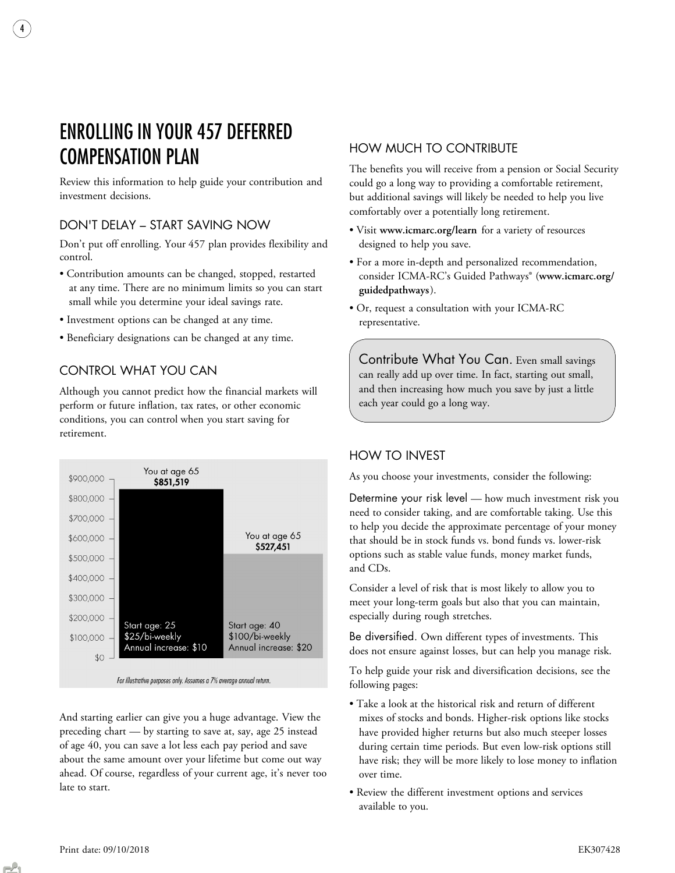# ENROLLING IN YOUR 457 DEFERRED COMPENSATION PLAN

4

Review this information to help guide your contribution and investment decisions.

### DON'T DELAY – START SAVING NOW

Don't put off enrolling. Your 457 plan provides flexibility and control.

- Contribution amounts can be changed, stopped, restarted at any time. There are no minimum limits so you can start small while you determine your ideal savings rate.
- Investment options can be changed at any time.
- Beneficiary designations can be changed at any time.

### CONTROL WHAT YOU CAN

Although you cannot predict how the financial markets will perform or future inflation, tax rates, or other economic conditions, you can control when you start saving for retirement.



For illustrative purposes only. Assumes a 7% average annual return.

And starting earlier can give you a huge advantage. View the preceding chart — by starting to save at, say, age 25 instead of age 40, you can save a lot less each pay period and save about the same amount over your lifetime but come out way ahead. Of course, regardless of your current age, it's never too late to start.

### HOW MUCH TO CONTRIBUTE

The benefits you will receive from a pension or Social Security could go a long way to providing a comfortable retirement, but additional savings will likely be needed to help you live comfortably over a potentially long retirement.

- Visit www.icmarc.org/learn for a variety of resources designed to help you save.
- For a more in-depth and personalized recommendation, consider ICMA-RC's Guided Pathways® (www.icmarc.org/ guidedpathways).
- Or, request a consultation with your ICMA-RC representative.

Contribute What You Can. Even small savings can really add up over time. In fact, starting out small, and then increasing how much you save by just a little each year could go a long way.

### HOW TO INVEST

As you choose your investments, consider the following:

Determine your risk level — how much investment risk you need to consider taking, and are comfortable taking. Use this to help you decide the approximate percentage of your money that should be in stock funds vs. bond funds vs. lower-risk options such as stable value funds, money market funds, and CDs.

Consider a level of risk that is most likely to allow you to meet your long-term goals but also that you can maintain, especially during rough stretches.

Be diversified. Own different types of investments. This does not ensure against losses, but can help you manage risk.

To help guide your risk and diversification decisions, see the following pages:

- Take a look at the historical risk and return of different mixes of stocks and bonds. Higher-risk options like stocks have provided higher returns but also much steeper losses during certain time periods. But even low-risk options still have risk; they will be more likely to lose money to inflation over time.
- Review the different investment options and services available to you.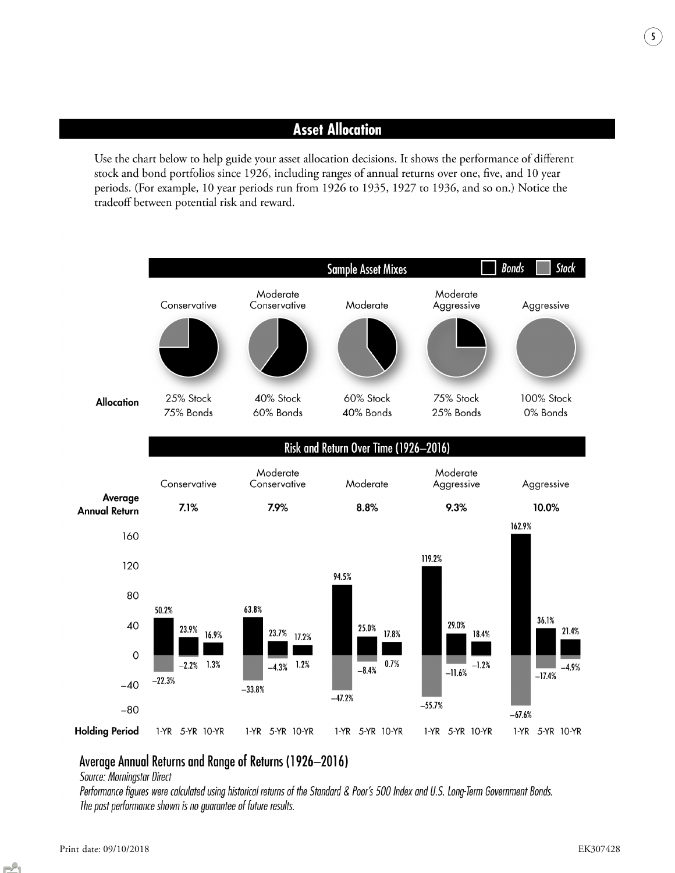## **Asset Allocation**

Use the chart below to help guide your asset allocation decisions. It shows the performance of different stock and bond portfolios since 1926, including ranges of annual returns over one, five, and 10 year periods. (For example, 10 year periods run from 1926 to 1935, 1927 to 1936, and so on.) Notice the tradeoff between potential risk and reward.



### Average Annual Returns and Range of Returns (1926-2016)

Source: Morningstar Direct

Performance figures were calculated using historical returns of the Standard & Poor's 500 Index and U.S. Long-Term Government Bonds. The past performance shown is no guarantee of future results.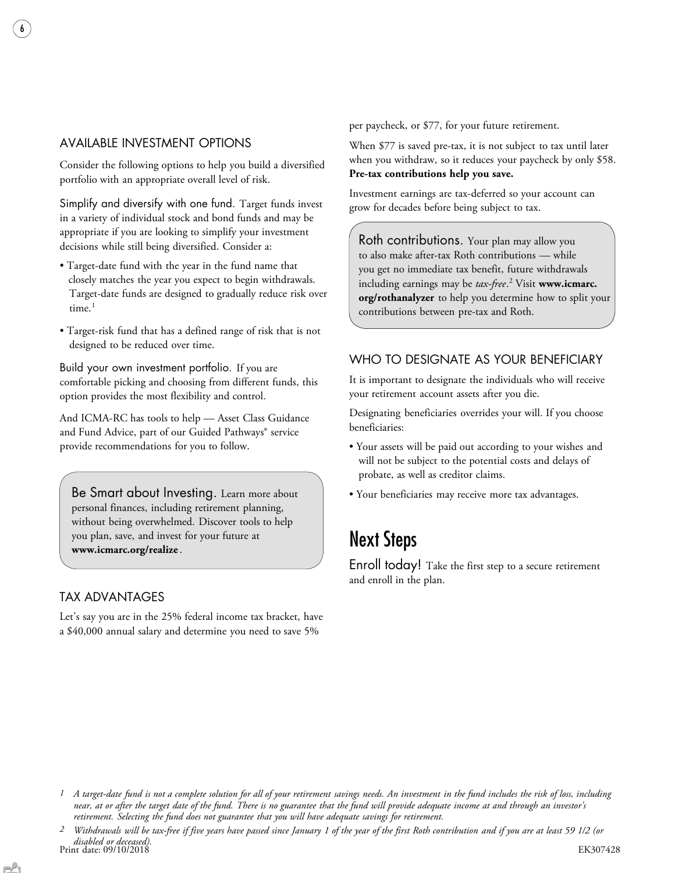### AVAILABLE INVESTMENT OPTIONS

6

Consider the following options to help you build a diversified portfolio with an appropriate overall level of risk.

Simplify and diversify with one fund. Target funds invest in a variety of individual stock and bond funds and may be appropriate if you are looking to simplify your investment decisions while still being diversified. Consider a:

- Target-date fund with the year in the fund name that closely matches the year you expect to begin withdrawals. Target-date funds are designed to gradually reduce risk over time. $<sup>1</sup>$ </sup>
- Target-risk fund that has a defined range of risk that is not designed to be reduced over time.

Build your own investment portfolio. If you are comfortable picking and choosing from different funds, this option provides the most flexibility and control.

And ICMA-RC has tools to help — Asset Class Guidance and Fund Advice, part of our Guided Pathways® service provide recommendations for you to follow.

Be Smart about Investing. Learn more about personal finances, including retirement planning, without being overwhelmed. Discover tools to help you plan, save, and invest for your future at www.icmarc.org/realize .

### TAX ADVANTAGES

Let's say you are in the 25% federal income tax bracket, have a \$40,000 annual salary and determine you need to save 5%

per paycheck, or \$77, for your future retirement.

When \$77 is saved pre-tax, it is not subject to tax until later when you withdraw, so it reduces your paycheck by only \$58. Pre-tax contributions help you save.

Investment earnings are tax-deferred so your account can grow for decades before being subject to tax.

Roth contributions. Your plan may allow you to also make after-tax Roth contributions — while you get no immediate tax benefit, future withdrawals including earnings may be *tax-free*. <sup>2</sup> Visit www.icmarc. org/rothanalyzer to help you determine how to split your contributions between pre-tax and Roth.

### WHO TO DESIGNATE AS YOUR BENEFICIARY

It is important to designate the individuals who will receive your retirement account assets after you die.

Designating beneficiaries overrides your will. If you choose beneficiaries:

- Your assets will be paid out according to your wishes and will not be subject to the potential costs and delays of probate, as well as creditor claims.
- Your beneficiaries may receive more tax advantages.

## Next Steps

Enroll today! Take the first step to a secure retirement and enroll in the plan.

<sup>1</sup> A target-date fund is not a complete solution for all of your retirement savings needs. An investment in the fund includes the risk of loss, including near, at or after the target date of the fund. There is no guarantee that the fund will provide adequate income at and through an investor's retirement. Selecting the fund does not guarantee that you will have adequate savings for retirement.

Print date: 09/10/2018 EK307428 disabled or deceased). 2 Withdrawals will be tax-free if five years have passed since January 1 of the year of the first Roth contribution and if you are at least 59 1/2 (or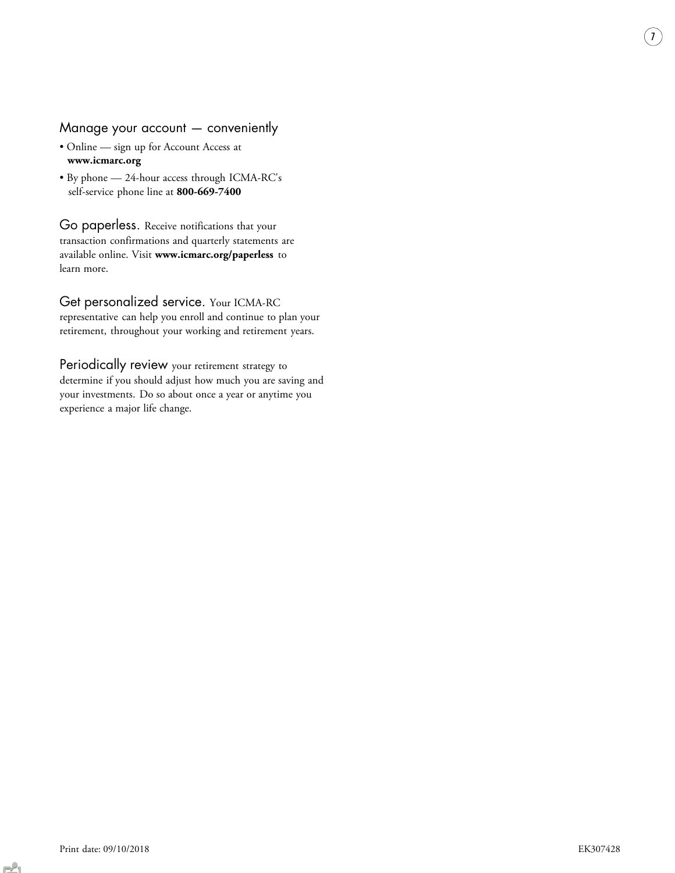### Manage your account — conveniently

- Online sign up for Account Access at www.icmarc.org
- By phone 24-hour access through ICMA-RC's self-service phone line at 800-669-7400

Go paperless. Receive notifications that your transaction confirmations and quarterly statements are available online. Visit www.icmarc.org/paperless to learn more.

Get personalized service. Your ICMA-RC representative can help you enroll and continue to plan your retirement, throughout your working and retirement years.

Periodically review your retirement strategy to determine if you should adjust how much you are saving and your investments. Do so about once a year or anytime you experience a major life change.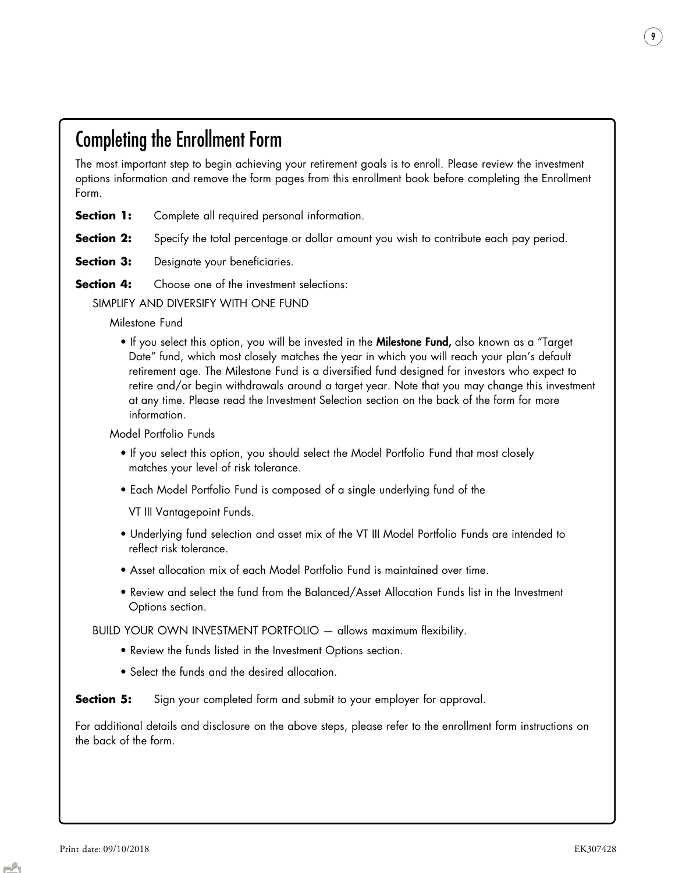## Completing the Enrollment Form

The most important step to begin achieving your retirement goals is to enroll. Please review the investment options information and remove the form pages from this enrollment book before completing the Enrollment Form.

- **Section 1:** Complete all required personal information.
- **Section 2:** Specify the total percentage or dollar amount you wish to contribute each pay period.
- **Section 3:** Designate your beneficiaries.
- **Section 4:** Choose one of the investment selections:

SIMPLIFY AND DIVERSIFY WITH ONE FUND

Milestone Fund

• If you select this option, you will be invested in the Milestone Fund, also known as a "Target Date" fund, which most closely matches the year in which you will reach your plan's default retirement age. The Milestone Fund is a diversified fund designed for investors who expect to retire and/or begin withdrawals around a target year. Note that you may change this investment at any time. Please read the Investment Selection section on the back of the form for more information.

Model Portfolio Funds

- If you select this option, you should select the Model Portfolio Fund that most closely matches your level of risk tolerance.
- Each Model Portfolio Fund is composed of a single underlying fund of the

VT III Vantagepoint Funds.

- Underlying fund selection and asset mix of the VT III Model Portfolio Funds are intended to reflect risk tolerance.
- Asset allocation mix of each Model Portfolio Fund is maintained over time.
- Review and select the fund from the Balanced/Asset Allocation Funds list in the Investment Options section.

BUILD YOUR OWN INVESTMENT PORTFOLIO — allows maximum flexibility.

- Review the funds listed in the Investment Options section.
- Select the funds and the desired allocation.

**Section 5:** Sign your completed form and submit to your employer for approval.

For additional details and disclosure on the above steps, please refer to the enrollment form instructions on the back of the form.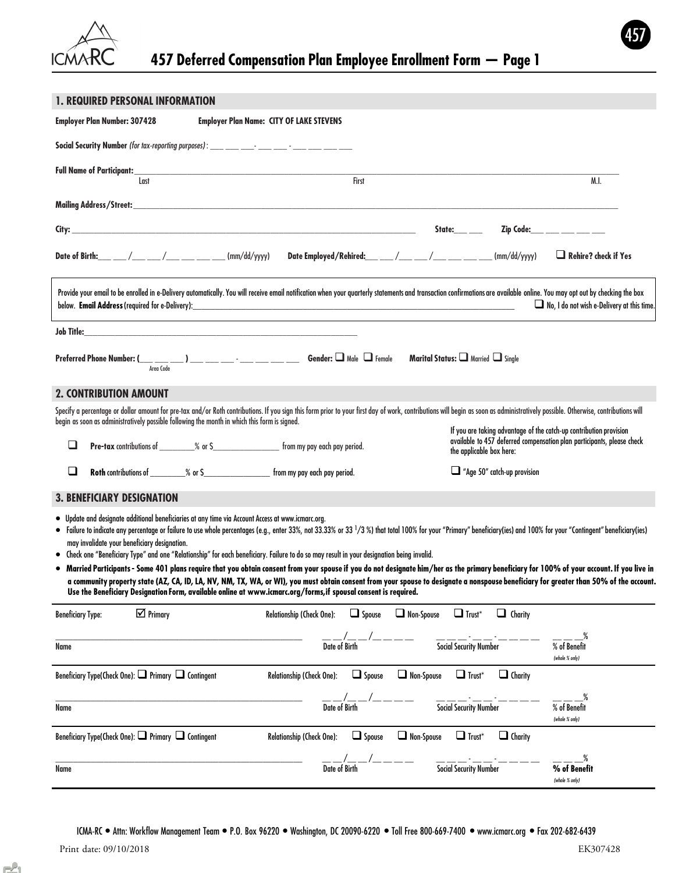

### 1. REQUIRED PERSONAL INFORMATION

| <b>Employer Plan Number: 307428</b>                                                                                                                                                                                                                                                                                                                                                                                                                                                                                                                                                                                                                                                                                                                                                                                                                                                                                                                                                                                                    | <b>Employer Plan Name: CITY OF LAKE STEVENS</b>     |                                                                                                                                                                          |                                            |
|----------------------------------------------------------------------------------------------------------------------------------------------------------------------------------------------------------------------------------------------------------------------------------------------------------------------------------------------------------------------------------------------------------------------------------------------------------------------------------------------------------------------------------------------------------------------------------------------------------------------------------------------------------------------------------------------------------------------------------------------------------------------------------------------------------------------------------------------------------------------------------------------------------------------------------------------------------------------------------------------------------------------------------------|-----------------------------------------------------|--------------------------------------------------------------------------------------------------------------------------------------------------------------------------|--------------------------------------------|
|                                                                                                                                                                                                                                                                                                                                                                                                                                                                                                                                                                                                                                                                                                                                                                                                                                                                                                                                                                                                                                        |                                                     |                                                                                                                                                                          |                                            |
| <b>Full Name of Participant:_</b><br>Last                                                                                                                                                                                                                                                                                                                                                                                                                                                                                                                                                                                                                                                                                                                                                                                                                                                                                                                                                                                              | First                                               |                                                                                                                                                                          | M.I.                                       |
|                                                                                                                                                                                                                                                                                                                                                                                                                                                                                                                                                                                                                                                                                                                                                                                                                                                                                                                                                                                                                                        |                                                     |                                                                                                                                                                          |                                            |
| the control of the control of the control of the control of the control of the control of the control of the control of the control of the control of the control of the control of the control of the control of the control<br>City: _                                                                                                                                                                                                                                                                                                                                                                                                                                                                                                                                                                                                                                                                                                                                                                                               |                                                     | State:___ __                                                                                                                                                             | Zip Code: ___ ___ __ __ __                 |
| Date of Birth: ___ __ /___ __ /___ __ __ __ (mm/dd/yyyy)                                                                                                                                                                                                                                                                                                                                                                                                                                                                                                                                                                                                                                                                                                                                                                                                                                                                                                                                                                               | Date Employed/Rehired:___ __/___ /___ /___ ___ /___ | (mm/dd/yyyy)                                                                                                                                                             | $\Box$ Rehire? check if Yes                |
| Provide your email to be enrolled in e-Delivery automatically. You will receive email notification when your quarterly statements and transaction confirmations are available online. You may opt out by checking the box                                                                                                                                                                                                                                                                                                                                                                                                                                                                                                                                                                                                                                                                                                                                                                                                              |                                                     |                                                                                                                                                                          | No, I do not wish e-Delivery at this time. |
| Job Title:<br><u> 1980 - Johann John Stone, markin biskup yn y brening yn y brening yn y brening y brening yn y brening yn y br</u>                                                                                                                                                                                                                                                                                                                                                                                                                                                                                                                                                                                                                                                                                                                                                                                                                                                                                                    |                                                     |                                                                                                                                                                          |                                            |
| $\textbf{Preferred Phone Number:} (\underbrace{\hspace{2.3cm}}_{\textit{Area Code}}) \textcolor{red}{\overbrace{\hspace{2.3cm}}_{\textit{Area Code}}}) \textcolor{red}{\overbrace{\hspace{2.3cm}}_{\textit{1}}\text{}}\textcolor{red}{\overbrace{\hspace{2.3cm}}_{\textit{2}}\text{}}\textcolor{red}{\overbrace{\hspace{2.3cm}}_{\textit{2}}\text{}}\textcolor{red}{\cdots}\textcolor{red}{\overbrace{\hspace{2.3cm}}_{\textit{2}}\text{Gender:}} \textcolor{red}{\fbox{1}} \textcolor{red}{\fbox{Mole}} \textcolor{red}{\fbox$                                                                                                                                                                                                                                                                                                                                                                                                                                                                                                        |                                                     |                                                                                                                                                                          |                                            |
| <b>2. CONTRIBUTION AMOUNT</b>                                                                                                                                                                                                                                                                                                                                                                                                                                                                                                                                                                                                                                                                                                                                                                                                                                                                                                                                                                                                          |                                                     |                                                                                                                                                                          |                                            |
| Specify a percentage or dollar amount for pre-tax and/or Roth contributions. If you sign this form prior to your first day of work, contributions will begin as soon as administratively possible. Otherwise, contributions wi<br>begin as soon as administratively possible following the month in which this form is signed.                                                                                                                                                                                                                                                                                                                                                                                                                                                                                                                                                                                                                                                                                                         |                                                     |                                                                                                                                                                          |                                            |
| Pre-tax contributions of _________% or \$_______________________ from my pay each pay period.<br>❏                                                                                                                                                                                                                                                                                                                                                                                                                                                                                                                                                                                                                                                                                                                                                                                                                                                                                                                                     |                                                     | If you are taking advantage of the catch-up contribution provision<br>available to 457 deferred compensation plan participants, please check<br>the applicable box here: |                                            |
| $\Box$                                                                                                                                                                                                                                                                                                                                                                                                                                                                                                                                                                                                                                                                                                                                                                                                                                                                                                                                                                                                                                 |                                                     | $\Box$ "Age 50" catch-up provision                                                                                                                                       |                                            |
| <b>3. BENEFICIARY DESIGNATION</b>                                                                                                                                                                                                                                                                                                                                                                                                                                                                                                                                                                                                                                                                                                                                                                                                                                                                                                                                                                                                      |                                                     |                                                                                                                                                                          |                                            |
| • Update and designate additional beneficiaries at any time via Account Access at www.icmarc.org.<br>• Failure to indicate any percentage or failure to use whole percentages (e.g., enter 33%, not 33.33% or 33 1/3 %) that total 100% for your "Primary" beneficiary(ies) and 100% for your "Contingent" beneficiary(ies)<br>may invalidate your beneficiary designation.<br>• Check one "Beneficiary Type" and one "Relationship" for each beneficiary. Failure to do so may result in your designation being invalid.<br>• Married Participants - Some 401 plans require that you obtain consent from your spouse if you do not designate him/her as the primary beneficiary for 100% of your account. If you live in<br>a community property state (AZ, CA, ID, LA, NV, NM, TX, WA, or WI), you must obtain consent from your spouse to designate a nonspouse beneficiary for greater than 50% of the account.<br>Use the Beneficiary Designation Form, available online at www.icmarc.org/forms, if spousal consent is required. |                                                     |                                                                                                                                                                          |                                            |
| $\triangledown$ Primary<br><b>Beneficiary Type:</b>                                                                                                                                                                                                                                                                                                                                                                                                                                                                                                                                                                                                                                                                                                                                                                                                                                                                                                                                                                                    | $\Box$ Spouse<br>Relationship (Check One):          | Non-Spouse<br>$\Box$ Trust*<br>$\Box$ Charity                                                                                                                            |                                            |
| Name                                                                                                                                                                                                                                                                                                                                                                                                                                                                                                                                                                                                                                                                                                                                                                                                                                                                                                                                                                                                                                   | Date of Birth                                       | Social Security Number                                                                                                                                                   | % of Benefit<br>(whole % only)             |
| Beneficiary Type(Check One): □ Primary □ Contingent                                                                                                                                                                                                                                                                                                                                                                                                                                                                                                                                                                                                                                                                                                                                                                                                                                                                                                                                                                                    | Relationship (Check One):<br>$\Box$ Spouse          | $\Box$ Charity<br>Non-Spouse<br>$\Box$ Trust*                                                                                                                            |                                            |
| Name                                                                                                                                                                                                                                                                                                                                                                                                                                                                                                                                                                                                                                                                                                                                                                                                                                                                                                                                                                                                                                   | Date of Birth                                       | Social Security Number                                                                                                                                                   | % of Benefit<br>(whole % only)             |
| Beneficiary Type(Check One): $\Box$ Primary $\Box$ Contingent                                                                                                                                                                                                                                                                                                                                                                                                                                                                                                                                                                                                                                                                                                                                                                                                                                                                                                                                                                          | Relationship (Check One):<br>$\Box$ Spouse          | $\Box$ Charity<br>Non-Spouse<br>$\Box$ Trust*                                                                                                                            |                                            |
| Name                                                                                                                                                                                                                                                                                                                                                                                                                                                                                                                                                                                                                                                                                                                                                                                                                                                                                                                                                                                                                                   | $\frac{1}{\text{Date of Birth}}$ /__                | <b>Social Security Number</b>                                                                                                                                            | % of Benefit<br>(whole % only)             |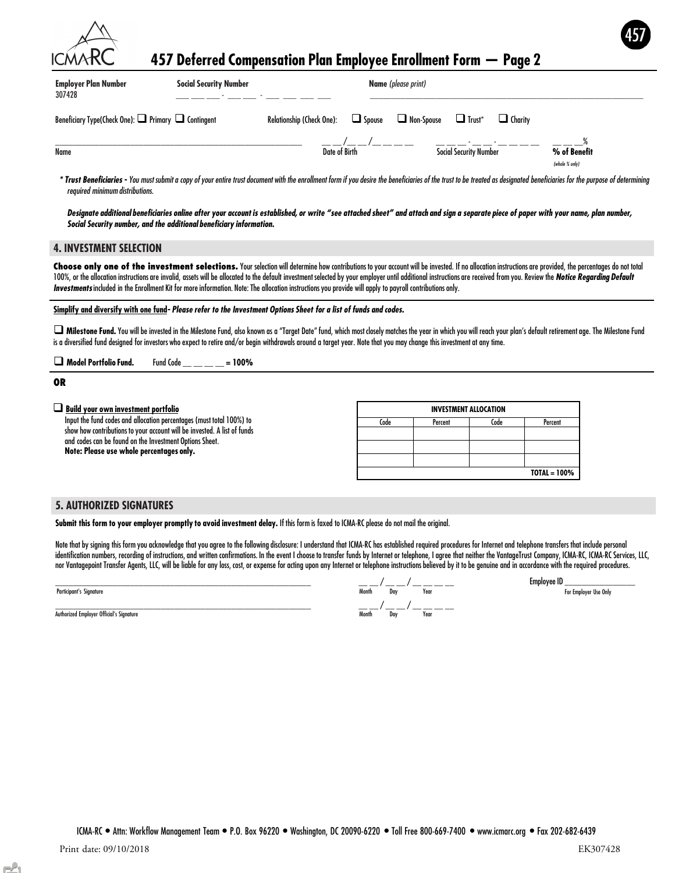| CMARC                                                         |                               | 457 Deferred Compensation Plan Employee Enrollment Form - Page 2                                        | 457 |
|---------------------------------------------------------------|-------------------------------|---------------------------------------------------------------------------------------------------------|-----|
| <b>Employer Plan Number</b><br>307428                         | <b>Social Security Number</b> | <b>Name</b> (please print)                                                                              |     |
| Beneficiary Type(Check One): $\Box$ Primary $\Box$ Contingent |                               | $\Box$ Trust <sup>*</sup><br>Non-Spouse<br>Relationship (Check One):<br>$\Box$ Spouse<br>$\Box$ Charity |     |
| Name                                                          |                               | Social Security Number<br>% of Benefit<br>Date of Birth                                                 |     |

\* Trust Beneficiaries - You must submit a copy of your entire trust document with the enrollment form if you desire the beneficiaries of the trust to be treated as designated beneficiaries for the purpose of determining required minimum distributions.

**Social Security Number** 

Designate additional beneficiaries online after your account is established, or write "see attached sheet" and attach and sign a separate piece of paper with your name, plan number, Social Security number, and the additional beneficiary information.

#### 4. INVESTMENT SELECTION

Choose only one of the investment selections. Your selection will determine how contributions to your account will be invested. If no allocation instructions are provided, the percentages do not total 100%, or the allocation instructions are invalid, assets will be allocated to the default investment selected by your employer until additional instructions are received from you. Review the Notice Regarding Default Investments included in the Enrollment Kit for more information. Note: The allocation instructions you provide will apply to payroll contributions only.

Simplify and diversify with one fund- Please refer to the Investment Options Sheet for a list of funds and codes.

 $\square$  Milestone Fund. You will be invested in the Milestone Fund, also known as a "Target Date" fund, which most closely matches the year in which you will reach your plan's default retirement age. The Milestone Fund is a diversified fund designed for investors who expect to retire and/or begin withdrawals around a target year. Note that you may change this investment at any time.

 $\Box$  Model Portfolio Fund. Fund Code \_\_ \_\_ \_\_ = 100%

#### OR

| $\Box$ Build your own investment portfolio                               |      | <b>INVESTMENT ALLOCATION</b> |      |         |
|--------------------------------------------------------------------------|------|------------------------------|------|---------|
| Input the fund codes and allocation percentages (must total 100%) to     | Code | Percent                      | Code | Percent |
| show how contributions to your account will be invested. A list of funds |      |                              |      |         |
| and codes can be found on the Investment Options Sheet.                  |      |                              |      |         |
| Note: Please use whole percentages only.                                 |      |                              |      |         |
|                                                                          |      |                              |      |         |

#### 5. AUTHORIZED SIGNATURES

Submit this form to your employer promptly to avoid investment delay. If this form is faxed to ICMA-RC please do not mail the original.

Note that by signing this form you acknowledge that you agree to the following disclosure: I understand that ICMA-RC has established required procedures for Internet and telephone transfers that include personal identification numbers, recording of instructions, and written confirmations. In the event I choose to transfer funds by Internet or telephone, I agree that neither the VantageTrust Company, ICMA-RC, ICMA-RC Services, LLC, nor Vantagepoint Transfer Agents, LLC, will be liable for any loss, cost, or expense for acting upon any Internet or telephone instructions believed by it to be genuine and in accordance with the required procedures.

| Participant's Signature | Month<br>the contract of the contract of the | Dav | Year |
|-------------------------|----------------------------------------------|-----|------|
|                         |                                              |     |      |

Authorized Employer Official's Signature

|                                          | Month                |
|------------------------------------------|----------------------|
| Participant's Signature                  | Year<br>Dav          |
|                                          |                      |
| Authorized Employer Official's Signature | Month<br>Year<br>Dav |

Employee ID \_\_\_\_\_\_\_\_\_\_\_\_\_\_\_\_ For Employer Use Only

TOTAL = 100%

(whole % only)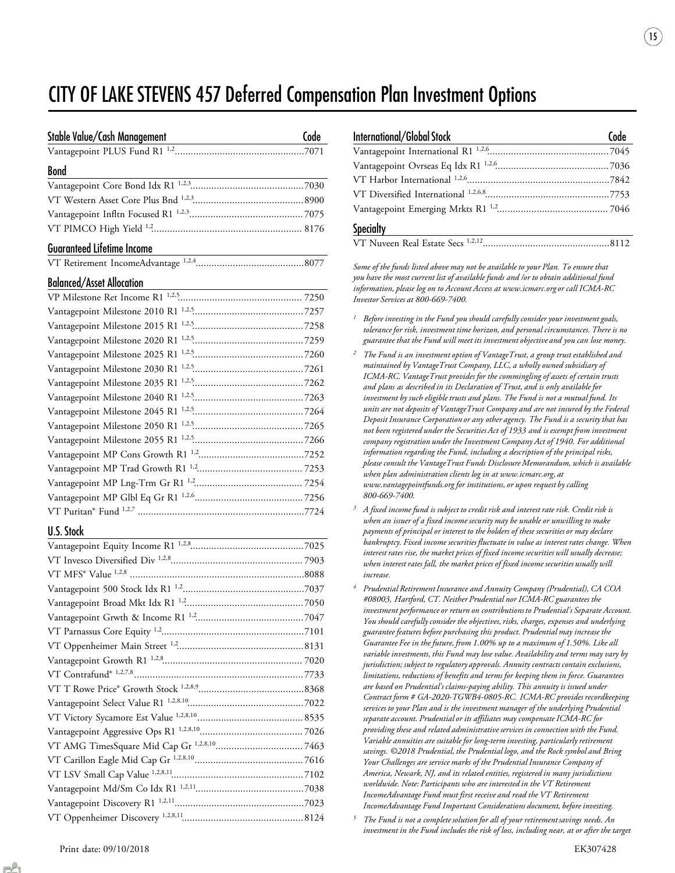## CITY OF LAKE STEVENS 457 Deferred Compensation Plan Investment Options

| Stable Value/Cash Management      | Code |
|-----------------------------------|------|
|                                   |      |
| <b>Bond</b>                       |      |
|                                   |      |
|                                   |      |
|                                   |      |
|                                   |      |
| <b>Guaranteed Lifetime Income</b> |      |

|--|--|

#### Balanced/Asset Allocation

#### U.S. Stock

| <b>International/Global Stock</b> | Code |
|-----------------------------------|------|
|                                   |      |
|                                   |      |
|                                   |      |
|                                   |      |
|                                   |      |
| <b>Specialty</b>                  |      |
|                                   |      |

15

Some of the funds listed above may not be available to your Plan. To ensure that you have the most current list of available funds and /or to obtain additional fund information, please log on to Account Access at www.icmarc.org or call ICMA-RC Investor Services at 800-669-7400.

- $1$  Before investing in the Fund you should carefully consider your investment goals, tolerance for risk, investment time horizon, and personal circumstances. There is no guarantee that the Fund will meet its investment objective and you can lose money.
- $^2$  The Fund is an investment option of VantageTrust, a group trust established and maintained by VantageTrust Company, LLC, a wholly owned subsidiary of ICMA-RC. VantageTrust provides for the commingling of assets of certain trusts and plans as described in its Declaration of Trust, and is only available for investment by such eligible trusts and plans. The Fund is not a mutual fund. Its units are not deposits of VantageTrust Company and are not insured by the Federal Deposit Insurance Corporation or any other agency. The Fund is a security that has not been registered under the Securities Act of 1933 and is exempt from investment company registration under the Investment Company Act of 1940. For additional information regarding the Fund, including a description of the principal risks, please consult the VantageTrust Funds Disclosure Memorandum, which is available when plan administration clients log in at www.icmarc.org, at www.vantagepointfunds.org for institutions, or upon request by calling 800-669-7400.
- A fixed income fund is subject to credit risk and interest rate risk. Credit risk is when an issuer of a fixed income security may be unable or unwilling to make payments of principal or interest to the holders of these securities or may declare bankruptcy. Fixed income securities fluctuate in value as interest rates change. When interest rates rise, the market prices of fixed income securities will usually decrease; when interest rates fall, the market prices of fixed income securities usually will increase. 3
- Prudential Retirement Insurance and Annuity Company (Prudential), CA COA #08003, Hartford, CT. Neither Prudential nor ICMA-RC guarantees the investment performance or return on contributions to Prudential's Separate Account. You should carefully consider the objectives, risks, charges, expenses and underlying guarantee features before purchasing this product. Prudential may increase the Guarantee Fee in the future, from 1.00% up to a maximum of 1.50%. Like all variable investments, this Fund may lose value. Availability and terms may vary by jurisdiction; subject to regulatory approvals. Annuity contracts contain exclusions, limitations, reductions of benefits and terms for keeping them in force. Guarantees are based on Prudential's claims-paying ability. This annuity is issued under Contract form # GA-2020-TGWB4-0805-RC. ICMA-RC provides recordkeeping services to your Plan and is the investment manager of the underlying Prudential separate account. Prudential or its affiliates may compensate ICMA-RC for providing these and related administrative services in connection with the Fund. Variable annuities are suitable for long-term investing, particularly retirement savings. ©2018 Prudential, the Prudential logo, and the Rock symbol and Bring Your Challenges are service marks of the Prudential Insurance Company of America, Newark, NJ, and its related entities, registered in many jurisdictions worldwide. Note: Participants who are interested in the VT Retirement IncomeAdvantage Fund must first receive and read the VT Retirement IncomeAdvantage Fund Important Considerations document, before investing. 4

The Fund is not a complete solution for all of your retirement savings needs. An investment in the Fund includes the risk of loss, including near, at or after the target 5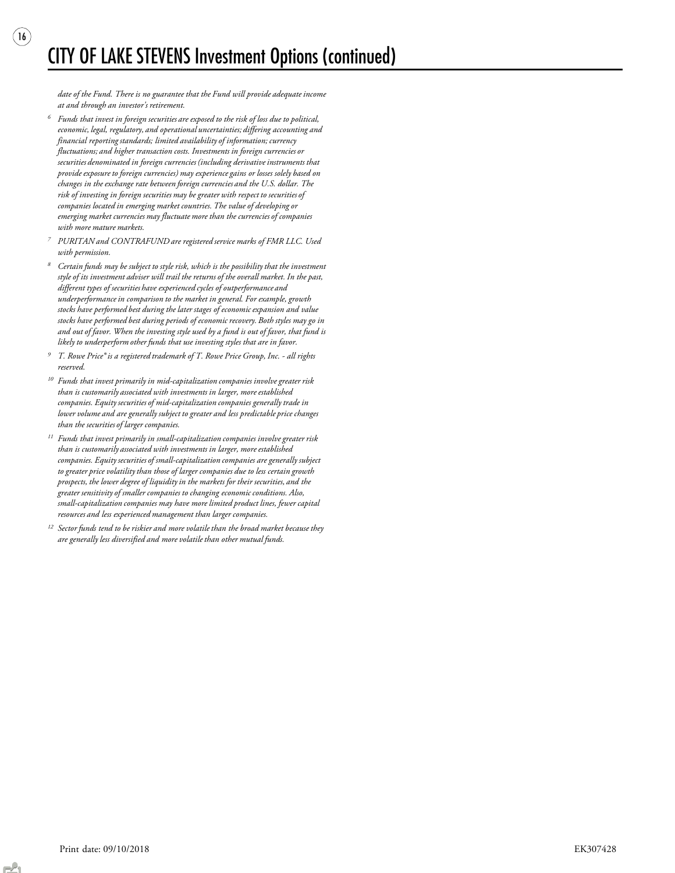date of the Fund. There is no guarantee that the Fund will provide adequate income at and through an investor's retirement.

 $(16)$ 

- Funds that invest in foreign securities are exposed to the risk of loss due to political, economic, legal, regulatory, and operational uncertainties; differing accounting and financial reporting standards; limited availability of information; currency fluctuations; and higher transaction costs. Investments in foreign currencies or securities denominated in foreign currencies (including derivative instruments that provide exposure to foreign currencies) may experience gains or losses solely based on changes in the exchange rate between foreign currencies and the U.S. dollar. The risk of investing in foreign securities may be greater with respect to securities of companies located in emerging market countries. The value of developing or emerging market currencies may fluctuate more than the currencies of companies with more mature markets. 6
- PURITAN and CONTRAFUND are registered service marks of FMR LLC. Used with permission. 7
- Certain funds may be subject to style risk, which is the possibility that the investment style of its investment adviser will trail the returns of the overall market. In the past, different types of securities have experienced cycles of outperformance and underperformance in comparison to the market in general. For example, growth stocks have performed best during the later stages of economic expansion and value stocks have performed best during periods of economic recovery. Both styles may go in and out of favor. When the investing style used by a fund is out of favor, that fund is likely to underperform other funds that use investing styles that are in favor. 8
- T. Rowe Price® is a registered trademark of T. Rowe Price Group, Inc. all rights reserved. 9
- $10$  Funds that invest primarily in mid-capitalization companies involve greater risk than is customarily associated with investments in larger, more established companies. Equity securities of mid-capitalization companies generally trade in lower volume and are generally subject to greater and less predictable price changes than the securities of larger companies.
- $11$  Funds that invest primarily in small-capitalization companies involve greater risk than is customarily associated with investments in larger, more established companies. Equity securities of small-capitalization companies are generally subject to greater price volatility than those of larger companies due to less certain growth prospects, the lower degree of liquidity in the markets for their securities, and the greater sensitivity of smaller companies to changing economic conditions. Also, small-capitalization companies may have more limited product lines, fewer capital resources and less experienced management than larger companies.
- $12$  Sector funds tend to be riskier and more volatile than the broad market because they are generally less diversified and more volatile than other mutual funds.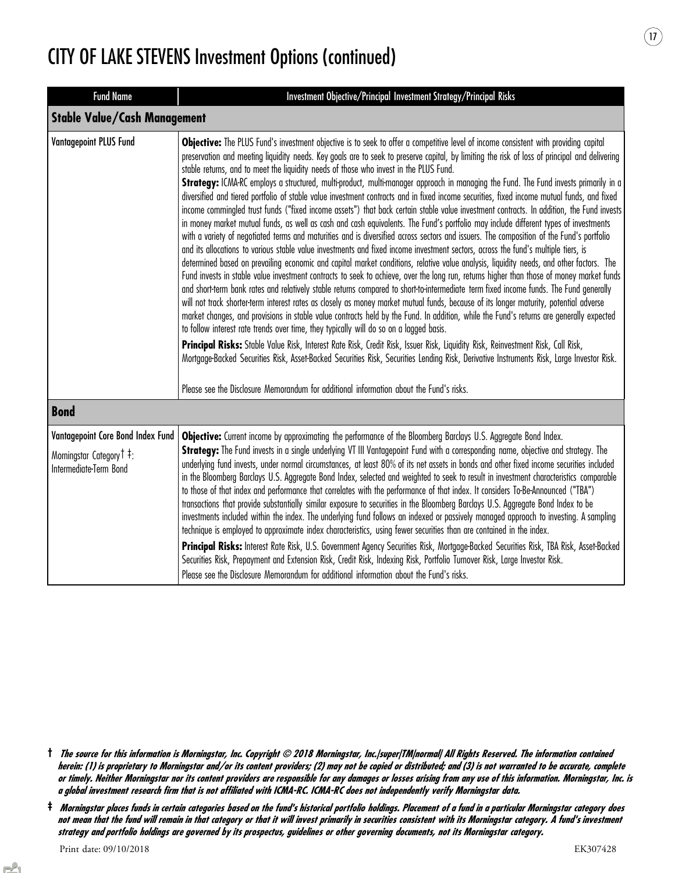| <b>Fund Name</b>                                                                                   | Investment Objective/Principal Investment Strategy/Principal Risks                                                                                                                                                                                                                                                                                                                                                                                                                                                                                                                                                                                                                                                                                                                                                                                                                                                                                                                                                                                                                                                                                                                                                                                                                                                                                                                                                                                                                                                                                                                                                                                                                                                                                                                                                                                                                                                                                                                                                                                                                                                                                                                                                                                                                                                                                                                                                              |
|----------------------------------------------------------------------------------------------------|---------------------------------------------------------------------------------------------------------------------------------------------------------------------------------------------------------------------------------------------------------------------------------------------------------------------------------------------------------------------------------------------------------------------------------------------------------------------------------------------------------------------------------------------------------------------------------------------------------------------------------------------------------------------------------------------------------------------------------------------------------------------------------------------------------------------------------------------------------------------------------------------------------------------------------------------------------------------------------------------------------------------------------------------------------------------------------------------------------------------------------------------------------------------------------------------------------------------------------------------------------------------------------------------------------------------------------------------------------------------------------------------------------------------------------------------------------------------------------------------------------------------------------------------------------------------------------------------------------------------------------------------------------------------------------------------------------------------------------------------------------------------------------------------------------------------------------------------------------------------------------------------------------------------------------------------------------------------------------------------------------------------------------------------------------------------------------------------------------------------------------------------------------------------------------------------------------------------------------------------------------------------------------------------------------------------------------------------------------------------------------------------------------------------------------|
| <b>Stable Value/Cash Management</b>                                                                |                                                                                                                                                                                                                                                                                                                                                                                                                                                                                                                                                                                                                                                                                                                                                                                                                                                                                                                                                                                                                                                                                                                                                                                                                                                                                                                                                                                                                                                                                                                                                                                                                                                                                                                                                                                                                                                                                                                                                                                                                                                                                                                                                                                                                                                                                                                                                                                                                                 |
| <b>Vantagepoint PLUS Fund</b>                                                                      | Objective: The PLUS Fund's investment objective is to seek to offer a competitive level of income consistent with providing capital<br>preservation and meeting liquidity needs. Key goals are to seek to preserve capital, by limiting the risk of loss of principal and delivering<br>stable returns, and to meet the liquidity needs of those who invest in the PLUS Fund.<br>Strategy: ICMA-RC employs a structured, multi-product, multi-manager approach in managing the Fund. The Fund invests primarily in a<br>diversified and tiered portfolio of stable value investment contracts and in fixed income securities, fixed income mutual funds, and fixed<br>income commingled trust funds ("fixed income assets") that back certain stable value investment contracts. In addition, the Fund invests<br>in money market mutual funds, as well as cash and cash equivalents. The Fund's portfolio may include different types of investments<br>with a variety of negotiated terms and maturities and is diversified across sectors and issuers. The composition of the Fund's portfolio<br>and its allocations to various stable value investments and fixed income investment sectors, across the fund's multiple tiers, is<br>determined based on prevailing economic and capital market conditions, relative value analysis, liquidity needs, and other factors. The<br>Fund invests in stable value investment contracts to seek to achieve, over the long run, returns higher than those of money market funds<br>and short-term bank rates and relatively stable returns compared to short-to-intermediate term fixed income funds. The Fund generally<br>will not track shorter-term interest rates as closely as money market mutual funds, because of its longer maturity, potential adverse<br>market changes, and provisions in stable value contracts held by the Fund. In addition, while the Fund's returns are generally expected<br>to follow interest rate trends over time, they typically will do so on a lagged basis.<br>Principal Risks: Stable Value Risk, Interest Rate Risk, Credit Risk, Issuer Risk, Liquidity Risk, Reinvestment Risk, Call Risk,<br>Mortgage-Backed Securities Risk, Asset-Backed Securities Risk, Securities Lending Risk, Derivative Instruments Risk, Large Investor Risk.<br>Please see the Disclosure Memorandum for additional information about the Fund's risks. |
| <b>Bond</b>                                                                                        |                                                                                                                                                                                                                                                                                                                                                                                                                                                                                                                                                                                                                                                                                                                                                                                                                                                                                                                                                                                                                                                                                                                                                                                                                                                                                                                                                                                                                                                                                                                                                                                                                                                                                                                                                                                                                                                                                                                                                                                                                                                                                                                                                                                                                                                                                                                                                                                                                                 |
| Vantagepoint Core Bond Index Fund<br>Morningstar Category <sup>†</sup> :<br>Intermediate-Term Bond | Objective: Current income by approximating the performance of the Bloomberg Barclays U.S. Aggregate Bond Index.<br>Strategy: The Fund invests in a single underlying VT III Vantagepoint Fund with a corresponding name, objective and strategy. The<br>underlying fund invests, under normal circumstances, at least 80% of its net assets in bonds and other fixed income securities included<br>in the Bloomberg Barclays U.S. Aggregate Bond Index, selected and weighted to seek to result in investment characteristics comparable<br>to those of that index and performance that correlates with the performance of that index. It considers To-Be-Announced ("TBA")<br>transactions that provide substantially similar exposure to securities in the Bloomberg Barclays U.S. Aggregate Bond Index to be<br>investments included within the index. The underlying fund follows an indexed or passively managed approach to investing. A sampling<br>technique is employed to approximate index characteristics, using fewer securities than are contained in the index.<br>Principal Risks: Interest Rate Risk, U.S. Government Agency Securities Risk, Mortgage-Backed Securities Risk, TBA Risk, Asset-Backed<br>Securities Risk, Prepayment and Extension Risk, Credit Risk, Indexing Risk, Portfolio Turnover Risk, Large Investor Risk.<br>Please see the Disclosure Memorandum for additional information about the Fund's risks.                                                                                                                                                                                                                                                                                                                                                                                                                                                                                                                                                                                                                                                                                                                                                                                                                                                                                                                                                                                  |

<sup>†</sup> The source for this information is Morningstar, Inc. Copyright © 2018 Morningstar, Inc.|super|TM|normal| All Rights Reserved. The information contained herein: (1) is proprietary to Morningstar and/or its content providers; (2) may not be copied or distributed; and (3) is not warranted to be accurate, complete or timely. Neither Morningstar nor its content providers are responsible for any damages or losses arising from any use of this information. Morningstar, Inc. is a global investment research firm that is not affiliated with ICMA-RC. ICMA-RC does not independently verify Morningstar data.

<sup>‡</sup> Morningstar places funds in certain categories based on the fund's historical portfolio holdings. Placement of a fund in a particular Morningstar category does not mean that the fund will remain in that category or that it will invest primarily in securities consistent with its Morningstar category. A fund's investment strategy and portfolio holdings are governed by its prospectus, guidelines or other governing documents, not its Morningstar category.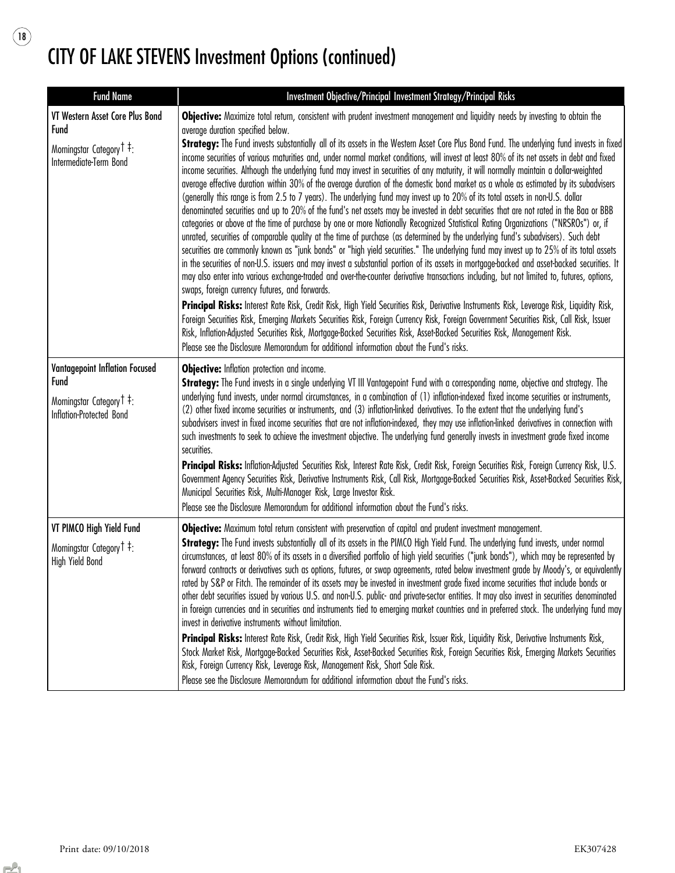$\begin{picture}(220,20) \put(0,0){\line(1,0){10}} \put(15,0){\line(1,0){10}} \put(15,0){\line(1,0){10}} \put(15,0){\line(1,0){10}} \put(15,0){\line(1,0){10}} \put(15,0){\line(1,0){10}} \put(15,0){\line(1,0){10}} \put(15,0){\line(1,0){10}} \put(15,0){\line(1,0){10}} \put(15,0){\line(1,0){10}} \put(15,0){\line(1,0){10}} \put(15,0){\line($ 

| <b>Fund Name</b>                                                                                          | Investment Objective/Principal Investment Strategy/Principal Risks                                                                                                                                                                                                                                                                                                                                                                                                                                                                                                                                                                                                                                                                                                                                                                                                                                                                                                                                                                                                                                                                                                                                                                                                                                                                                                                                                                                                                                                                                                                                                                                                                                                                                                                                                                                                                                                                                                                                                                                                                                                                                                                                                                                                                                            |
|-----------------------------------------------------------------------------------------------------------|---------------------------------------------------------------------------------------------------------------------------------------------------------------------------------------------------------------------------------------------------------------------------------------------------------------------------------------------------------------------------------------------------------------------------------------------------------------------------------------------------------------------------------------------------------------------------------------------------------------------------------------------------------------------------------------------------------------------------------------------------------------------------------------------------------------------------------------------------------------------------------------------------------------------------------------------------------------------------------------------------------------------------------------------------------------------------------------------------------------------------------------------------------------------------------------------------------------------------------------------------------------------------------------------------------------------------------------------------------------------------------------------------------------------------------------------------------------------------------------------------------------------------------------------------------------------------------------------------------------------------------------------------------------------------------------------------------------------------------------------------------------------------------------------------------------------------------------------------------------------------------------------------------------------------------------------------------------------------------------------------------------------------------------------------------------------------------------------------------------------------------------------------------------------------------------------------------------------------------------------------------------------------------------------------------------|
| VT Western Asset Core Plus Bond<br>Fund<br>Morningstar Category <sup>†</sup> ‡:<br>Intermediate-Term Bond | Objective: Maximize total return, consistent with prudent investment management and liquidity needs by investing to obtain the<br>average duration specified below.<br>Strategy: The Fund invests substantially all of its assets in the Western Asset Core Plus Bond Fund. The underlying fund invests in fixed<br>income securities of various maturities and, under normal market conditions, will invest at least 80% of its net assets in debt and fixed<br>income securities. Although the underlying fund may invest in securities of any maturity, it will normally maintain a dollar-weighted<br>average effective duration within 30% of the average duration of the domestic bond market as a whole as estimated by its subadvisers<br>(generally this range is from 2.5 to 7 years). The underlying fund may invest up to 20% of its total assets in non-U.S. dollar<br>denominated securities and up to 20% of the fund's net assets may be invested in debt securities that are not rated in the Baa or BBB<br>categories or above at the time of purchase by one or more Nationally Recognized Statistical Rating Organizations ("NRSROs") or, if<br>unrated, securities of comparable quality at the time of purchase (as determined by the underlying fund's subadvisers). Such debt<br>securities are commonly known as "junk bonds" or "high yield securities." The underlying fund may invest up to 25% of its total assets<br>in the securities of non-U.S. issuers and may invest a substantial portion of its assets in mortgage-backed and asset-backed securities. It<br>may also enter into various exchange-traded and over-the-counter derivative transactions including, but not limited to, futures, options,<br>swaps, foreign currency futures, and forwards.<br>Principal Risks: Interest Rate Risk, Credit Risk, High Yield Securities Risk, Derivative Instruments Risk, Leverage Risk, Liquidity Risk,<br>Foreign Securities Risk, Emerging Markets Securities Risk, Foreign Currency Risk, Foreign Government Securities Risk, Call Risk, Issuer<br>Risk, Inflation-Adjusted Securities Risk, Mortgage-Backed Securities Risk, Asset-Backed Securities Risk, Management Risk.<br>Please see the Disclosure Memorandum for additional information about the Fund's risks. |
| Vantagepoint Inflation Focused<br><b>Fund</b><br>Morningstar Category T ‡:<br>Inflation-Protected Bond    | Objective: Inflation protection and income.<br>Strategy: The Fund invests in a single underlying VT III Vantagepoint Fund with a corresponding name, objective and strategy. The<br>underlying fund invests, under normal circumstances, in a combination of (1) inflation-indexed fixed income securities or instruments,<br>(2) other fixed income securities or instruments, and (3) inflation-linked derivatives. To the extent that the underlying fund's<br>subadvisers invest in fixed income securities that are not inflation-indexed, they may use inflation-linked derivatives in connection with<br>such investments to seek to achieve the investment objective. The underlying fund generally invests in investment grade fixed income<br>securities.<br>Principal Risks: Inflation-Adjusted Securities Risk, Interest Rate Risk, Credit Risk, Foreign Securities Risk, Foreign Currency Risk, U.S.<br>Government Agency Securities Risk, Derivative Instruments Risk, Call Risk, Mortgage-Backed Securities Risk, Asset-Backed Securities Risk,<br>Municipal Securities Risk, Multi-Manager Risk, Large Investor Risk.<br>Please see the Disclosure Memorandum for additional information about the Fund's risks.                                                                                                                                                                                                                                                                                                                                                                                                                                                                                                                                                                                                                                                                                                                                                                                                                                                                                                                                                                                                                                                                              |
| VT PIMCO High Yield Fund<br>Morningstar Category <sup>†</sup> <sup>‡</sup> :<br>High Yield Bond           | Objective: Maximum total return consistent with preservation of capital and prudent investment management.<br>Strategy: The Fund invests substantially all of its assets in the PIMCO High Yield Fund. The underlying fund invests, under normal<br>circumstances, at least 80% of its assets in a diversified portfolio of high yield securities ("junk bonds"), which may be represented by<br>forward contracts or derivatives such as options, futures, or swap agreements, rated below investment grade by Moody's, or equivalently<br>rated by S&P or Fitch. The remainder of its assets may be invested in investment grade fixed income securities that include bonds or<br>other debt securities issued by various U.S. and non-U.S. public- and private-sector entities. It may also invest in securities denominated<br>in foreign currencies and in securities and instruments tied to emerging market countries and in preferred stock. The underlying fund may<br>invest in derivative instruments without limitation.<br>Principal Risks: Interest Rate Risk, Credit Risk, High Yield Securities Risk, Issuer Risk, Liquidity Risk, Derivative Instruments Risk,<br>Stock Market Risk, Mortgage-Backed Securities Risk, Asset-Backed Securities Risk, Foreign Securities Risk, Emerging Markets Securities<br>Risk, Foreign Currency Risk, Leverage Risk, Management Risk, Short Sale Risk.<br>Please see the Disclosure Memorandum for additional information about the Fund's risks.                                                                                                                                                                                                                                                                                                                                                                                                                                                                                                                                                                                                                                                                                                                                                                                                         |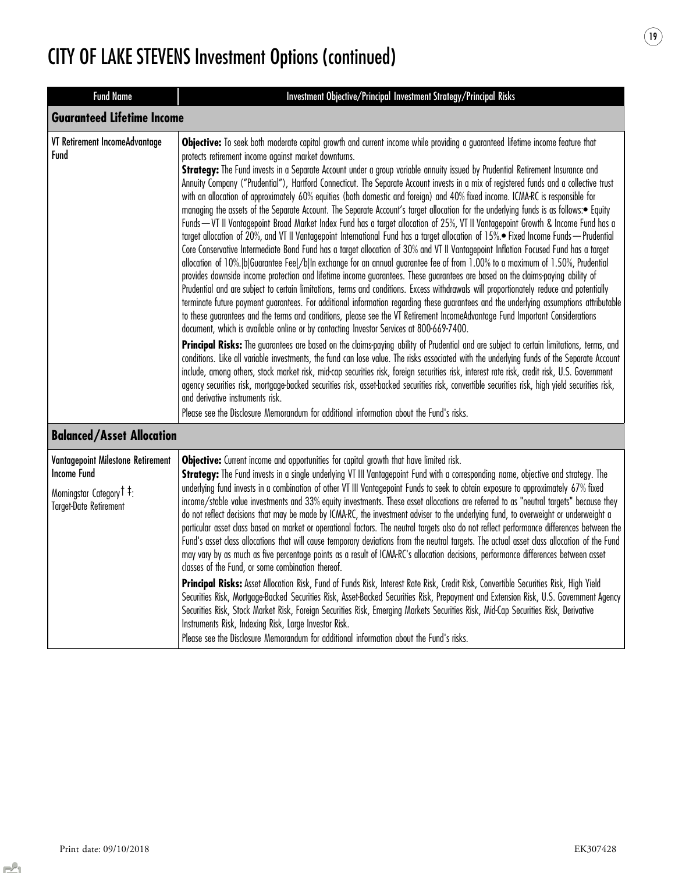| <b>Fund Name</b>                                                                                                                             | Investment Objective/Principal Investment Strategy/Principal Risks                                                                                                                                                                                                                                                                                                                                                                                                                                                                                                                                                                                                                                                                                                                                                                                                                                                                                                                                                                                                                                                                                                                                                                                                                                                                                                                                                                                                                                                                                                                                                                                                                                                                                                                                                                                                                                                                                                                                                                                                                                                                                                                                                                                                                                                                                                                                                                                                                                                                                                                                                                                                       |  |
|----------------------------------------------------------------------------------------------------------------------------------------------|--------------------------------------------------------------------------------------------------------------------------------------------------------------------------------------------------------------------------------------------------------------------------------------------------------------------------------------------------------------------------------------------------------------------------------------------------------------------------------------------------------------------------------------------------------------------------------------------------------------------------------------------------------------------------------------------------------------------------------------------------------------------------------------------------------------------------------------------------------------------------------------------------------------------------------------------------------------------------------------------------------------------------------------------------------------------------------------------------------------------------------------------------------------------------------------------------------------------------------------------------------------------------------------------------------------------------------------------------------------------------------------------------------------------------------------------------------------------------------------------------------------------------------------------------------------------------------------------------------------------------------------------------------------------------------------------------------------------------------------------------------------------------------------------------------------------------------------------------------------------------------------------------------------------------------------------------------------------------------------------------------------------------------------------------------------------------------------------------------------------------------------------------------------------------------------------------------------------------------------------------------------------------------------------------------------------------------------------------------------------------------------------------------------------------------------------------------------------------------------------------------------------------------------------------------------------------------------------------------------------------------------------------------------------------|--|
|                                                                                                                                              | <b>Guaranteed Lifetime Income</b>                                                                                                                                                                                                                                                                                                                                                                                                                                                                                                                                                                                                                                                                                                                                                                                                                                                                                                                                                                                                                                                                                                                                                                                                                                                                                                                                                                                                                                                                                                                                                                                                                                                                                                                                                                                                                                                                                                                                                                                                                                                                                                                                                                                                                                                                                                                                                                                                                                                                                                                                                                                                                                        |  |
| VT Retirement IncomeAdvantage<br>Fund                                                                                                        | Objective: To seek both moderate capital growth and current income while providing a guaranteed lifetime income feature that<br>protects retirement income against market downturns.<br>Strategy: The Fund invests in a Separate Account under a group variable annuity issued by Prudential Retirement Insurance and<br>Annuity Company ("Prudential"), Hartford Connecticut. The Separate Account invests in a mix of registered funds and a collective trust<br>with an allocation of approximately 60% equities (both domestic and foreign) and 40% fixed income. ICMA-RC is responsible for<br>managing the assets of the Separate Account. The Separate Account's target allocation for the underlying funds is as follows:• Equity<br>Funds - VT II Vantagepoint Broad Market Index Fund has a target allocation of 25%, VT II Vantagepoint Growth & Income Fund has a<br>target allocation of 20%, and VT II Vantagepoint International Fund has a target allocation of 15%. Tixed Income Funds - Prudential<br>Core Conservative Intermediate Bond Fund has a target allocation of 30% and VT II Vantagepoint Inflation Focused Fund has a target<br>allocation of 10%. blGuarantee Feel/blIn exchange for an annual guarantee fee of from 1.00% to a maximum of 1.50%, Prudential<br>provides downside income protection and lifetime income guarantees. These guarantees are based on the claims-paying ability of<br>Prudential and are subject to certain limitations, terms and conditions. Excess withdrawals will proportionately reduce and potentially<br>terminate future payment guarantees. For additional information regarding these guarantees and the underlying assumptions attributable<br>to these guarantees and the terms and conditions, please see the VT Retirement IncomeAdvantage Fund Important Considerations<br>document, which is available online or by contacting Investor Services at 800-669-7400.<br>Principal Risks: The guarantees are based on the claims-paying ability of Prudential and are subject to certain limitations, terms, and<br>conditions. Like all variable investments, the fund can lose value. The risks associated with the underlying funds of the Separate Account<br>include, among others, stock market risk, mid-cap securities risk, foreign securities risk, interest rate risk, credit risk, U.S. Government<br>agency securities risk, mortgage-backed securities risk, asset-backed securities risk, convertible securities risk, high yield securities risk,<br>and derivative instruments risk.<br>Please see the Disclosure Memorandum for additional information about the Fund's risks. |  |
| <b>Balanced/Asset Allocation</b>                                                                                                             |                                                                                                                                                                                                                                                                                                                                                                                                                                                                                                                                                                                                                                                                                                                                                                                                                                                                                                                                                                                                                                                                                                                                                                                                                                                                                                                                                                                                                                                                                                                                                                                                                                                                                                                                                                                                                                                                                                                                                                                                                                                                                                                                                                                                                                                                                                                                                                                                                                                                                                                                                                                                                                                                          |  |
| Vantagepoint Milestone Retirement<br><b>Income Fund</b><br>Morningstar Category <sup>†</sup> <sup>‡</sup> :<br><b>Target-Date Retirement</b> | Objective: Current income and opportunities for capital growth that have limited risk.<br>Strategy: The Fund invests in a single underlying VT III Vantagepoint Fund with a corresponding name, objective and strategy. The<br>underlying fund invests in a combination of other VT III Vantagepoint Funds to seek to obtain exposure to approximately 67% fixed<br>income/stable value investments and 33% equity investments. These asset allocations are referred to as "neutral targets" because they<br>do not reflect decisions that may be made by ICMA-RC, the investment adviser to the underlying fund, to overweight or underweight a<br>particular asset class based on market or operational factors. The neutral targets also do not reflect performance differences between the<br>Fund's asset class allocations that will cause temporary deviations from the neutral targets. The actual asset class allocation of the Fund<br>may vary by as much as five percentage points as a result of ICMA-RC's allocation decisions, performance differences between asset<br>classes of the Fund, or some combination thereof.<br>Principal Risks: Asset Allocation Risk, Fund of Funds Risk, Interest Rate Risk, Credit Risk, Convertible Securities Risk, High Yield<br>Securities Risk, Mortgage-Backed Securities Risk, Asset-Backed Securities Risk, Prepayment and Extension Risk, U.S. Government Agency<br>Securities Risk, Stock Market Risk, Foreign Securities Risk, Emerging Markets Securities Risk, Mid-Cap Securities Risk, Derivative<br>Instruments Risk, Indexing Risk, Large Investor Risk.<br>Please see the Disclosure Memorandum for additional information about the Fund's risks.                                                                                                                                                                                                                                                                                                                                                                                                                                                                                                                                                                                                                                                                                                                                                                                                                                                                                                                                                      |  |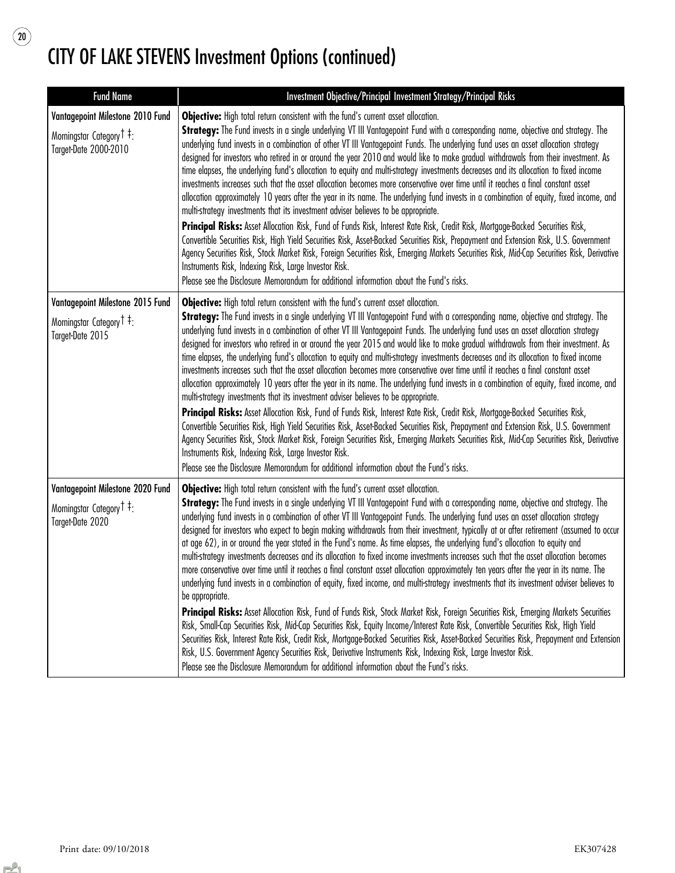$\begin{array}{c} \boxed{20} \end{array}$ 

| <b>Fund Name</b>                                                                                              | Investment Objective/Principal Investment Strategy/Principal Risks                                                                                                                                                                                                                                                                                                                                                                                                                                                                                                                                                                                                                                                                                                                                                                                                                                                                                                                                                                                                                                                                                                                                                                                                                                                                                                                                                                                                                                                                                                                         |
|---------------------------------------------------------------------------------------------------------------|--------------------------------------------------------------------------------------------------------------------------------------------------------------------------------------------------------------------------------------------------------------------------------------------------------------------------------------------------------------------------------------------------------------------------------------------------------------------------------------------------------------------------------------------------------------------------------------------------------------------------------------------------------------------------------------------------------------------------------------------------------------------------------------------------------------------------------------------------------------------------------------------------------------------------------------------------------------------------------------------------------------------------------------------------------------------------------------------------------------------------------------------------------------------------------------------------------------------------------------------------------------------------------------------------------------------------------------------------------------------------------------------------------------------------------------------------------------------------------------------------------------------------------------------------------------------------------------------|
| Vantagepoint Milestone 2010 Fund<br>Morningstar Category <sup>†</sup> <sup>‡</sup> :<br>Target-Date 2000-2010 | Objective: High total return consistent with the fund's current asset allocation.<br>Strategy: The Fund invests in a single underlying VT III Vantagepoint Fund with a corresponding name, objective and strategy. The<br>underlying fund invests in a combination of other VT III Vantagepoint Funds. The underlying fund uses an asset allocation strategy<br>designed for investors who retired in or around the year 2010 and would like to make gradual withdrawals from their investment. As<br>time elapses, the underlying fund's allocation to equity and multi-strategy investments decreases and its allocation to fixed income<br>investments increases such that the asset allocation becomes more conservative over time until it reaches a final constant asset<br>allocation approximately 10 years after the year in its name. The underlying fund invests in a combination of equity, fixed income, and<br>multi-strategy investments that its investment adviser believes to be appropriate.<br>Principal Risks: Asset Allocation Risk, Fund of Funds Risk, Interest Rate Risk, Credit Risk, Mortgage-Backed Securities Risk,<br>Convertible Securities Risk, High Yield Securities Risk, Asset-Backed Securities Risk, Prepayment and Extension Risk, U.S. Government<br>Agency Securities Risk, Stock Market Risk, Foreign Securities Risk, Emerging Markets Securities Risk, Mid-Cap Securities Risk, Derivative<br>Instruments Risk, Indexing Risk, Large Investor Risk.<br>Please see the Disclosure Memorandum for additional information about the Fund's risks. |
| Vantagepoint Milestone 2015 Fund                                                                              | Objective: High total return consistent with the fund's current asset allocation.                                                                                                                                                                                                                                                                                                                                                                                                                                                                                                                                                                                                                                                                                                                                                                                                                                                                                                                                                                                                                                                                                                                                                                                                                                                                                                                                                                                                                                                                                                          |
| Morningstar Category <sup>†</sup> :<br>Target-Date 2015                                                       | Strategy: The Fund invests in a single underlying VT III Vantagepoint Fund with a corresponding name, objective and strategy. The<br>underlying fund invests in a combination of other VT III Vantagepoint Funds. The underlying fund uses an asset allocation strategy<br>designed for investors who retired in or around the year 2015 and would like to make gradual withdrawals from their investment. As<br>time elapses, the underlying fund's allocation to equity and multi-strategy investments decreases and its allocation to fixed income<br>investments increases such that the asset allocation becomes more conservative over time until it reaches a final constant asset<br>allocation approximately 10 years after the year in its name. The underlying fund invests in a combination of equity, fixed income, and<br>multi-strategy investments that its investment adviser believes to be appropriate.<br>Principal Risks: Asset Allocation Risk, Fund of Funds Risk, Interest Rate Risk, Credit Risk, Mortgage-Backed Securities Risk,<br>Convertible Securities Risk, High Yield Securities Risk, Asset-Backed Securities Risk, Prepayment and Extension Risk, U.S. Government<br>Agency Securities Risk, Stock Market Risk, Foreign Securities Risk, Emerging Markets Securities Risk, Mid-Cap Securities Risk, Derivative<br>Instruments Risk, Indexing Risk, Large Investor Risk.<br>Please see the Disclosure Memorandum for additional information about the Fund's risks.                                                                                      |
| Vantagepoint Milestone 2020 Fund                                                                              | Objective: High total return consistent with the fund's current asset allocation.<br>Strategy: The Fund invests in a single underlying VT III Vantagepoint Fund with a corresponding name, objective and strategy. The                                                                                                                                                                                                                                                                                                                                                                                                                                                                                                                                                                                                                                                                                                                                                                                                                                                                                                                                                                                                                                                                                                                                                                                                                                                                                                                                                                     |
| Morningstar Category <sup>†</sup> :<br>Target-Date 2020                                                       | underlying fund invests in a combination of other VT III Vantagepoint Funds. The underlying fund uses an asset allocation strategy<br>designed for investors who expect to begin making withdrawals from their investment, typically at or after retirement (assumed to occur<br>at age 62), in or around the year stated in the Fund's name. As time elapses, the underlying fund's allocation to equity and<br>multi-strategy investments decreases and its allocation to fixed income investments increases such that the asset allocation becomes<br>more conservative over time until it reaches a final constant asset allocation approximately ten years after the year in its name. The<br>underlying fund invests in a combination of equity, fixed income, and multi-strategy investments that its investment adviser believes to<br>be appropriate.<br>Principal Risks: Asset Allocation Risk, Fund of Funds Risk, Stock Market Risk, Foreign Securities Risk, Emerging Markets Securities<br>Risk, Small-Cap Securities Risk, Mid-Cap Securities Risk, Equity Income/Interest Rate Risk, Convertible Securities Risk, High Yield<br>Securities Risk, Interest Rate Risk, Credit Risk, Mortgage-Backed Securities Risk, Asset-Backed Securities Risk, Prepayment and Extension<br>Risk, U.S. Government Agency Securities Risk, Derivative Instruments Risk, Indexing Risk, Large Investor Risk.<br>Please see the Disclosure Memorandum for additional information about the Fund's risks.                                                                                     |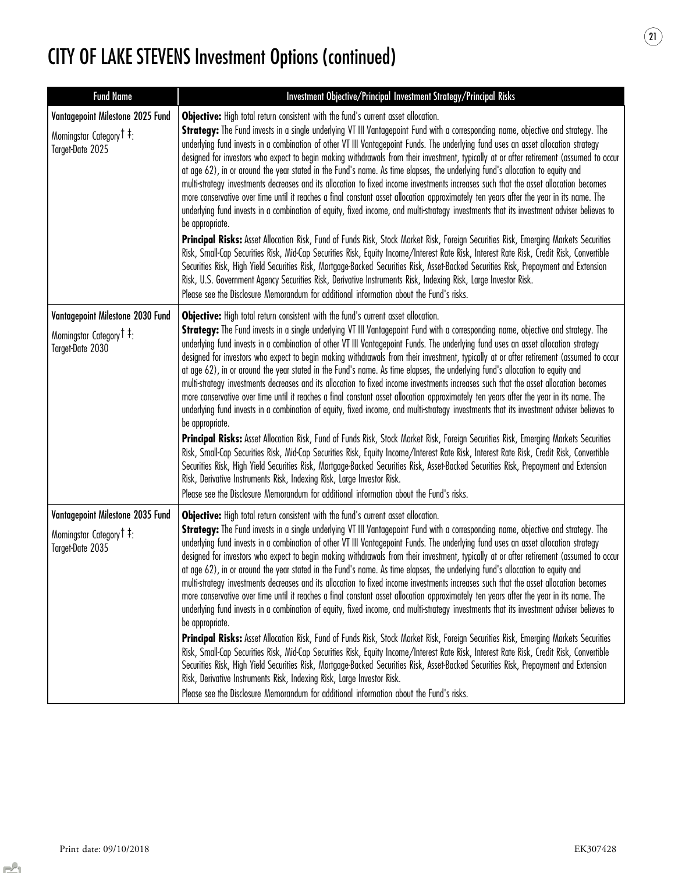| <b>Fund Name</b>                                                                                         | Investment Objective/Principal Investment Strategy/Principal Risks                                                                                                                                                                                                                                                                                                                                                                                                                                                                                                                                                                                                                                                                                                                                                                                                                                                                                                                                                                                                                                                                                                                                                                                                                                                                                                                                                                                                                                                                                                                                                                                                                                                               |
|----------------------------------------------------------------------------------------------------------|----------------------------------------------------------------------------------------------------------------------------------------------------------------------------------------------------------------------------------------------------------------------------------------------------------------------------------------------------------------------------------------------------------------------------------------------------------------------------------------------------------------------------------------------------------------------------------------------------------------------------------------------------------------------------------------------------------------------------------------------------------------------------------------------------------------------------------------------------------------------------------------------------------------------------------------------------------------------------------------------------------------------------------------------------------------------------------------------------------------------------------------------------------------------------------------------------------------------------------------------------------------------------------------------------------------------------------------------------------------------------------------------------------------------------------------------------------------------------------------------------------------------------------------------------------------------------------------------------------------------------------------------------------------------------------------------------------------------------------|
| Vantagepoint Milestone 2025 Fund<br>Morningstar Category <sup>†</sup> <sup>‡</sup> :<br>Target-Date 2025 | Objective: High total return consistent with the fund's current asset allocation.<br>Strategy: The Fund invests in a single underlying VT III Vantagepoint Fund with a corresponding name, objective and strategy. The<br>underlying fund invests in a combination of other VT III Vantagepoint Funds. The underlying fund uses an asset allocation strategy<br>designed for investors who expect to begin making withdrawals from their investment, typically at or after retirement (assumed to occur<br>at age 62), in or around the year stated in the Fund's name. As time elapses, the underlying fund's allocation to equity and<br>multi-strategy investments decreases and its allocation to fixed income investments increases such that the asset allocation becomes<br>more conservative over time until it reaches a final constant asset allocation approximately ten years after the year in its name. The<br>underlying fund invests in a combination of equity, fixed income, and multi-strategy investments that its investment adviser believes to<br>be appropriate.<br>Principal Risks: Asset Allocation Risk, Fund of Funds Risk, Stock Market Risk, Foreign Securities Risk, Emerging Markets Securities<br>Risk, Small-Cap Securities Risk, Mid-Cap Securities Risk, Equity Income/Interest Rate Risk, Interest Rate Risk, Credit Risk, Convertible<br>Securities Risk, High Yield Securities Risk, Mortgage-Backed Securities Risk, Asset-Backed Securities Risk, Prepayment and Extension<br>Risk, U.S. Government Agency Securities Risk, Derivative Instruments Risk, Indexing Risk, Large Investor Risk.<br>Please see the Disclosure Memorandum for additional information about the Fund's risks. |
| Vantagepoint Milestone 2030 Fund<br>Morningstar Category T <sup>‡</sup> :<br>Target-Date 2030            | <b>Objective:</b> High total return consistent with the fund's current asset allocation.<br>Strategy: The Fund invests in a single underlying VT III Vantagepoint Fund with a corresponding name, objective and strategy. The<br>underlying fund invests in a combination of other VT III Vantagepoint Funds. The underlying fund uses an asset allocation strategy<br>designed for investors who expect to begin making withdrawals from their investment, typically at or after retirement (assumed to occur<br>at age 62), in or around the year stated in the Fund's name. As time elapses, the underlying fund's allocation to equity and<br>multi-strategy investments decreases and its allocation to fixed income investments increases such that the asset allocation becomes<br>more conservative over time until it reaches a final constant asset allocation approximately ten years after the year in its name. The<br>underlying fund invests in a combination of equity, fixed income, and multi-strategy investments that its investment adviser believes to<br>be appropriate.<br>Principal Risks: Asset Allocation Risk, Fund of Funds Risk, Stock Market Risk, Foreign Securities Risk, Emerging Markets Securities<br>Risk, Small-Cap Securities Risk, Mid-Cap Securities Risk, Equity Income/Interest Rate Risk, Interest Rate Risk, Credit Risk, Convertible<br>Securities Risk, High Yield Securities Risk, Mortgage-Backed Securities Risk, Asset-Backed Securities Risk, Prepayment and Extension<br>Risk, Derivative Instruments Risk, Indexing Risk, Large Investor Risk.<br>Please see the Disclosure Memorandum for additional information about the Fund's risks.                                  |
| Vantagepoint Milestone 2035 Fund<br>Morningstar Category <sup>†</sup> <sup>‡</sup> :<br>Target-Date 2035 | <b>Objective:</b> High total return consistent with the fund's current asset allocation.<br>Strategy: The Fund invests in a single underlying VT III Vantagepoint Fund with a corresponding name, objective and strategy. The<br>underlying fund invests in a combination of other VT III Vantagepoint Funds. The underlying fund uses an asset allocation strategy<br>designed for investors who expect to begin making withdrawals from their investment, typically at or after retirement (assumed to occur<br>at age 62), in or around the year stated in the Fund's name. As time elapses, the underlying fund's allocation to equity and<br>multi-strategy investments decreases and its allocation to fixed income investments increases such that the asset allocation becomes<br>more conservative over time until it reaches a final constant asset allocation approximately ten years after the year in its name. The<br>underlying fund invests in a combination of equity, fixed income, and multi-strategy investments that its investment adviser believes to<br>be appropriate.<br>Principal Risks: Asset Allocation Risk, Fund of Funds Risk, Stock Market Risk, Foreign Securities Risk, Emerging Markets Securities<br>Risk, Small-Cap Securities Risk, Mid-Cap Securities Risk, Equity Income/Interest Rate Risk, Interest Rate Risk, Credit Risk, Convertible<br>Securities Risk, High Yield Securities Risk, Mortgage-Backed Securities Risk, Asset-Backed Securities Risk, Prepayment and Extension<br>Risk, Derivative Instruments Risk, Indexing Risk, Large Investor Risk.<br>Please see the Disclosure Memorandum for additional information about the Fund's risks.                                  |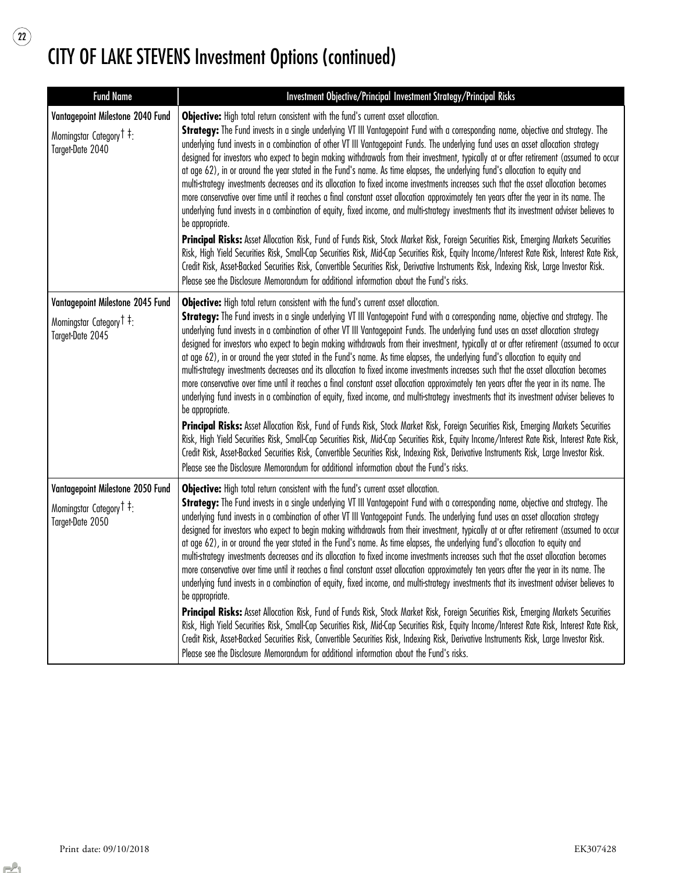| <b>Fund Name</b>                                                                             | Investment Objective/Principal Investment Strategy/Principal Risks                                                                                                                                                                                                                                                                                                                                                                                                                                                                                                                                                                                                                                                                                                                                                                                                                                                                                                                                                                                                                                                                                                                                                                                                                                                                                                                                                                                                                                                                                                                                                    |
|----------------------------------------------------------------------------------------------|-----------------------------------------------------------------------------------------------------------------------------------------------------------------------------------------------------------------------------------------------------------------------------------------------------------------------------------------------------------------------------------------------------------------------------------------------------------------------------------------------------------------------------------------------------------------------------------------------------------------------------------------------------------------------------------------------------------------------------------------------------------------------------------------------------------------------------------------------------------------------------------------------------------------------------------------------------------------------------------------------------------------------------------------------------------------------------------------------------------------------------------------------------------------------------------------------------------------------------------------------------------------------------------------------------------------------------------------------------------------------------------------------------------------------------------------------------------------------------------------------------------------------------------------------------------------------------------------------------------------------|
| Vantagepoint Milestone 2040 Fund<br>Morningstar Category <sup>†</sup> ‡:<br>Target-Date 2040 | Objective: High total return consistent with the fund's current asset allocation.<br>Strategy: The Fund invests in a single underlying VT III Vantagepoint Fund with a corresponding name, objective and strategy. The<br>underlying fund invests in a combination of other VT III Vantagepoint Funds. The underlying fund uses an asset allocation strategy<br>designed for investors who expect to begin making withdrawals from their investment, typically at or after retirement (assumed to occur<br>at age 62), in or around the year stated in the Fund's name. As time elapses, the underlying fund's allocation to equity and<br>multi-strategy investments decreases and its allocation to fixed income investments increases such that the asset allocation becomes<br>more conservative over time until it reaches a final constant asset allocation approximately ten years after the year in its name. The<br>underlying fund invests in a combination of equity, fixed income, and multi-strategy investments that its investment adviser believes to<br>be appropriate.<br>Principal Risks: Asset Allocation Risk, Fund of Funds Risk, Stock Market Risk, Foreign Securities Risk, Emerging Markets Securities<br>Risk, High Yield Securities Risk, Small-Cap Securities Risk, Mid-Cap Securities Risk, Equity Income/Interest Rate Risk, Interest Rate Risk,<br>Credit Risk, Asset-Backed Securities Risk, Convertible Securities Risk, Derivative Instruments Risk, Indexing Risk, Large Investor Risk.<br>Please see the Disclosure Memorandum for additional information about the Fund's risks. |
| Vantagepoint Milestone 2045 Fund<br>Morningstar Category T ‡:<br>Target-Date 2045            | Objective: High total return consistent with the fund's current asset allocation.<br>Strategy: The Fund invests in a single underlying VT III Vantagepoint Fund with a corresponding name, objective and strategy. The<br>underlying fund invests in a combination of other VT III Vantagepoint Funds. The underlying fund uses an asset allocation strategy<br>designed for investors who expect to begin making withdrawals from their investment, typically at or after retirement (assumed to occur<br>at age 62), in or around the year stated in the Fund's name. As time elapses, the underlying fund's allocation to equity and<br>multi-strategy investments decreases and its allocation to fixed income investments increases such that the asset allocation becomes<br>more conservative over time until it reaches a final constant asset allocation approximately ten years after the year in its name. The<br>underlying fund invests in a combination of equity, fixed income, and multi-strategy investments that its investment adviser believes to<br>be appropriate.<br>Principal Risks: Asset Allocation Risk, Fund of Funds Risk, Stock Market Risk, Foreign Securities Risk, Emerging Markets Securities<br>Risk, High Yield Securities Risk, Small-Cap Securities Risk, Mid-Cap Securities Risk, Equity Income/Interest Rate Risk, Interest Rate Risk,<br>Credit Risk, Asset-Backed Securities Risk, Convertible Securities Risk, Indexing Risk, Derivative Instruments Risk, Large Investor Risk.<br>Please see the Disclosure Memorandum for additional information about the Fund's risks. |
| Vantagepoint Milestone 2050 Fund<br>Morningstar Category <sup>†</sup> :<br>Target-Date 2050  | Objective: High total return consistent with the fund's current asset allocation.<br>Strategy: The Fund invests in a single underlying VT III Vantagepoint Fund with a corresponding name, objective and strategy. The<br>underlying fund invests in a combination of other VT III Vantagepoint Funds. The underlying fund uses an asset allocation strategy<br>designed for investors who expect to begin making withdrawals from their investment, typically at or after retirement (assumed to occur<br>at age 62), in or around the year stated in the Fund's name. As time elapses, the underlying fund's allocation to equity and<br>multi-strategy investments decreases and its allocation to fixed income investments increases such that the asset allocation becomes<br>more conservative over time until it reaches a final constant asset allocation approximately ten years after the year in its name. The<br>underlying fund invests in a combination of equity, fixed income, and multi-strategy investments that its investment adviser believes to<br>be appropriate.<br>Principal Risks: Asset Allocation Risk, Fund of Funds Risk, Stock Market Risk, Foreign Securities Risk, Emerging Markets Securities<br>Risk, High Yield Securities Risk, Small-Cap Securities Risk, Mid-Cap Securities Risk, Equity Income/Interest Rate Risk, Interest Rate Risk,<br>Credit Risk, Asset-Backed Securities Risk, Convertible Securities Risk, Indexing Risk, Derivative Instruments Risk, Large Investor Risk.<br>Please see the Disclosure Memorandum for additional information about the Fund's risks. |

 $\begin{array}{c} \textbf{(22)} \end{array}$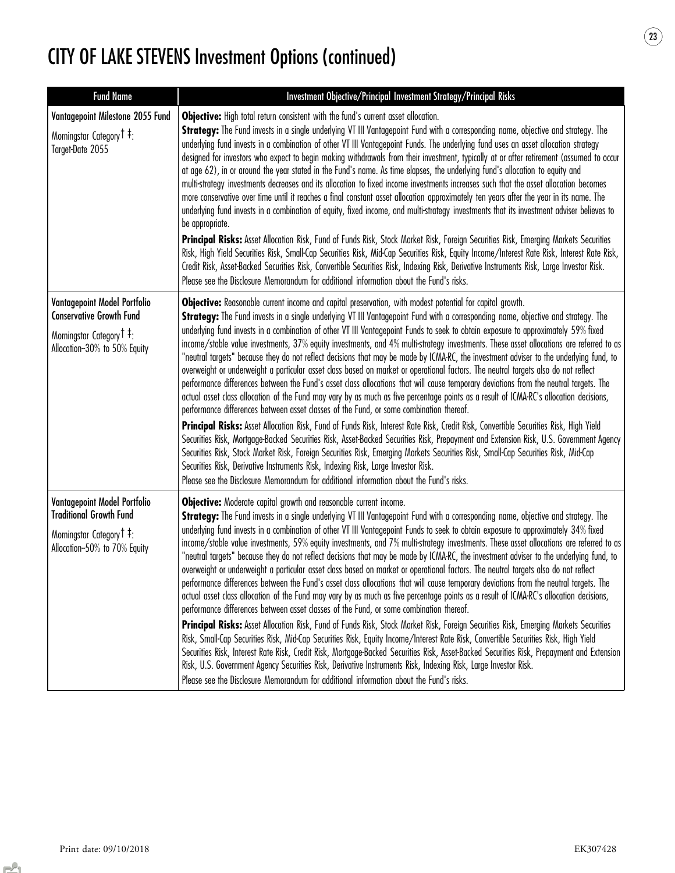| <b>Fund Name</b>                                                                                                                         | Investment Objective/Principal Investment Strategy/Principal Risks                                                                                                                                                                                                                                                                                                                                                                                                                                                                                                                                                                                                                                                                                                                                                                                                                                                                                                                                                                                                                                                                                                                                                                                                                                                                                                                                                                                                                                                                                                                                                                                                                                                                                                                               |
|------------------------------------------------------------------------------------------------------------------------------------------|--------------------------------------------------------------------------------------------------------------------------------------------------------------------------------------------------------------------------------------------------------------------------------------------------------------------------------------------------------------------------------------------------------------------------------------------------------------------------------------------------------------------------------------------------------------------------------------------------------------------------------------------------------------------------------------------------------------------------------------------------------------------------------------------------------------------------------------------------------------------------------------------------------------------------------------------------------------------------------------------------------------------------------------------------------------------------------------------------------------------------------------------------------------------------------------------------------------------------------------------------------------------------------------------------------------------------------------------------------------------------------------------------------------------------------------------------------------------------------------------------------------------------------------------------------------------------------------------------------------------------------------------------------------------------------------------------------------------------------------------------------------------------------------------------|
| Vantagepoint Milestone 2055 Fund<br>Morningstar Category <sup>†</sup> <sup>‡</sup> :<br>Target-Date 2055                                 | Objective: High total return consistent with the fund's current asset allocation.<br>Strategy: The Fund invests in a single underlying VT III Vantagepoint Fund with a corresponding name, objective and strategy. The<br>underlying fund invests in a combination of other VT III Vantagepoint Funds. The underlying fund uses an asset allocation strategy<br>designed for investors who expect to begin making withdrawals from their investment, typically at or after retirement (assumed to occur<br>at age 62), in or around the year stated in the Fund's name. As time elapses, the underlying fund's allocation to equity and<br>multi-strategy investments decreases and its allocation to fixed income investments increases such that the asset allocation becomes<br>more conservative over time until it reaches a final constant asset allocation approximately ten years after the year in its name. The<br>underlying fund invests in a combination of equity, fixed income, and multi-strategy investments that its investment adviser believes to<br>be appropriate.<br>Principal Risks: Asset Allocation Risk, Fund of Funds Risk, Stock Market Risk, Foreign Securities Risk, Emerging Markets Securities<br>Risk, High Yield Securities Risk, Small-Cap Securities Risk, Mid-Cap Securities Risk, Equity Income/Interest Rate Risk, Interest Rate Risk,<br>Credit Risk, Asset-Backed Securities Risk, Convertible Securities Risk, Indexing Risk, Derivative Instruments Risk, Large Investor Risk.<br>Please see the Disclosure Memorandum for additional information about the Fund's risks.                                                                                                                                                                            |
| Vantagepoint Model Portfolio<br><b>Conservative Growth Fund</b><br>Morningstar Category T <sup>‡</sup> :<br>Allocation-30% to 50% Equity | Objective: Reasonable current income and capital preservation, with modest potential for capital growth.<br>Strategy: The Fund invests in a single underlying VT III Vantagepoint Fund with a corresponding name, objective and strategy. The<br>underlying fund invests in a combination of other VT III Vantagepoint Funds to seek to obtain exposure to approximately 59% fixed<br>income/stable value investments, 37% equity investments, and 4% multi-strategy investments. These asset allocations are referred to as<br>"neutral targets" because they do not reflect decisions that may be made by ICMA-RC, the investment adviser to the underlying fund, to<br>overweight or underweight a particular asset class based on market or operational factors. The neutral targets also do not reflect<br>performance differences between the Fund's asset class allocations that will cause temporary deviations from the neutral targets. The<br>actual asset class allocation of the Fund may vary by as much as five percentage points as a result of ICMA-RC's allocation decisions,<br>performance differences between asset classes of the Fund, or some combination thereof.<br>Principal Risks: Asset Allocation Risk, Fund of Funds Risk, Interest Rate Risk, Credit Risk, Convertible Securities Risk, High Yield<br>Securities Risk, Mortgage-Backed Securities Risk, Asset-Backed Securities Risk, Prepayment and Extension Risk, U.S. Government Agency<br>Securities Risk, Stock Market Risk, Foreign Securities Risk, Emerging Markets Securities Risk, Small-Cap Securities Risk, Mid-Cap<br>Securities Risk, Derivative Instruments Risk, Indexing Risk, Large Investor Risk.<br>Please see the Disclosure Memorandum for additional information about the Fund's risks. |
| Vantagepoint Model Portfolio<br><b>Traditional Growth Fund</b><br>Morningstar Category <sup>†</sup> :<br>Allocation-50% to 70% Equity    | Objective: Moderate capital growth and reasonable current income.<br>Strategy: The Fund invests in a single underlying VT III Vantagepoint Fund with a corresponding name, objective and strategy. The<br>underlying fund invests in a combination of other VT III Vantagepoint Funds to seek to obtain exposure to approximately 34% fixed<br>income/stable value investments, 59% equity investments, and 7% multi-strategy investments. These asset allocations are referred to as<br>"neutral targets" because they do not reflect decisions that may be made by ICMA-RC, the investment adviser to the underlying fund, to<br>overweight or underweight a particular asset class based on market or operational factors. The neutral targets also do not reflect<br>performance differences between the Fund's asset class allocations that will cause temporary deviations from the neutral targets. The<br>actual asset class allocation of the Fund may vary by as much as five percentage points as a result of ICMA-RC's allocation decisions,<br>performance differences between asset classes of the Fund, or some combination thereof.<br>Principal Risks: Asset Allocation Risk, Fund of Funds Risk, Stock Market Risk, Foreign Securities Risk, Emerging Markets Securities<br>Risk, Small-Cap Securities Risk, Mid-Cap Securities Risk, Equity Income/Interest Rate Risk, Convertible Securities Risk, High Yield<br>Securities Risk, Interest Rate Risk, Credit Risk, Mortgage-Backed Securities Risk, Asset-Backed Securities Risk, Prepayment and Extension<br>Risk, U.S. Government Agency Securities Risk, Derivative Instruments Risk, Indexing Risk, Large Investor Risk.<br>Please see the Disclosure Memorandum for additional information about the Fund's risks.      |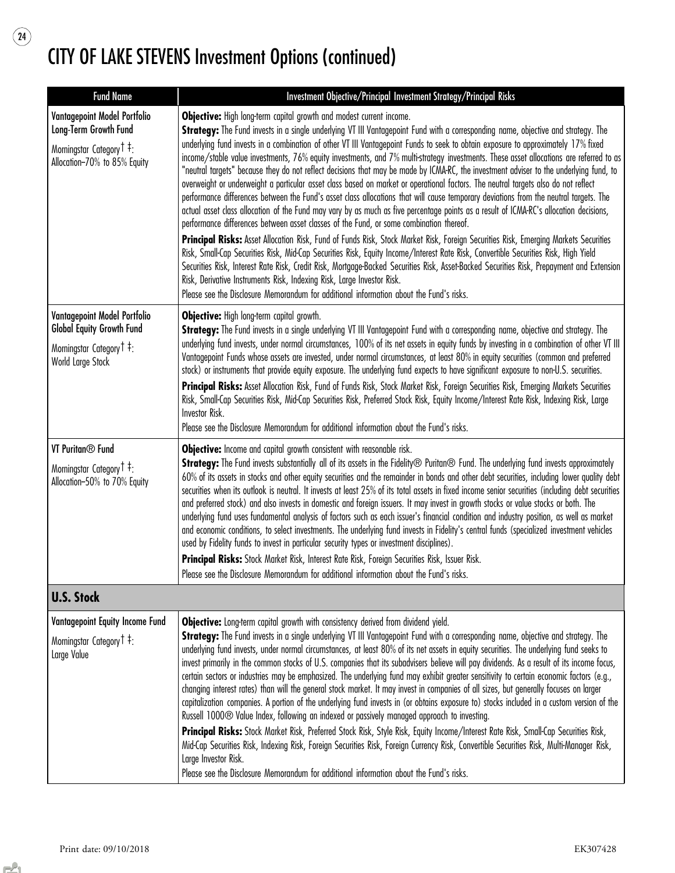$\circled{24}$ 

| <b>Fund Name</b>                                                                                                                          | Investment Objective/Principal Investment Strategy/Principal Risks                                                                                                                                                                                                                                                                                                                                                                                                                                                                                                                                                                                                                                                                                                                                                                                                                                                                                                                                                                                                                                                                                                                                                                                                                                                                                                                                                                                                                                                                                                                                                                                                                                                                                    |
|-------------------------------------------------------------------------------------------------------------------------------------------|-------------------------------------------------------------------------------------------------------------------------------------------------------------------------------------------------------------------------------------------------------------------------------------------------------------------------------------------------------------------------------------------------------------------------------------------------------------------------------------------------------------------------------------------------------------------------------------------------------------------------------------------------------------------------------------------------------------------------------------------------------------------------------------------------------------------------------------------------------------------------------------------------------------------------------------------------------------------------------------------------------------------------------------------------------------------------------------------------------------------------------------------------------------------------------------------------------------------------------------------------------------------------------------------------------------------------------------------------------------------------------------------------------------------------------------------------------------------------------------------------------------------------------------------------------------------------------------------------------------------------------------------------------------------------------------------------------------------------------------------------------|
| Vantagepoint Model Portfolio<br>Long-Term Growth Fund<br>Morningstar Category <sup>†</sup> <sup>‡</sup> :<br>Allocation-70% to 85% Equity | Objective: High long-term capital growth and modest current income.<br>Strategy: The Fund invests in a single underlying VT III Vantagepoint Fund with a corresponding name, objective and strategy. The<br>underlying fund invests in a combination of other VT III Vantagepoint Funds to seek to obtain exposure to approximately 17% fixed<br>income/stable value investments, 76% equity investments, and 7% multi-strategy investments. These asset allocations are referred to as<br>"neutral targets" because they do not reflect decisions that may be made by ICMA-RC, the investment adviser to the underlying fund, to<br>overweight or underweight a particular asset class based on market or operational factors. The neutral targets also do not reflect<br>performance differences between the Fund's asset class allocations that will cause temporary deviations from the neutral targets. The<br>actual asset class allocation of the Fund may vary by as much as five percentage points as a result of ICMA-RC's allocation decisions,<br>performance differences between asset classes of the Fund, or some combination thereof.<br>Principal Risks: Asset Allocation Risk, Fund of Funds Risk, Stock Market Risk, Foreign Securities Risk, Emerging Markets Securities<br>Risk, Small-Cap Securities Risk, Mid-Cap Securities Risk, Equity Income/Interest Rate Risk, Convertible Securities Risk, High Yield<br>Securities Risk, Interest Rate Risk, Credit Risk, Mortgage-Backed Securities Risk, Asset-Backed Securities Risk, Prepayment and Extension<br>Risk, Derivative Instruments Risk, Indexing Risk, Large Investor Risk.<br>Please see the Disclosure Memorandum for additional information about the Fund's risks. |
| Vantagepoint Model Portfolio<br><b>Global Equity Growth Fund</b><br>Morningstar Category <sup>†</sup> ‡:<br>World Large Stock             | Objective: High long-term capital growth.<br>Strategy: The Fund invests in a single underlying VT III Vantagepoint Fund with a corresponding name, objective and strategy. The<br>underlying fund invests, under normal circumstances, 100% of its net assets in equity funds by investing in a combination of other VT III<br>Vantagepoint Funds whose assets are invested, under normal circumstances, at least 80% in equity securities (common and preferred<br>stock) or instruments that provide equity exposure. The underlying fund expects to have significant exposure to non-U.S. securities.<br>Principal Risks: Asset Allocation Risk, Fund of Funds Risk, Stock Market Risk, Foreign Securities Risk, Emerging Markets Securities<br>Risk, Small-Cap Securities Risk, Mid-Cap Securities Risk, Preferred Stock Risk, Equity Income/Interest Rate Risk, Indexing Risk, Large<br>Investor Risk.<br>Please see the Disclosure Memorandum for additional information about the Fund's risks.                                                                                                                                                                                                                                                                                                                                                                                                                                                                                                                                                                                                                                                                                                                                                |
| VT Puritan <sup>®</sup> Fund<br>Morningstar Category <sup>†</sup> :<br>Allocation-50% to 70% Equity                                       | Objective: Income and capital growth consistent with reasonable risk.<br>Strategy: The Fund invests substantially all of its assets in the Fidelity® Puritan® Fund. The underlying fund invests approximately<br>60% of its assets in stocks and other equity securities and the remainder in bonds and other debt securities, including lower quality debt<br>securities when its outlook is neutral. It invests at least 25% of its total assets in fixed income senior securities (including debt securities<br>and preferred stock) and also invests in domestic and foreign issuers. It may invest in growth stocks or value stocks or both. The<br>underlying fund uses fundamental analysis of factors such as each issuer's financial condition and industry position, as well as market<br>and economic conditions, to select investments. The underlying fund invests in Fidelity's central funds (specialized investment vehicles<br>used by Fidelity funds to invest in particular security types or investment disciplines).<br>Principal Risks: Stock Market Risk, Interest Rate Risk, Foreign Securities Risk, Issuer Risk.<br>Please see the Disclosure Memorandum for additional information about the Fund's risks.                                                                                                                                                                                                                                                                                                                                                                                                                                                                                                                 |
| <b>U.S. Stock</b>                                                                                                                         |                                                                                                                                                                                                                                                                                                                                                                                                                                                                                                                                                                                                                                                                                                                                                                                                                                                                                                                                                                                                                                                                                                                                                                                                                                                                                                                                                                                                                                                                                                                                                                                                                                                                                                                                                       |
| Vantagepoint Equity Income Fund<br>Morningstar Category <sup>†</sup> :<br>Large Value                                                     | Objective: Long-term capital growth with consistency derived from dividend yield.<br>Strategy: The Fund invests in a single underlying VT III Vantagepoint Fund with a corresponding name, objective and strategy. The<br>underlying fund invests, under normal circumstances, at least 80% of its net assets in equity securities. The underlying fund seeks to<br>invest primarily in the common stocks of U.S. companies that its subadvisers believe will pay dividends. As a result of its income focus,<br>certain sectors or industries may be emphasized. The underlying fund may exhibit greater sensitivity to certain economic factors (e.g.,<br>changing interest rates) than will the general stock market. It may invest in companies of all sizes, but generally focuses on larger<br>capitalization companies. A portion of the underlying fund invests in (or obtains exposure to) stocks included in a custom version of the<br>Russell 1000® Value Index, following an indexed or passively managed approach to investing.<br>Principal Risks: Stock Market Risk, Preferred Stock Risk, Style Risk, Equity Income/Interest Rate Risk, Small-Cap Securities Risk,<br>Mid-Cap Securities Risk, Indexing Risk, Foreign Securities Risk, Foreign Currency Risk, Convertible Securities Risk, Multi-Manager Risk,<br>Large Investor Risk.<br>Please see the Disclosure Memorandum for additional information about the Fund's risks.                                                                                                                                                                                                                                                                                                    |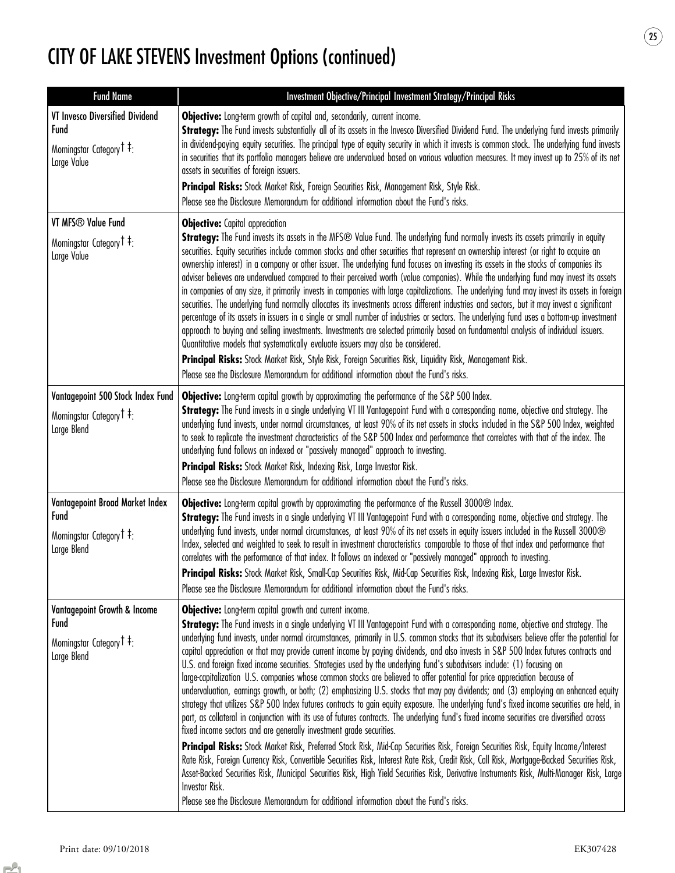| <b>Fund Name</b>                                                                                               | Investment Objective/Principal Investment Strategy/Principal Risks                                                                                                                                                                                                                                                                                                                                                                                                                                                                                                                                                                                                                                                                                                                                                                                                                                                                                                                                                                                                                                                                                                                                                                                                                                                                                                                                                                                                                                                                                                                                                                                                                                                                                                                                  |
|----------------------------------------------------------------------------------------------------------------|-----------------------------------------------------------------------------------------------------------------------------------------------------------------------------------------------------------------------------------------------------------------------------------------------------------------------------------------------------------------------------------------------------------------------------------------------------------------------------------------------------------------------------------------------------------------------------------------------------------------------------------------------------------------------------------------------------------------------------------------------------------------------------------------------------------------------------------------------------------------------------------------------------------------------------------------------------------------------------------------------------------------------------------------------------------------------------------------------------------------------------------------------------------------------------------------------------------------------------------------------------------------------------------------------------------------------------------------------------------------------------------------------------------------------------------------------------------------------------------------------------------------------------------------------------------------------------------------------------------------------------------------------------------------------------------------------------------------------------------------------------------------------------------------------------|
| VT Invesco Diversified Dividend<br>Fund<br>Morningstar Category <sup>†</sup> :<br>Large Value                  | Objective: Long-term growth of capital and, secondarily, current income.<br>Strategy: The Fund invests substantially all of its assets in the Invesco Diversified Dividend Fund. The underlying fund invests primarily<br>in dividend-paying equity securities. The principal type of equity security in which it invests is common stock. The underlying fund invests<br>in securities that its portfolio managers believe are undervalued based on various valuation measures. It may invest up to 25% of its net<br>assets in securities of foreign issuers.<br>Principal Risks: Stock Market Risk, Foreign Securities Risk, Management Risk, Style Risk.<br>Please see the Disclosure Memorandum for additional information about the Fund's risks.                                                                                                                                                                                                                                                                                                                                                                                                                                                                                                                                                                                                                                                                                                                                                                                                                                                                                                                                                                                                                                             |
| VT MFS <sup>®</sup> Value Fund<br>Morningstar Category <sup>†</sup> ‡:<br>Large Value                          | <b>Objective:</b> Capital appreciation<br>Strategy: The Fund invests its assets in the MFS® Value Fund. The underlying fund normally invests its assets primarily in equity<br>securities. Equity securities include common stocks and other securities that represent an ownership interest (or right to acquire an<br>ownership interest) in a company or other issuer. The underlying fund focuses on investing its assets in the stocks of companies its<br>adviser believes are undervalued compared to their perceived worth (value companies). While the underlying fund may invest its assets<br>in companies of any size, it primarily invests in companies with large capitalizations. The underlying fund may invest its assets in foreign<br>securities. The underlying fund normally allocates its investments across different industries and sectors, but it may invest a significant<br>percentage of its assets in issuers in a single or small number of industries or sectors. The underlying fund uses a bottom-up investment<br>approach to buying and selling investments. Investments are selected primarily based on fundamental analysis of individual issuers.<br>Quantitative models that systematically evaluate issuers may also be considered.<br>Principal Risks: Stock Market Risk, Style Risk, Foreign Securities Risk, Liquidity Risk, Management Risk.<br>Please see the Disclosure Memorandum for additional information about the Fund's risks.                                                                                                                                                                                                                                                                                                                |
| Vantagepoint 500 Stock Index Fund<br>Morningstar Category <sup>†</sup> :<br>Large Blend                        | <b>Objective:</b> Long-term capital growth by approximating the performance of the S&P 500 Index.<br>Strategy: The Fund invests in a single underlying VT III Vantagepoint Fund with a corresponding name, objective and strategy. The<br>underlying fund invests, under normal circumstances, at least 90% of its net assets in stocks included in the S&P 500 Index, weighted<br>to seek to replicate the investment characteristics of the S&P 500 Index and performance that correlates with that of the index. The<br>underlying fund follows an indexed or "passively managed" approach to investing.<br>Principal Risks: Stock Market Risk, Indexing Risk, Large Investor Risk.<br>Please see the Disclosure Memorandum for additional information about the Fund's risks.                                                                                                                                                                                                                                                                                                                                                                                                                                                                                                                                                                                                                                                                                                                                                                                                                                                                                                                                                                                                                   |
| Vantagepoint Broad Market Index<br><b>Fund</b><br>Morningstar Category <sup>†</sup> :<br>Large Blend           | Objective: Long-term capital growth by approximating the performance of the Russell 3000® Index.<br>Strategy: The Fund invests in a single underlying VT III Vantagepoint Fund with a corresponding name, objective and strategy. The<br>underlying fund invests, under normal circumstances, at least 90% of its net assets in equity issuers included in the Russell 3000®<br>Index, selected and weighted to seek to result in investment characteristics comparable to those of that index and performance that<br>correlates with the performance of that index. It follows an indexed or "passively managed" approach to investing.<br>Principal Risks: Stock Market Risk, Small-Cap Securities Risk, Mid-Cap Securities Risk, Indexing Risk, Large Investor Risk.<br>Please see the Disclosure Memorandum for additional information about the Fund's risks.                                                                                                                                                                                                                                                                                                                                                                                                                                                                                                                                                                                                                                                                                                                                                                                                                                                                                                                                 |
| Vantagepoint Growth & Income<br><b>Fund</b><br>Morningstar Category <sup>†</sup> <sup>‡</sup> :<br>Large Blend | Objective: Long-term capital growth and current income.<br>Strategy: The Fund invests in a single underlying VT III Vantagepoint Fund with a corresponding name, objective and strategy. The<br>underlying fund invests, under normal circumstances, primarily in U.S. common stocks that its subadvisers believe offer the potential for<br>capital appreciation or that may provide current income by paying dividends, and also invests in S&P 500 Index futures contracts and<br>U.S. and foreign fixed income securities. Strategies used by the underlying fund's subadvisers include: (1) focusing on<br>large-capitalization U.S. companies whose common stocks are believed to offer potential for price appreciation because of<br>undervaluation, earnings growth, or both; (2) emphasizing U.S. stocks that may pay dividends; and (3) employing an enhanced equity<br>strategy that utilizes S&P 500 Index futures contracts to gain equity exposure. The underlying fund's fixed income securities are held, in<br>part, as collateral in conjunction with its use of futures contracts. The underlying fund's fixed income securities are diversified across<br>fixed income sectors and are generally investment grade securities.<br>Principal Risks: Stock Market Risk, Preferred Stock Risk, Mid-Cap Securities Risk, Foreign Securities Risk, Equity Income/Interest<br>Rate Risk, Foreign Currency Risk, Convertible Securities Risk, Interest Rate Risk, Credit Risk, Call Risk, Mortgage-Backed Securities Risk,<br>Asset-Backed Securities Risk, Municipal Securities Risk, High Yield Securities Risk, Derivative Instruments Risk, Multi-Manager Risk, Large<br>Investor Risk.<br>Please see the Disclosure Memorandum for additional information about the Fund's risks. |

 $\circled{25}$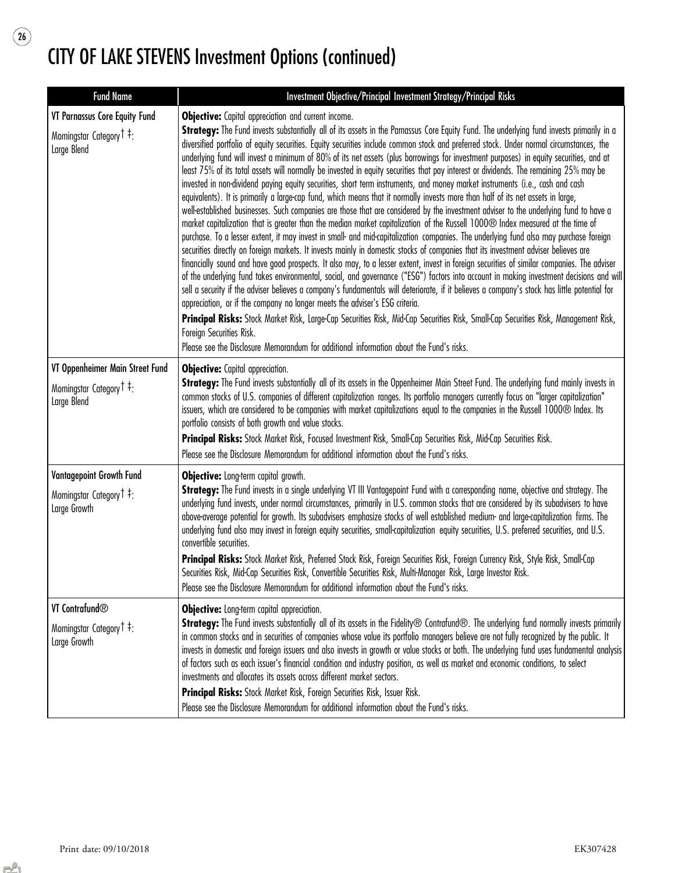$\begin{array}{c} \boxed{26} \end{array}$ 

| <b>Fund Name</b>                                                                       | Investment Objective/Principal Investment Strategy/Principal Risks                                                                                                                                                                                                                                                                                                                                                                                                                                                                                                                                                                                                                                                                                                                                                                                                                                                                                                                                                                                                                                                                                                                                                                                                                                                                                                                                                                                                                                                                                                                                                                                                                                                                                                                                                                                                                                                                                                                                                                                                                                                                                                                                                                             |
|----------------------------------------------------------------------------------------|------------------------------------------------------------------------------------------------------------------------------------------------------------------------------------------------------------------------------------------------------------------------------------------------------------------------------------------------------------------------------------------------------------------------------------------------------------------------------------------------------------------------------------------------------------------------------------------------------------------------------------------------------------------------------------------------------------------------------------------------------------------------------------------------------------------------------------------------------------------------------------------------------------------------------------------------------------------------------------------------------------------------------------------------------------------------------------------------------------------------------------------------------------------------------------------------------------------------------------------------------------------------------------------------------------------------------------------------------------------------------------------------------------------------------------------------------------------------------------------------------------------------------------------------------------------------------------------------------------------------------------------------------------------------------------------------------------------------------------------------------------------------------------------------------------------------------------------------------------------------------------------------------------------------------------------------------------------------------------------------------------------------------------------------------------------------------------------------------------------------------------------------------------------------------------------------------------------------------------------------|
| VT Parnassus Core Equity Fund<br>Morningstar Category <sup>†</sup> ‡:<br>Large Blend   | Objective: Capital appreciation and current income.<br>Strategy: The Fund invests substantially all of its assets in the Parnassus Core Equity Fund. The underlying fund invests primarily in a<br>diversified portfolio of equity securities. Equity securities include common stock and preferred stock. Under normal circumstances, the<br>underlying fund will invest a minimum of 80% of its net assets (plus borrowings for investment purposes) in equity securities, and at<br>least 75% of its total assets will normally be invested in equity securities that pay interest or dividends. The remaining 25% may be<br>invested in non-dividend paying equity securities, short term instruments, and money market instruments (i.e., cash and cash<br>equivalents). It is primarily a large-cap fund, which means that it normally invests more than half of its net assets in large,<br>well-established businesses. Such companies are those that are considered by the investment adviser to the underlying fund to have a<br>market capitalization that is greater than the median market capitalization of the Russell 1000® Index measured at the time of<br>purchase. To a lesser extent, it may invest in small- and mid-capitalization companies. The underlying fund also may purchase foreign<br>securities directly on foreign markets. It invests mainly in domestic stocks of companies that its investment adviser believes are<br>financially sound and have good prospects. It also may, to a lesser extent, invest in foreign securities of similar companies. The adviser<br>of the underlying fund takes environmental, social, and governance ("ESG") factors into account in making investment decisions and will<br>sell a security if the adviser believes a company's fundamentals will deteriorate, if it believes a company's stock has little potential for<br>appreciation, or if the company no longer meets the adviser's ESG criteria.<br>Principal Risks: Stock Market Risk, Large-Cap Securities Risk, Mid-Cap Securities Risk, Small-Cap Securities Risk, Management Risk,<br>Foreign Securities Risk.<br>Please see the Disclosure Memorandum for additional information about the Fund's risks. |
| VT Oppenheimer Main Street Fund<br>Morningstar Category <sup>†</sup> ‡:<br>Large Blend | <b>Objective:</b> Capital appreciation.<br>Strategy: The Fund invests substantially all of its assets in the Oppenheimer Main Street Fund. The underlying fund mainly invests in<br>common stocks of U.S. companies of different capitalization ranges. Its portfolio managers currently focus on "larger capitalization"<br>issuers, which are considered to be companies with market capitalizations equal to the companies in the Russell 1000® Index. Its<br>portfolio consists of both growth and value stocks.<br>Principal Risks: Stock Market Risk, Focused Investment Risk, Small-Cap Securities Risk, Mid-Cap Securities Risk.<br>Please see the Disclosure Memorandum for additional information about the Fund's risks.                                                                                                                                                                                                                                                                                                                                                                                                                                                                                                                                                                                                                                                                                                                                                                                                                                                                                                                                                                                                                                                                                                                                                                                                                                                                                                                                                                                                                                                                                                            |
| Vantagepoint Growth Fund<br>Morningstar Category <sup>†</sup> ‡:<br>Large Growth       | Objective: Long-term capital growth.<br>Strategy: The Fund invests in a single underlying VT III Vantagepoint Fund with a corresponding name, objective and strategy. The<br>underlying fund invests, under normal circumstances, primarily in U.S. common stocks that are considered by its subadvisers to have<br>above-average potential for growth. Its subadvisers emphasize stocks of well established medium- and large-capitalization firms. The<br>underlying fund also may invest in foreign equity securities, small-capitalization equity securities, U.S. preferred securities, and U.S.<br>convertible securities.<br>Principal Risks: Stock Market Risk, Preferred Stock Risk, Foreign Securities Risk, Foreign Currency Risk, Style Risk, Small-Cap<br>Securities Risk, Mid-Cap Securities Risk, Convertible Securities Risk, Multi-Manager Risk, Large Investor Risk.<br>Please see the Disclosure Memorandum for additional information about the Fund's risks.                                                                                                                                                                                                                                                                                                                                                                                                                                                                                                                                                                                                                                                                                                                                                                                                                                                                                                                                                                                                                                                                                                                                                                                                                                                              |
| VT Contrafund <sup>®</sup><br>Morningstar Category <sup>†</sup> ‡:<br>Large Growth     | <b>Objective:</b> Long-term capital appreciation.<br>Strategy: The Fund invests substantially all of its assets in the Fidelity® Contrafund®. The underlying fund normally invests primarily<br>in common stocks and in securities of companies whose value its portfolio managers believe are not fully recognized by the public. It<br>invests in domestic and foreign issuers and also invests in growth or value stocks or both. The underlying fund uses fundamental analysis<br>of factors such as each issuer's financial condition and industry position, as well as market and economic conditions, to select<br>investments and allocates its assets across different market sectors.<br>Principal Risks: Stock Market Risk, Foreign Securities Risk, Issuer Risk.<br>Please see the Disclosure Memorandum for additional information about the Fund's risks.                                                                                                                                                                                                                                                                                                                                                                                                                                                                                                                                                                                                                                                                                                                                                                                                                                                                                                                                                                                                                                                                                                                                                                                                                                                                                                                                                                        |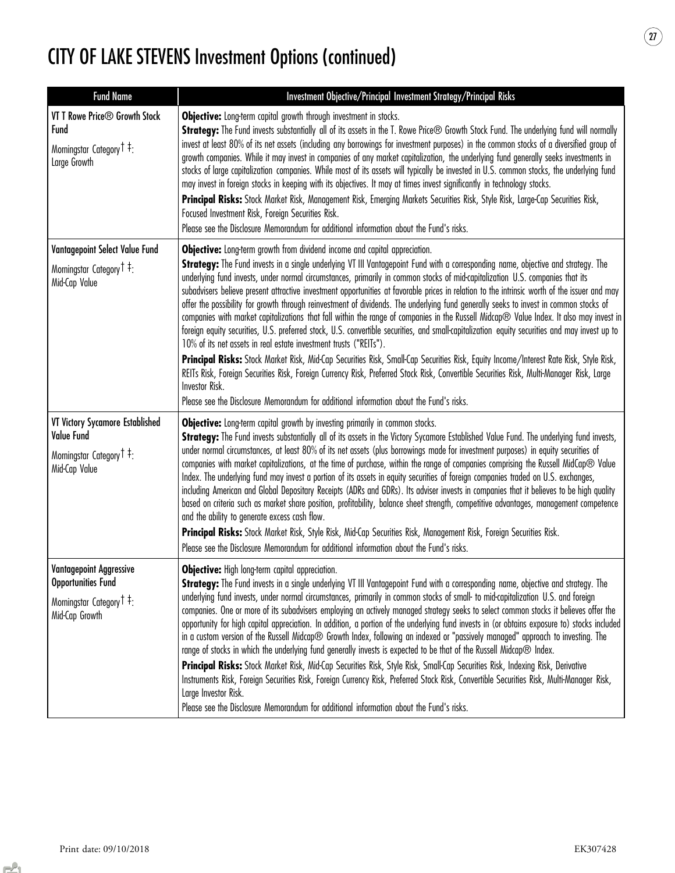| <b>Fund Name</b>                                                                                                     | Investment Objective/Principal Investment Strategy/Principal Risks                                                                                                                                                                                                                                                                                                                                                                                                                                                                                                                                                                                                                                                                                                                                                                                                                                                                                                                                                                                                                                                                                                                                                                                                                                                                                                                                           |
|----------------------------------------------------------------------------------------------------------------------|--------------------------------------------------------------------------------------------------------------------------------------------------------------------------------------------------------------------------------------------------------------------------------------------------------------------------------------------------------------------------------------------------------------------------------------------------------------------------------------------------------------------------------------------------------------------------------------------------------------------------------------------------------------------------------------------------------------------------------------------------------------------------------------------------------------------------------------------------------------------------------------------------------------------------------------------------------------------------------------------------------------------------------------------------------------------------------------------------------------------------------------------------------------------------------------------------------------------------------------------------------------------------------------------------------------------------------------------------------------------------------------------------------------|
| VT T Rowe Price <sup>®</sup> Growth Stock<br>Fund<br>Morningstar Category <sup>†</sup> ‡:<br>Large Growth            | Objective: Long-term capital growth through investment in stocks.<br>Strategy: The Fund invests substantially all of its assets in the T. Rowe Price® Growth Stock Fund. The underlying fund will normally<br>invest at least 80% of its net assets (including any borrowings for investment purposes) in the common stocks of a diversified group of<br>growth companies. While it may invest in companies of any market capitalization, the underlying fund generally seeks investments in<br>stocks of large capitalization companies. While most of its assets will typically be invested in U.S. common stocks, the underlying fund<br>may invest in foreign stocks in keeping with its objectives. It may at times invest significantly in technology stocks.<br>Principal Risks: Stock Market Risk, Management Risk, Emerging Markets Securities Risk, Style Risk, Large-Cap Securities Risk,<br>Focused Investment Risk, Foreign Securities Risk.<br>Please see the Disclosure Memorandum for additional information about the Fund's risks.                                                                                                                                                                                                                                                                                                                                                         |
| Vantagepoint Select Value Fund<br>Morningstar Category <sup>†</sup> :<br>Mid-Cap Value                               | Objective: Long-term growth from dividend income and capital appreciation.<br>Strategy: The Fund invests in a single underlying VT III Vantagepoint Fund with a corresponding name, objective and strategy. The<br>underlying fund invests, under normal circumstances, primarily in common stocks of mid-capitalization U.S. companies that its<br>subadvisers believe present attractive investment opportunities at favorable prices in relation to the intrinsic worth of the issuer and may<br>offer the possibility for growth through reinvestment of dividends. The underlying fund generally seeks to invest in common stocks of<br>companies with market capitalizations that fall within the range of companies in the Russell Midcap® Value Index. It also may invest in<br>foreign equity securities, U.S. preferred stock, U.S. convertible securities, and small-capitalization equity securities and may invest up to<br>10% of its net assets in real estate investment trusts ("REITs").<br>Principal Risks: Stock Market Risk, Mid-Cap Securities Risk, Small-Cap Securities Risk, Equity Income/Interest Rate Risk, Style Risk,<br>REITs Risk, Foreign Securities Risk, Foreign Currency Risk, Preferred Stock Risk, Convertible Securities Risk, Multi-Manager Risk, Large<br>Investor Risk.<br>Please see the Disclosure Memorandum for additional information about the Fund's risks. |
| VT Victory Sycamore Established<br>Value Fund<br>Morningstar Category <sup>†</sup> :<br>Mid-Cap Value                | <b>Objective:</b> Long-term capital growth by investing primarily in common stocks.<br>Strategy: The Fund invests substantially all of its assets in the Victory Sycamore Established Value Fund. The underlying fund invests,<br>under normal circumstances, at least 80% of its net assets (plus borrowings made for investment purposes) in equity securities of<br>companies with market capitalizations, at the time of purchase, within the range of companies comprising the Russell MidCap® Value<br>Index. The underlying fund may invest a portion of its assets in equity securities of foreign companies traded on U.S. exchanges,<br>including American and Global Depositary Receipts (ADRs and GDRs). Its adviser invests in companies that it believes to be high quality<br>based on criteria such as market share position, profitability, balance sheet strength, competitive advantages, management competence<br>and the ability to generate excess cash flow.<br>Principal Risks: Stock Market Risk, Style Risk, Mid-Cap Securities Risk, Management Risk, Foreign Securities Risk.<br>Please see the Disclosure Memorandum for additional information about the Fund's risks.                                                                                                                                                                                                         |
| <b>Vantagepoint Aggressive</b><br><b>Opportunities Fund</b><br>Morningstar Category <sup>†</sup> :<br>Mid-Cap Growth | Objective: High long-term capital appreciation.<br>Strategy: The Fund invests in a single underlying VT III Vantagepoint Fund with a corresponding name, objective and strategy. The<br>underlying fund invests, under normal circumstances, primarily in common stocks of small- to mid-capitalization U.S. and foreign<br>companies. One or more of its subadvisers employing an actively managed strategy seeks to select common stocks it believes offer the<br>opportunity for high capital appreciation. In addition, a portion of the underlying fund invests in (or obtains exposure to) stocks included<br>in a custom version of the Russell Midcap® Growth Index, following an indexed or "passively managed" approach to investing. The<br>range of stocks in which the underlying fund generally invests is expected to be that of the Russell Midcap® Index.<br>Principal Risks: Stock Market Risk, Mid-Cap Securities Risk, Style Risk, Small-Cap Securities Risk, Indexing Risk, Derivative<br>Instruments Risk, Foreign Securities Risk, Foreign Currency Risk, Preferred Stock Risk, Convertible Securities Risk, Multi-Manager Risk,<br>Large Investor Risk.<br>Please see the Disclosure Memorandum for additional information about the Fund's risks.                                                                                                                                   |

 $\circled{2}$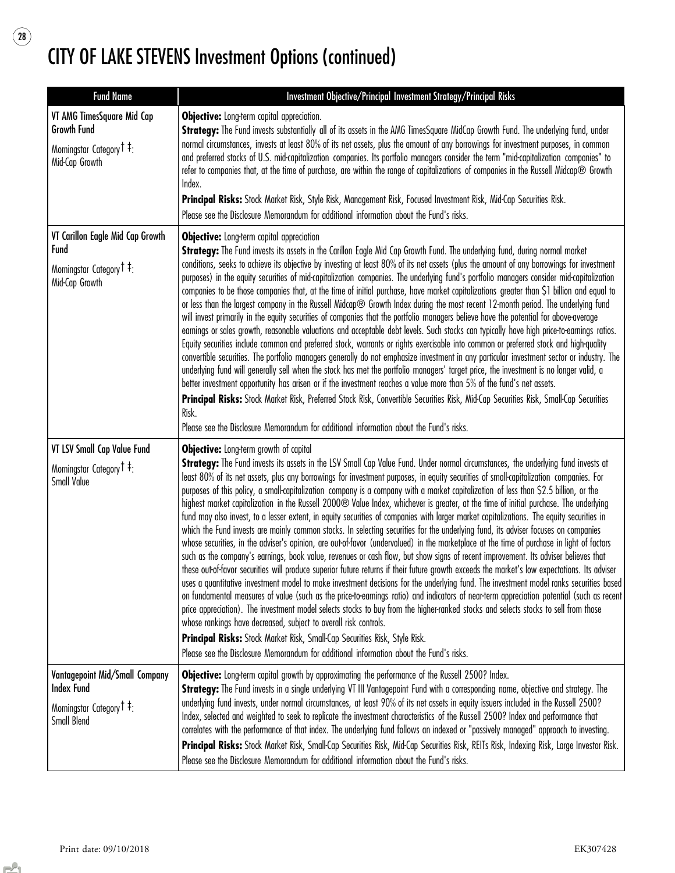$\begin{array}{c} \boxed{28} \end{array}$ 

| <b>Fund Name</b>                                                                                                       | Investment Objective/Principal Investment Strategy/Principal Risks                                                                                                                                                                                                                                                                                                                                                                                                                                                                                                                                                                                                                                                                                                                                                                                                                                                                                                                                                                                                                                                                                                                                                                                                                                                                                                                                                                                                                                                                                                                                                                                                                                                                                                                                                                                                                                                                                                                                           |
|------------------------------------------------------------------------------------------------------------------------|--------------------------------------------------------------------------------------------------------------------------------------------------------------------------------------------------------------------------------------------------------------------------------------------------------------------------------------------------------------------------------------------------------------------------------------------------------------------------------------------------------------------------------------------------------------------------------------------------------------------------------------------------------------------------------------------------------------------------------------------------------------------------------------------------------------------------------------------------------------------------------------------------------------------------------------------------------------------------------------------------------------------------------------------------------------------------------------------------------------------------------------------------------------------------------------------------------------------------------------------------------------------------------------------------------------------------------------------------------------------------------------------------------------------------------------------------------------------------------------------------------------------------------------------------------------------------------------------------------------------------------------------------------------------------------------------------------------------------------------------------------------------------------------------------------------------------------------------------------------------------------------------------------------------------------------------------------------------------------------------------------------|
| VT AMG TimesSquare Mid Cap<br><b>Growth Fund</b><br>Morningstar Category <sup>†</sup> <sup>‡</sup> :<br>Mid-Cap Growth | <b>Objective:</b> Long-term capital appreciation.<br>Strategy: The Fund invests substantially all of its assets in the AMG TimesSquare MidCap Growth Fund. The underlying fund, under<br>normal circumstances, invests at least 80% of its net assets, plus the amount of any borrowings for investment purposes, in common<br>and preferred stocks of U.S. mid-capitalization companies. Its portfolio managers consider the term "mid-capitalization companies" to<br>refer to companies that, at the time of purchase, are within the range of capitalizations of companies in the Russell Midcap® Growth<br>Index.<br>Principal Risks: Stock Market Risk, Style Risk, Management Risk, Focused Investment Risk, Mid-Cap Securities Risk.<br>Please see the Disclosure Memorandum for additional information about the Fund's risks.                                                                                                                                                                                                                                                                                                                                                                                                                                                                                                                                                                                                                                                                                                                                                                                                                                                                                                                                                                                                                                                                                                                                                                      |
| VT Carillon Eagle Mid Cap Growth<br>Fund<br>Morningstar Category <sup>†</sup> <sup>‡</sup> :<br>Mid-Cap Growth         | <b>Objective:</b> Long-term capital appreciation<br>Strategy: The Fund invests its assets in the Carillon Eagle Mid Cap Growth Fund. The underlying fund, during normal market<br>conditions, seeks to achieve its objective by investing at least 80% of its net assets (plus the amount of any borrowings for investment<br>purposes) in the equity securities of mid-capitalization companies. The underlying fund's portfolio managers consider mid-capitalization<br>companies to be those companies that, at the time of initial purchase, have market capitalizations greater than \$1 billion and equal to<br>or less than the largest company in the Russell Midcap® Growth Index during the most recent 12-month period. The underlying fund<br>will invest primarily in the equity securities of companies that the portfolio managers believe have the potential for above-average<br>earnings or sales growth, reasonable valuations and acceptable debt levels. Such stocks can typically have high price-to-earnings ratios.<br>Equity securities include common and preferred stock, warrants or rights exercisable into common or preferred stock and high-quality<br>convertible securities. The portfolio managers generally do not emphasize investment in any particular investment sector or industry. The<br>underlying fund will generally sell when the stock has met the portfolio managers' target price, the investment is no longer valid, a<br>better investment opportunity has arisen or if the investment reaches a value more than 5% of the fund's net assets.<br>Principal Risks: Stock Market Risk, Preferred Stock Risk, Convertible Securities Risk, Mid-Cap Securities Risk, Small-Cap Securities<br>Risk.<br>Please see the Disclosure Memorandum for additional information about the Fund's risks.                                                                                                                                                                |
| VT LSV Small Cap Value Fund<br>Morningstar Category <sup>†</sup> <sup>‡</sup> :<br>Small Value                         | <b>Objective:</b> Long-term growth of capital<br>Strategy: The Fund invests its assets in the LSV Small Cap Value Fund. Under normal circumstances, the underlying fund invests at<br>least 80% of its net assets, plus any borrowings for investment purposes, in equity securities of small-capitalization companies. For<br>purposes of this policy, a small-capitalization company is a company with a market capitalization of less than \$2.5 billion, or the<br>highest market capitalization in the Russell 2000® Value Index, whichever is greater, at the time of initial purchase. The underlying<br>fund may also invest, to a lesser extent, in equity securities of companies with larger market capitalizations. The equity securities in<br>which the Fund invests are mainly common stocks. In selecting securities for the underlying fund, its adviser focuses on companies<br>whose securities, in the adviser's opinion, are out-of-favor (undervalued) in the marketplace at the time of purchase in light of factors<br>such as the company's earnings, book value, revenues or cash flow, but show signs of recent improvement. Its adviser believes that<br>these out-of-favor securities will produce superior future returns if their future growth exceeds the market's low expectations. Its adviser<br>uses a quantitative investment model to make investment decisions for the underlying fund. The investment model ranks securities based<br>on fundamental measures of value (such as the price-to-earnings ratio) and indicators of near-term appreciation potential (such as recent<br>price appreciation). The investment model selects stocks to buy from the higher-ranked stocks and selects stocks to sell from those<br>whose rankings have decreased, subject to overall risk controls.<br>Principal Risks: Stock Market Risk, Small-Cap Securities Risk, Style Risk.<br>Please see the Disclosure Memorandum for additional information about the Fund's risks. |
| Vantagepoint Mid/Small Company<br><b>Index Fund</b><br>Morningstar Category T <sup>‡</sup> :<br>Small Blend            | Objective: Long-term capital growth by approximating the performance of the Russell 2500? Index.<br>Strategy: The Fund invests in a single underlying VT III Vantagepoint Fund with a corresponding name, objective and strategy. The<br>underlying fund invests, under normal circumstances, at least 90% of its net assets in equity issuers included in the Russell 2500?<br>Index, selected and weighted to seek to replicate the investment characteristics of the Russell 2500? Index and performance that<br>correlates with the performance of that index. The underlying fund follows an indexed or "passively managed" approach to investing.<br>Principal Risks: Stock Market Risk, Small-Cap Securities Risk, Mid-Cap Securities Risk, REITs Risk, Indexing Risk, Large Investor Risk.<br>Please see the Disclosure Memorandum for additional information about the Fund's risks.                                                                                                                                                                                                                                                                                                                                                                                                                                                                                                                                                                                                                                                                                                                                                                                                                                                                                                                                                                                                                                                                                                                |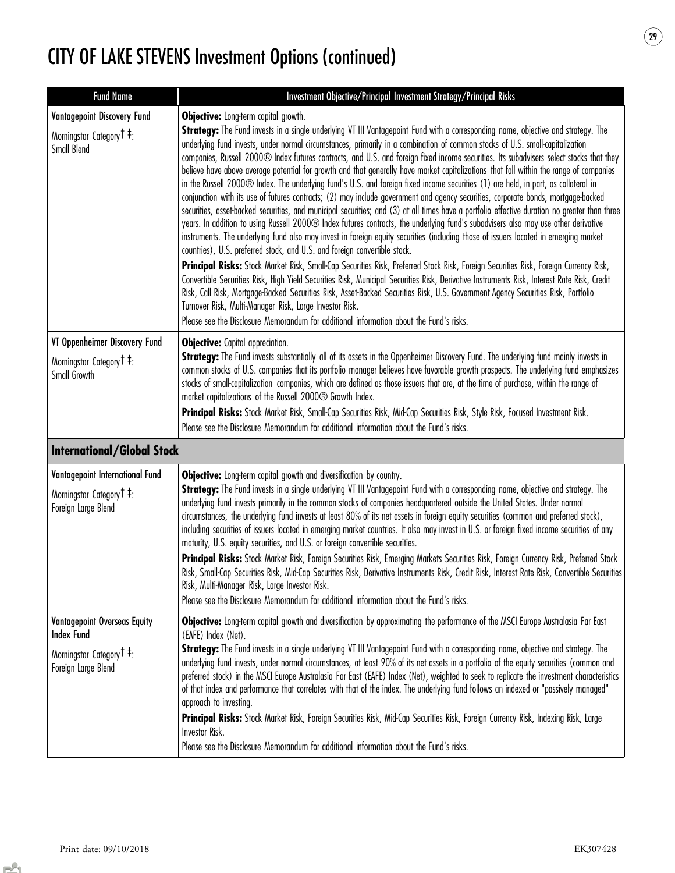| <b>Fund Name</b>                                                                                                                    | Investment Objective/Principal Investment Strategy/Principal Risks                                                                                                                                                                                                                                                                                                                                                                                                                                                                                                                                                                                                                                                                                                                                                                                                                                                                                                                                                                                                                                                                                                                                                                                                                                                                                                                                                                                                                                                                                                                                                                                                                                                                                                                                                                                                                                                                                                              |
|-------------------------------------------------------------------------------------------------------------------------------------|---------------------------------------------------------------------------------------------------------------------------------------------------------------------------------------------------------------------------------------------------------------------------------------------------------------------------------------------------------------------------------------------------------------------------------------------------------------------------------------------------------------------------------------------------------------------------------------------------------------------------------------------------------------------------------------------------------------------------------------------------------------------------------------------------------------------------------------------------------------------------------------------------------------------------------------------------------------------------------------------------------------------------------------------------------------------------------------------------------------------------------------------------------------------------------------------------------------------------------------------------------------------------------------------------------------------------------------------------------------------------------------------------------------------------------------------------------------------------------------------------------------------------------------------------------------------------------------------------------------------------------------------------------------------------------------------------------------------------------------------------------------------------------------------------------------------------------------------------------------------------------------------------------------------------------------------------------------------------------|
| Vantagepoint Discovery Fund<br>Morningstar Category <sup>†</sup> :<br>Small Blend                                                   | <b>Objective:</b> Long-term capital growth.<br>Strategy: The Fund invests in a single underlying VT III Vantagepoint Fund with a corresponding name, objective and strategy. The<br>underlying fund invests, under normal circumstances, primarily in a combination of common stocks of U.S. small-capitalization<br>companies, Russell 2000® Index futures contracts, and U.S. and foreign fixed income securities. Its subadvisers select stocks that they<br>believe have above average potential for growth and that generally have market capitalizations that fall within the range of companies<br>in the Russell 2000® Index. The underlying fund's U.S. and foreign fixed income securities (1) are held, in part, as collateral in<br>conjunction with its use of futures contracts; (2) may include government and agency securities, corporate bonds, mortgage-backed<br>securities, asset-backed securities, and municipal securities; and (3) at all times have a portfolio effective duration no greater than three<br>years. In addition to using Russell 2000® Index futures contracts, the underlying fund's subadvisers also may use other derivative<br>instruments. The underlying fund also may invest in foreign equity securities (including those of issuers located in emerging market<br>countries), U.S. preferred stock, and U.S. and foreign convertible stock.<br>Principal Risks: Stock Market Risk, Small-Cap Securities Risk, Preferred Stock Risk, Foreign Securities Risk, Foreign Currency Risk,<br>Convertible Securities Risk, High Yield Securities Risk, Municipal Securities Risk, Derivative Instruments Risk, Interest Rate Risk, Credit<br>Risk, Call Risk, Mortgage-Backed Securities Risk, Asset-Backed Securities Risk, U.S. Government Agency Securities Risk, Portfolio<br>Turnover Risk, Multi-Manager Risk, Large Investor Risk.<br>Please see the Disclosure Memorandum for additional information about the Fund's risks. |
| VT Oppenheimer Discovery Fund<br>Morningstar Category <sup>†</sup> :<br>Small Growth                                                | <b>Objective:</b> Capital appreciation.<br>Strategy: The Fund invests substantially all of its assets in the Oppenheimer Discovery Fund. The underlying fund mainly invests in<br>common stocks of U.S. companies that its portfolio manager believes have favorable growth prospects. The underlying fund emphasizes<br>stocks of small-capitalization companies, which are defined as those issuers that are, at the time of purchase, within the range of<br>market capitalizations of the Russell 2000 <sup>®</sup> Growth Index.<br>Principal Risks: Stock Market Risk, Small-Cap Securities Risk, Mid-Cap Securities Risk, Style Risk, Focused Investment Risk.<br>Please see the Disclosure Memorandum for additional information about the Fund's risks.                                                                                                                                                                                                                                                                                                                                                                                                                                                                                                                                                                                                                                                                                                                                                                                                                                                                                                                                                                                                                                                                                                                                                                                                                |
| <b>International/Global Stock</b>                                                                                                   |                                                                                                                                                                                                                                                                                                                                                                                                                                                                                                                                                                                                                                                                                                                                                                                                                                                                                                                                                                                                                                                                                                                                                                                                                                                                                                                                                                                                                                                                                                                                                                                                                                                                                                                                                                                                                                                                                                                                                                                 |
| Vantagepoint International Fund<br>Morningstar Category <sup>†</sup> ‡:<br>Foreign Large Blend                                      | <b>Objective:</b> Long-term capital growth and diversification by country.<br>Strategy: The Fund invests in a single underlying VT III Vantagepoint Fund with a corresponding name, objective and strategy. The<br>underlying fund invests primarily in the common stocks of companies headquartered outside the United States. Under normal<br>circumstances, the underlying fund invests at least 80% of its net assets in foreign equity securities (common and preferred stock),<br>including securities of issuers located in emerging market countries. It also may invest in U.S. or foreign fixed income securities of any<br>maturity, U.S. equity securities, and U.S. or foreign convertible securities.<br>Principal Risks: Stock Market Risk, Foreign Securities Risk, Emerging Markets Securities Risk, Foreign Currency Risk, Preferred Stock<br>Risk, Small-Cap Securities Risk, Mid-Cap Securities Risk, Derivative Instruments Risk, Credit Risk, Interest Rate Risk, Convertible Securities<br>Risk, Multi-Manager Risk, Large Investor Risk.<br>Please see the Disclosure Memorandum for additional information about the Fund's risks.                                                                                                                                                                                                                                                                                                                                                                                                                                                                                                                                                                                                                                                                                                                                                                                                                     |
| <b>Vantagepoint Overseas Equity</b><br><b>Index Fund</b><br>Morningstar Category <sup>†</sup> <sup>‡</sup> :<br>Foreign Large Blend | Objective: Long-term capital growth and diversification by approximating the performance of the MSCI Europe Australasia Far East<br>(EAFE) Index (Net).<br>Strategy: The Fund invests in a single underlying VT III Vantagepoint Fund with a corresponding name, objective and strategy. The<br>underlying fund invests, under normal circumstances, at least 90% of its net assets in a portfolio of the equity securities (common and<br>preferred stock) in the MSCI Europe Australasia Far East (EAFE) Index (Net), weighted to seek to replicate the investment characteristics<br>of that index and performance that correlates with that of the index. The underlying fund follows an indexed or "passively managed"<br>approach to investing.<br>Principal Risks: Stock Market Risk, Foreign Securities Risk, Mid-Cap Securities Risk, Foreign Currency Risk, Indexing Risk, Large<br>Investor Risk.<br>Please see the Disclosure Memorandum for additional information about the Fund's risks.                                                                                                                                                                                                                                                                                                                                                                                                                                                                                                                                                                                                                                                                                                                                                                                                                                                                                                                                                                         |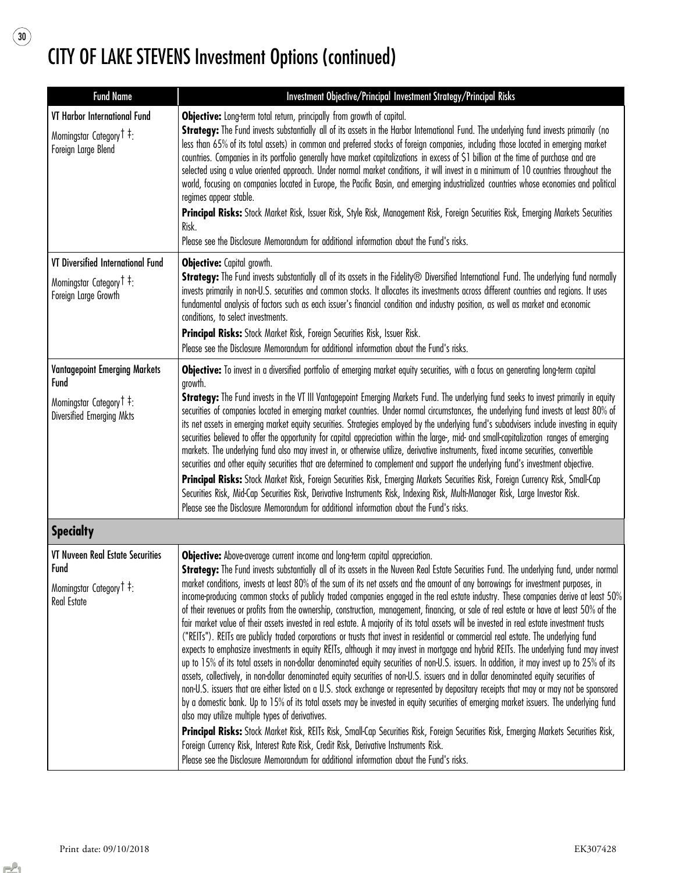$\circled{\scriptstyle 30}$ 

| <b>Fund Name</b>                                                                                          | Investment Objective/Principal Investment Strategy/Principal Risks                                                                                                                                                                                                                                                                                                                                                                                                                                                                                                                                                                                                                                                                                                                                                                                                                                                                                                                                                                                                                                                                                                                                                                                                                                                                                                                                                                                                                                                                                                                                                                                                                                                                                                                                                                                                                                                                                                                                                                         |
|-----------------------------------------------------------------------------------------------------------|--------------------------------------------------------------------------------------------------------------------------------------------------------------------------------------------------------------------------------------------------------------------------------------------------------------------------------------------------------------------------------------------------------------------------------------------------------------------------------------------------------------------------------------------------------------------------------------------------------------------------------------------------------------------------------------------------------------------------------------------------------------------------------------------------------------------------------------------------------------------------------------------------------------------------------------------------------------------------------------------------------------------------------------------------------------------------------------------------------------------------------------------------------------------------------------------------------------------------------------------------------------------------------------------------------------------------------------------------------------------------------------------------------------------------------------------------------------------------------------------------------------------------------------------------------------------------------------------------------------------------------------------------------------------------------------------------------------------------------------------------------------------------------------------------------------------------------------------------------------------------------------------------------------------------------------------------------------------------------------------------------------------------------------------|
| VT Harbor International Fund<br>Morningstar Category <sup>†</sup> <sup>‡</sup> :<br>Foreign Large Blend   | Objective: Long-term total return, principally from growth of capital.<br>Strategy: The Fund invests substantially all of its assets in the Harbor International Fund. The underlying fund invests primarily (no<br>less than 65% of its total assets) in common and preferred stocks of foreign companies, including those located in emerging market<br>countries. Companies in its portfolio generally have market capitalizations in excess of \$1 billion at the time of purchase and are<br>selected using a value oriented approach. Under normal market conditions, it will invest in a minimum of 10 countries throughout the<br>world, focusing on companies located in Europe, the Pacific Basin, and emerging industrialized countries whose economies and political<br>regimes appear stable.<br>Principal Risks: Stock Market Risk, Issuer Risk, Style Risk, Management Risk, Foreign Securities Risk, Emerging Markets Securities<br>Risk.<br>Please see the Disclosure Memorandum for additional information about the Fund's risks.                                                                                                                                                                                                                                                                                                                                                                                                                                                                                                                                                                                                                                                                                                                                                                                                                                                                                                                                                                                       |
| VT Diversified International Fund                                                                         | <b>Objective:</b> Capital growth.                                                                                                                                                                                                                                                                                                                                                                                                                                                                                                                                                                                                                                                                                                                                                                                                                                                                                                                                                                                                                                                                                                                                                                                                                                                                                                                                                                                                                                                                                                                                                                                                                                                                                                                                                                                                                                                                                                                                                                                                          |
| Morningstar Category <sup>†</sup> :<br>Foreign Large Growth                                               | Strategy: The Fund invests substantially all of its assets in the Fidelity® Diversified International Fund. The underlying fund normally<br>invests primarily in non-U.S. securities and common stocks. It allocates its investments across different countries and regions. It uses<br>fundamental analysis of factors such as each issuer's financial condition and industry position, as well as market and economic<br>conditions, to select investments.<br>Principal Risks: Stock Market Risk, Foreign Securities Risk, Issuer Risk.<br>Please see the Disclosure Memorandum for additional information about the Fund's risks.                                                                                                                                                                                                                                                                                                                                                                                                                                                                                                                                                                                                                                                                                                                                                                                                                                                                                                                                                                                                                                                                                                                                                                                                                                                                                                                                                                                                      |
| <b>Vantagepoint Emerging Markets</b>                                                                      | Objective: To invest in a diversified portfolio of emerging market equity securities, with a focus on generating long-term capital                                                                                                                                                                                                                                                                                                                                                                                                                                                                                                                                                                                                                                                                                                                                                                                                                                                                                                                                                                                                                                                                                                                                                                                                                                                                                                                                                                                                                                                                                                                                                                                                                                                                                                                                                                                                                                                                                                         |
| Fund<br>Morningstar Category <sup>†</sup> <sup>‡</sup> :<br>Diversified Emerging Mkts                     | growth.<br>Strategy: The Fund invests in the VT III Vantagepoint Emerging Markets Fund. The underlying fund seeks to invest primarily in equity<br>securities of companies located in emerging market countries. Under normal circumstances, the underlying fund invests at least 80% of<br>its net assets in emerging market equity securities. Strategies employed by the underlying fund's subadvisers include investing in equity<br>securities believed to offer the opportunity for capital appreciation within the large-, mid- and small-capitalization ranges of emerging<br>markets. The underlying fund also may invest in, or otherwise utilize, derivative instruments, fixed income securities, convertible<br>securities and other equity securities that are determined to complement and support the underlying fund's investment objective.<br>Principal Risks: Stock Market Risk, Foreign Securities Risk, Emerging Markets Securities Risk, Foreign Currency Risk, Small-Cap<br>Securities Risk, Mid-Cap Securities Risk, Derivative Instruments Risk, Indexing Risk, Multi-Manager Risk, Large Investor Risk.<br>Please see the Disclosure Memorandum for additional information about the Fund's risks.                                                                                                                                                                                                                                                                                                                                                                                                                                                                                                                                                                                                                                                                                                                                                                                                              |
| <b>Specialty</b>                                                                                          |                                                                                                                                                                                                                                                                                                                                                                                                                                                                                                                                                                                                                                                                                                                                                                                                                                                                                                                                                                                                                                                                                                                                                                                                                                                                                                                                                                                                                                                                                                                                                                                                                                                                                                                                                                                                                                                                                                                                                                                                                                            |
| <b>VT Nuveen Real Estate Securities</b><br><b>Fund</b><br>Morningstar Category T 7:<br><b>Real Estate</b> | Objective: Above-average current income and long-term capital appreciation.<br>Strategy: The Fund invests substantially all of its assets in the Nuveen Real Estate Securities Fund. The underlying fund, under normal<br>market conditions, invests at least 80% of the sum of its net assets and the amount of any borrowings for investment purposes, in<br>income-producing common stocks of publicly traded companies engaged in the real estate industry. These companies derive at least 50%<br>of their revenues or profits from the ownership, construction, management, financing, or sale of real estate or have at least 50% of the<br>fair market value of their assets invested in real estate. A majority of its total assets will be invested in real estate investment trusts<br>("REITs"). REITs are publicly traded corporations or trusts that invest in residential or commercial real estate. The underlying fund<br>expects to emphasize investments in equity REITs, although it may invest in mortgage and hybrid REITs. The underlying fund may invest<br>up to 15% of its total assets in non-dollar denominated equity securities of non-U.S. issuers. In addition, it may invest up to 25% of its<br>assets, collectively, in non-dollar denominated equity securities of non-U.S. issuers and in dollar denominated equity securities of<br>non-U.S. issuers that are either listed on a U.S. stock exchange or represented by depositary receipts that may or may not be sponsored<br>by a domestic bank. Up to 15% of its total assets may be invested in equity securities of emerging market issuers. The underlying fund<br>also may utilize multiple types of derivatives.<br>Principal Risks: Stock Market Risk, REITs Risk, Small-Cap Securities Risk, Foreign Securities Risk, Emerging Markets Securities Risk,<br>Foreign Currency Risk, Interest Rate Risk, Credit Risk, Derivative Instruments Risk.<br>Please see the Disclosure Memorandum for additional information about the Fund's risks. |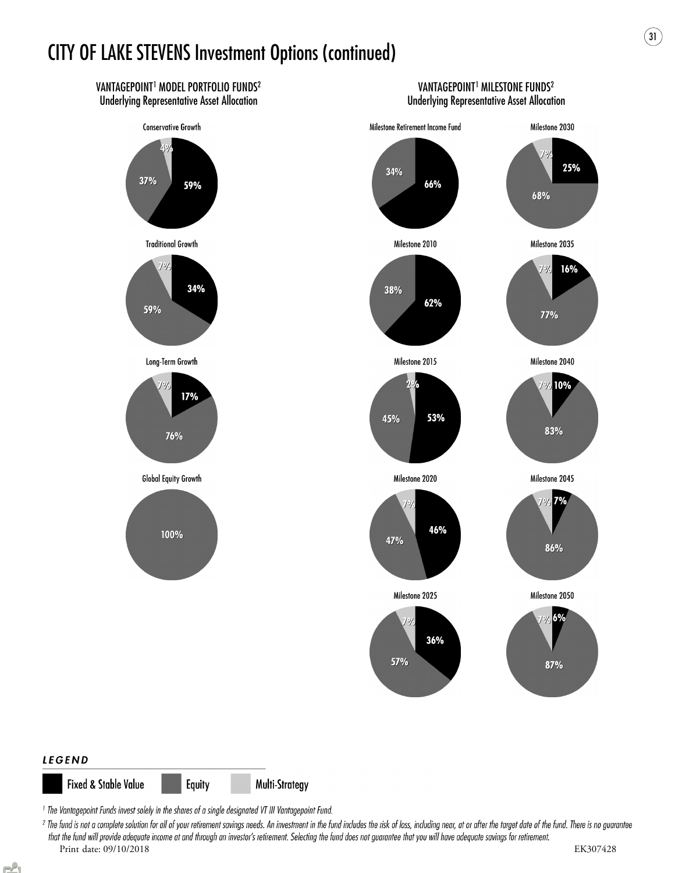

**Fixed & Stable Value** Multi-Strategy Equity

<sup>1</sup> The Vantagepoint Funds invest solely in the shares of a single designated VT III Vantagepoint Fund.

<sup>2</sup> The fund is not a complete solution for all of your retirement savings needs. An investment in the fund includes the risk of loss, including near, at or after the target date of the fund. There is no guarantee that the fund will provide adequate income at and through an investor's retirement. Selecting the fund does not guarantee that you will have adequate savings for retirement. Print date: 09/10/2018 EK307428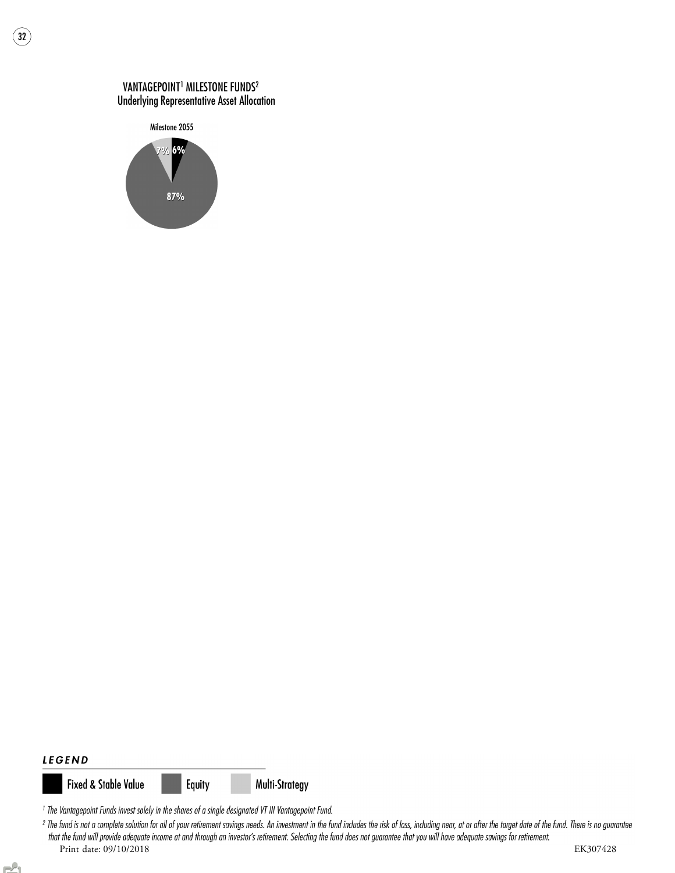### VANTAGEPOINT<sup>1</sup> MILESTONE FUNDS<sup>2</sup> Underlying Representative Asset Allocation



 $\frac{1}{32}$ 

#### **LEGEND**

**Fixed & Stable Value** 



Multi-Strategy

<sup>1</sup> The Vantagepoint Funds invest solely in the shares of a single designated VT III Vantagepoint Fund.

<sup>2</sup> The fund is not a complete solution for all of your retirement savings needs. An investment in the fund includes the risk of loss, including near, at or after the target date of the fund. There is no guarantee that the fund will provide adequate income at and through an investor's retirement. Selecting the fund does not guarantee that you will have adequate savings for retirement. Print date: 09/10/2018 EK307428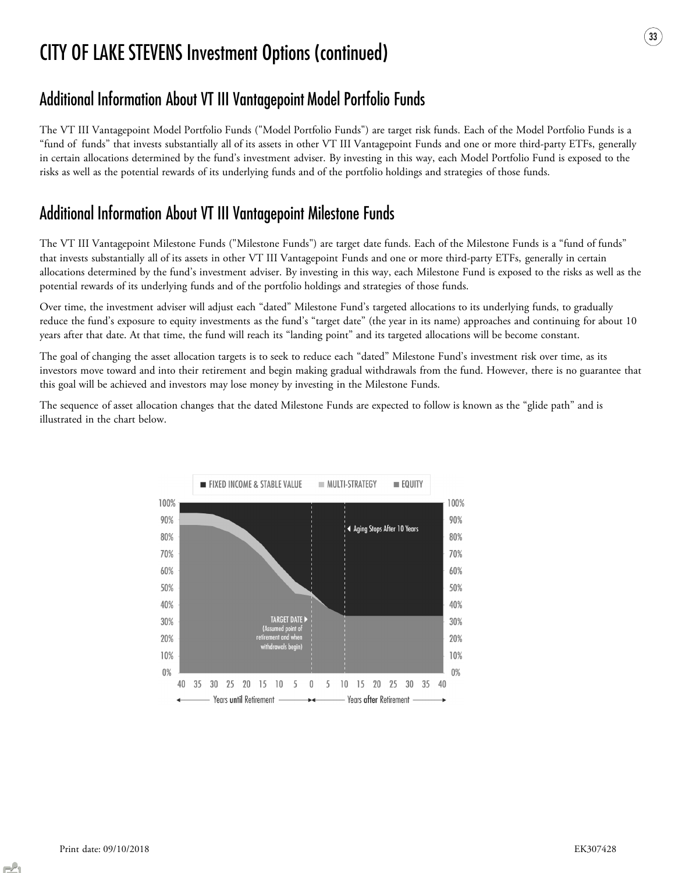## Additional Information About VT III Vantagepoint Model Portfolio Funds

The VT III Vantagepoint Model Portfolio Funds ("Model Portfolio Funds") are target risk funds. Each of the Model Portfolio Funds is a "fund of funds" that invests substantially all of its assets in other VT III Vantagepoint Funds and one or more third-party ETFs, generally in certain allocations determined by the fund's investment adviser. By investing in this way, each Model Portfolio Fund is exposed to the risks as well as the potential rewards of its underlying funds and of the portfolio holdings and strategies of those funds.

## Additional Information About VT III Vantagepoint Milestone Funds

The VT III Vantagepoint Milestone Funds ("Milestone Funds") are target date funds. Each of the Milestone Funds is a "fund of funds" that invests substantially all of its assets in other VT III Vantagepoint Funds and one or more third-party ETFs, generally in certain allocations determined by the fund's investment adviser. By investing in this way, each Milestone Fund is exposed to the risks as well as the potential rewards of its underlying funds and of the portfolio holdings and strategies of those funds.

Over time, the investment adviser will adjust each "dated" Milestone Fund's targeted allocations to its underlying funds, to gradually reduce the fund's exposure to equity investments as the fund's "target date" (the year in its name) approaches and continuing for about 10 years after that date. At that time, the fund will reach its "landing point" and its targeted allocations will be become constant.

The goal of changing the asset allocation targets is to seek to reduce each "dated" Milestone Fund's investment risk over time, as its investors move toward and into their retirement and begin making gradual withdrawals from the fund. However, there is no guarantee that this goal will be achieved and investors may lose money by investing in the Milestone Funds.

The sequence of asset allocation changes that the dated Milestone Funds are expected to follow is known as the "glide path" and is illustrated in the chart below.

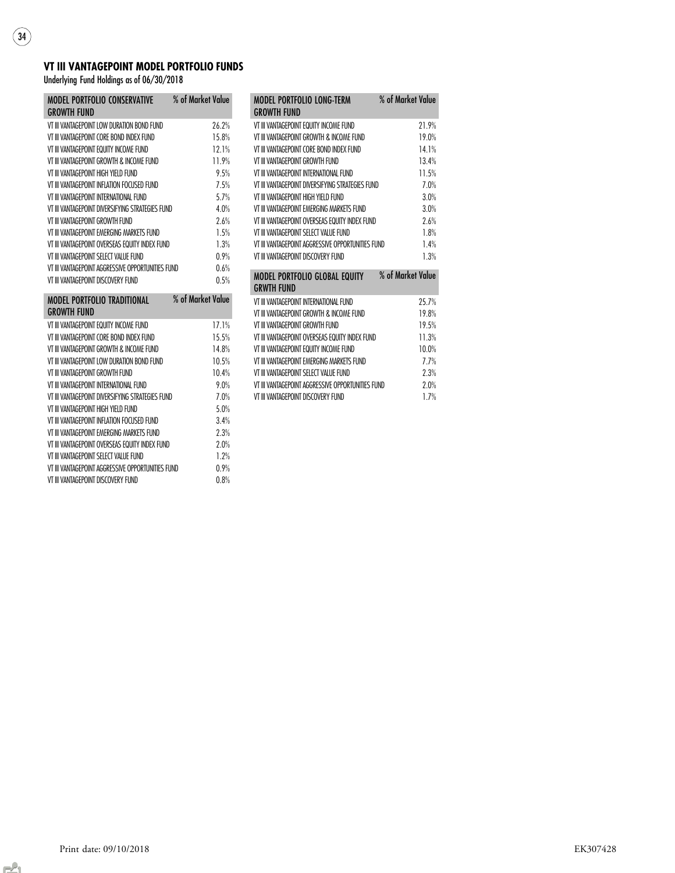### VT III VANTAGEPOINT MODEL PORTFOLIO FUNDS

Underlying Fund Holdings as of 06/30/2018

 $\sqrt{34}$ 

| MODEL PORTFOLIO CONSERVATIVE % of Market Value<br><b>GROWTH FUND</b> |                   |       |
|----------------------------------------------------------------------|-------------------|-------|
| VT III VANTAGFPOINT LOW DURATION BOND FUND                           |                   | 26.2% |
| VT III VANTAGFPOINT CORF BOND INDEX FUND                             |                   | 15.8% |
| VT III VANTAGEPOINT EQUITY INCOME FUND                               |                   | 12.1% |
| VT III VANTAGFPOINT GROWTH & INCOMF FLIND                            |                   | 11 9% |
| VT III VANTAGFPOINT HIGH YIFI D FUND                                 |                   | 95%   |
| VT III VANTAGFPOINT INFLATION FOCUSED FUND                           |                   | 7.5%  |
| VT III VANTAGFPOINT INTFRNATIONAL FLIND                              |                   | 5.7%  |
| VT III VANTAGFPOINT DIVERSIFYING STRATEGIES FUND                     |                   | 4 0%  |
| VT III VANTAGFPOINT GROWTH FLIND                                     |                   | 2.6%  |
| VT III VANTAGFPOINT FMFRGING MARKFTS FUND                            |                   | 1.5%  |
| VT III VANTAGFPOINT OVERSEAS FOUITY INDEX FUND                       |                   | 1.3%  |
| VT III VANTAGEPOINT SELECT VALUE FUND                                |                   | 0.9%  |
| VT III VANTAGFPOINT AGGRESSIVE OPPORTUNITIES FUND                    |                   | 0.6%  |
| VT III VANTAGEPOINT DISCOVERY FUND                                   |                   | 0.5%  |
| MODEL PORTFOLIO TRADITIONAL<br><b>GROWTH FUND</b>                    | % of Market Value |       |
| VT III VANTAGEPOINT EQUITY INCOME FUND                               |                   | 17.1% |
| VT III VANTAGEPOINT CORE BOND INDEX FUND                             |                   | 15.5% |
| VT III VANTAGFPOINT GROWTH & INCOME FUND                             |                   | 14.8% |
| VT III VANTAGFPOINT LOW DURATION BOND FUND                           |                   | 10.5% |
| VT III VANTAGFPOINT GROWTH FUND                                      |                   | 10.4% |
| VT III VANTAGFPOINT INTFRNATIONAL FLIND                              |                   | 9.0%  |
| VT III VANTAGEPOINT DIVERSIFYING STRATEGIES FUND                     |                   | 7.0%  |

VT III VANTAGEPOINT HIGH YIELD FUND 5.0% VT III VANTAGEPOINT INFLATION FOCUSED FUND<br>VT III VANTAGEPOINT EMERGING MARKETS FUND 2.3%

VT III VANTAGEPOINT OVERSEAS EQUITY INDEX FUND 2.0% VT III VANTAGEPOINT SELECT VALUE FUND 1.2% VT III VANTAGEPOINT AGGRESSIVE OPPORTUNITIES FUND 0.9% VT III VANTAGEPOINT DISCOVERY FUND 0.8%

VT III VANTAGEPOINT EMERGING MARKETS FUND

| <b>MODEL PORTFOLIO LONG-TERM</b><br><b>GROWTH FUND</b> | % of Market Value |
|--------------------------------------------------------|-------------------|
| VT III VANTAGEPOINT EQUITY INCOME FUND                 | 21.9%             |
| VT III VANTAGFPOINT GROWTH & INCOME FUND               | 19 0%             |
| VT III VANTAGFPOINT CORF ROND INDEX FLIND              | 14.1%             |
| VT III VANTAGFPOINT GROWTH FUND                        | 134%              |
| VT III VANTAGFPOINT INTFRNATIONAL FLIND                | 11.5%             |
| VT III VANTAGFPOINT DIVFRSIFYING STRATFGIFS FUND       | 7.0%              |
| VT III VANTAGFPOINT HIGH YIFI D FLIND                  | 3.0%              |
| VT III VANTAGFPOINT FMFRGING MARKFTS FLIND             | 3.0%              |
| VT III VANTAGEPOINT OVERSEAS EQUITY INDEX FUND         | 2.6%              |
| VT III VANTAGFPOINT SFI FCT VALUE FUND                 | 18%               |
| VT III VANTAGFPOINT AGGRESSIVE OPPORTUNITIES FUND      | 14%               |
|                                                        | 1.3%              |
| VT III VANTAGEPOINT DISCOVERY FUND                     |                   |
| MODEL PORTFOLIO GLOBAL EQUITY % of Market Value        |                   |
| <b>GRWTH FUND</b>                                      |                   |
| VT III VANTAGFPOINT INTFRNATIONAL FLIND                | 25.7%             |
| VT III VANTAGFPOINT GROWTH & INCOME FUND               | 19 8%             |
| VT III VANTAGFPOINT GROWTH FUND                        | 19 5%             |
| VT III VANTAGFPOINT OVFRSFAS FOLJITY INDFX FLIND       | 11.3%             |
| VT III VANTAGEPOINT EQUITY INCOME FUND                 | 10.0%             |
| VT III VANTAGFPOINT FMFRGING MARKFTS FLIND             | 77%               |
| VT III VANTAGEPOINT SELECT VALUE FUND                  | 2.3%              |
| VT III VANTAGEPOINT AGGRESSIVE OPPORTUNITIES FUND      | 2.0%              |
| VT III VANTAGFPOINT DISCOVERY FUND                     | 17%               |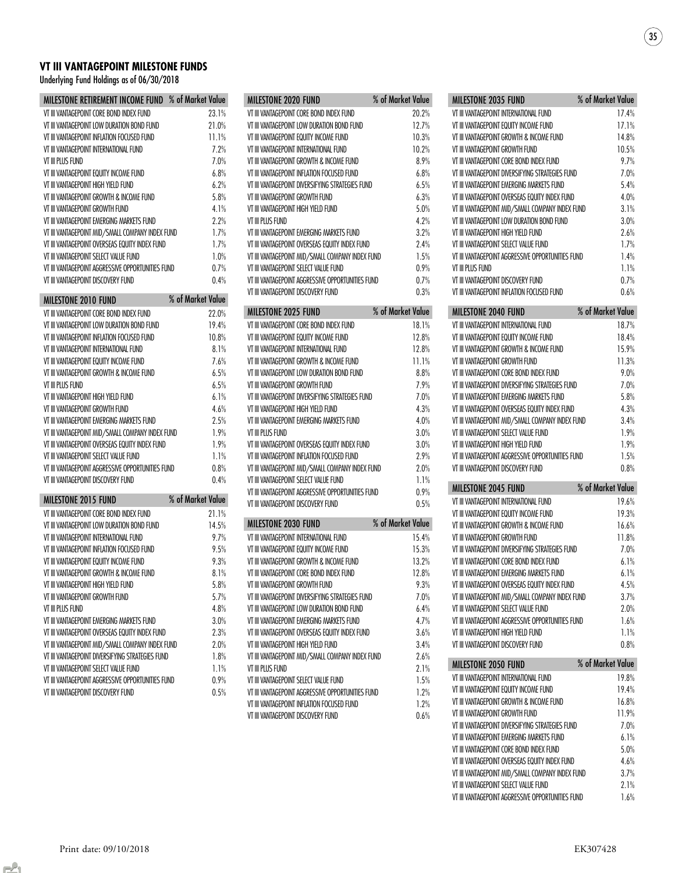### VT III VANTAGEPOINT MILESTONE FUNDS

Underlying Fund Holdings as of 06/30/2018

| MILESTONE RETIREMENT INCOME FUND % of Market Value |  |                   |           |
|----------------------------------------------------|--|-------------------|-----------|
| VT III VANTAGEPOINT CORE BOND INDEX FUND           |  |                   | 23.1%     |
| VT III VANTAGEPOINT LOW DURATION BOND FUND         |  |                   | 21.0%     |
| VT III VANTAGEPOINT INFLATION FOCUSED FUND         |  |                   | 11.1%     |
| VT III VANTAGEPOINT INTERNATIONAL FUND             |  |                   | 7.2%      |
| VT III PLUS FUND                                   |  |                   | 7.0%      |
| VT III VANTAGEPOINT EQUITY INCOME FUND             |  |                   | 6.8%      |
| VT III VANTAGEPOINT HIGH YIELD FUND                |  |                   | 6.2%      |
| VT III VANTAGEPOINT GROWTH & INCOME FUND           |  |                   | 5.8%      |
| VT III VANTAGEPOINT GROWTH FUND                    |  |                   | 4.1%      |
| VT III VANTAGEPOINT EMERGING MARKETS FUND          |  |                   | 2.2%      |
| VT III VANTAGEPOINT MID/SMALL COMPANY INDEX FUND   |  |                   | 1.7%      |
| VT III VANTAGEPOINT OVERSEAS EQUITY INDEX FUND     |  |                   | 1.7%      |
| VT III VANTAGEPOINT SELECT VALUE FUND              |  |                   | 1.0%      |
| VT III VANTAGEPOINT AGGRESSIVE OPPORTUNITIES FUND  |  |                   | 0.7%      |
| VT III VANTAGEPOINT DISCOVERY FUND                 |  |                   | 0.4%      |
| <b>MILESTONE 2010 FUND</b>                         |  | % of Market Value |           |
| VT III VANTAGEPOINT CORE BOND INDEX FUND           |  |                   | 22.0%     |
| VT III VANTAGEPOINT LOW DURATION BOND FUND         |  |                   | 19.4%     |
| VE III VANEACEDOINE INEI ATION EOCHCED EI IND      |  |                   | 1 N Q 0 / |

| VT III VANTAGEPOINT LOW DURATION BOND FUND        | 19.4% |
|---------------------------------------------------|-------|
| VT III VANTAGEPOINT INFLATION FOCUSED FUND        | 10.8% |
| VT III VANTAGEPOINT INTERNATIONAL FUND            | 8.1%  |
| VT III VANTAGEPOINT EQUITY INCOME FUND            | 7.6%  |
| VT III VANTAGEPOINT GROWTH & INCOME FUND          | 6.5%  |
| VT III PLUS FUND                                  | 6.5%  |
| VT III VANTAGEPOINT HIGH YIELD FUND               | 6.1%  |
| VT III VANTAGEPOINT GROWTH FUND                   | 4.6%  |
| VT III VANTAGEPOINT EMERGING MARKETS FUND         | 2.5%  |
| VT III VANTAGEPOINT MID/SMALL COMPANY INDEX FUND  | 1.9%  |
| VT III VANTAGEPOINT OVERSEAS EQUITY INDEX FUND    | 19%   |
| VT III VANTAGEPOINT SELECT VALUE FUND             | 1.1%  |
| VT III VANTAGEPOINT AGGRESSIVE OPPORTUNITIES FUND | 0.8%  |
| VT III VANTAGEPOINT DISCOVERY FUND                | 0.4%  |
|                                                   |       |

| <b>MILESTONE 2015 FUND</b>                        | % of Market Value |
|---------------------------------------------------|-------------------|
| VT III VANTAGEPOINT CORE BOND INDEX FUND          | 21.1%             |
| VT III VANTAGEPOINT LOW DURATION BOND FUND        | 14.5%             |
| VT III VANTAGEPOINT INTERNATIONAL FUND            | 9.7%              |
| VT III VANTAGEPOINT INFLATION FOCUSED FUND        | 9.5%              |
| VT III VANTAGEPOINT EQUITY INCOME FUND            | 9.3%              |
| VT III VANTAGEPOINT GROWTH & INCOME FUND          | 8.1%              |
| VT III VANTAGEPOINT HIGH YIELD FUND               | 5.8%              |
| VT III VANTAGEPOINT GROWTH FUND                   | 5.7%              |
| VT III PLUS FUND                                  | 4.8%              |
| VT III VANTAGEPOINT EMERGING MARKETS FUND         | 3.0%              |
| VT III VANTAGEPOINT OVERSEAS EQUITY INDEX FUND    | 2.3%              |
| VT III VANTAGEPOINT MID/SMALL COMPANY INDEX FUND  | 2.0%              |
| VT III VANTAGEPOINT DIVERSIFYING STRATEGIES FUND  | 1.8%              |
| VT III VANTAGEPOINT SELECT VALUE FUND             | 1.1%              |
| VT III VANTAGEPOINT AGGRESSIVE OPPORTUNITIES FUND | 0.9%              |
| VT III VANTAGEPOINT DISCOVERY FUND                | 0.5%              |

| MILESTONE 2020 FUND                               | % of Market Value |
|---------------------------------------------------|-------------------|
| VT III VANTAGEPOINT CORE BOND INDEX FUND          | 20.2%             |
| VT III VANTAGEPOINT LOW DURATION BOND FUND        | 12.7%             |
| VT III VANTAGEPOINT EQUITY INCOME FUND            | 10.3%             |
| VT III VANTAGEPOINT INTERNATIONAL FUND            | 10.2%             |
| VT III VANTAGEPOINT GROWTH & INCOME FUND          | 8.9%              |
| VT III VANTAGEPOINT INFLATION FOCUSED FUND        | 6.8%              |
| VT III VANTAGEPOINT DIVERSIFYING STRATEGIES FUND  | 6.5%              |
| VT III VANTAGFPOINT GROWTH FUND                   | 6.3%              |
| VT III VANTAGEPOINT HIGH YIELD FUND               | 5.0%              |
| VT III PLUS FUND                                  | 4.2%              |
| VT III VANTAGEPOINT EMERGING MARKETS FUND         | 3.2%              |
| VT III VANTAGEPOINT OVERSEAS EQUITY INDEX FUND    | 2.4%              |
| VT III VANTAGEPOINT MID/SMALL COMPANY INDEX FUND  | 1.5%              |
| VT III VANTAGEPOINT SELECT VALUE FUND             | 0.9%              |
| VT III VANTAGEPOINT AGGRESSIVE OPPORTUNITIES FUND | 0.7%              |
| VT III VANTAGEPOINT DISCOVERY FUND                | 0.3%              |
| MILESTONE 2025 FUND                               | % of Market Value |
| VT III VANTAGEPOINT CORE BOND INDEX FUND          | 18.1%             |
| VT III VANTAGEPOINT EQUITY INCOME FUND            | 12.8%             |
| VT III VANTAGEPOINT INTERNATIONAL FUND            | 12.8%             |
| VT III VANTAGEPOINT GROWTH & INCOME FUND          | 11.1%             |
| VT III VANTAGFPOINT LOW DURATION BOND FUND        | 8.8%              |
| VT III VANTAGEPOINT GROWTH FUND                   | 7 9%              |
| VT III VANTAGEPOINT DIVERSIFYING STRATEGIES FUND  | 7.0%              |
| VT III VANTAGEPOINT HIGH YIELD FUND               | 4.3%              |
| VT III VANTAGEPOINT EMERGING MARKETS FUND         | 4.0%              |
| VT III PLUS FUND                                  | 3.0%              |
| VT III VANTAGEPOINT OVERSEAS EQUITY INDEX FUND    | 3.0%              |
| VT III VANTAGEPOINT INFLATION FOCUSED FUND        | 2.9%              |
| VT III VANTAGEPOINT MID/SMALL COMPANY INDEX FUND  | 2.0%              |
| VT III VANTAGEPOINT SELECT VALUE FUND             | 1.1%              |
| VT III VANTAGEPOINT AGGRESSIVE OPPORTUNITIES FUND | 0.9%              |
| VT III VANTAGEPOINT DISCOVERY FUND                | 0.5%              |
| MILESTONE 2030 FUND                               | % of Market Value |
| VT III VANTAGEPOINT INTERNATIONAL FUND            | 15.4%             |
| VT III VANTAGEPOINT EQUITY INCOME FUND            | 15.3%             |
| VT III VANTAGFPOINT GROWTH & INCOME FUND          | 13.2%             |
| VT III VANTAGEPOINT CORE BOND INDEX FUND          | 12.8%             |
| VT III VANTAGFPOINT GROWTH FUND                   | 9.3%              |
| VT III VANTAGEPOINT DIVERSIFYING STRATEGIES FUND  | 7.0%              |
| VT III VANTAGEPOINT LOW DURATION BOND FUND        | 6.4%              |
| VT III VANTAGEPOINT EMERGING MARKETS FUND         | 4.7%              |
| VT III VANTAGEPOINT OVERSEAS EQUITY INDEX FUND    | 3.6%              |
| VT III VANTAGEPOINT HIGH YIELD FUND               | 3.4%              |
| VT III VANTAGEPOINT MID/SMALL COMPANY INDEX FUND  | 2.6%              |
| VT III PLUS FUND                                  | 2.1%              |
| VT III VANTAGEPOINT SELECT VALUE FUND             | 1.5%              |
| VT III VANTAGEPOINT AGGRESSIVE OPPORTUNITIES FUND | 1.2%              |
|                                                   | 1.2%              |
| VT III VANTAGEPOINT INFLATION FOCUSED FUND        |                   |

| MILESTONE 2035 FUND                                                                                                                                                                                                                                                        | % of Market Value |
|----------------------------------------------------------------------------------------------------------------------------------------------------------------------------------------------------------------------------------------------------------------------------|-------------------|
| VT III VANTAGEPOINT INTERNATIONAL FUND                                                                                                                                                                                                                                     | 17.4%             |
| VT III VANTAGEPOINT EQUITY INCOME FUND                                                                                                                                                                                                                                     | 17.1%             |
| VT III VANTAGEPOINT GROWTH & INCOME FUND                                                                                                                                                                                                                                   | 14.8%             |
| VT III VANTAGEPOINT GROWTH FUND                                                                                                                                                                                                                                            | 10.5%             |
| VT III VANTAGFPOINT CORF ROND INDFX FUND                                                                                                                                                                                                                                   | 9.7%              |
| VT III VANTAGEPOINT DIVERSIFYING STRATEGIES FUND                                                                                                                                                                                                                           | 7.0%              |
| VT III VANTAGEPOINT EMERGING MARKETS FUND                                                                                                                                                                                                                                  | 5.4%              |
| VT III VANTAGEPOINT OVERSEAS EQUITY INDEX FUND                                                                                                                                                                                                                             | 4.0%              |
| VT III VANTAGEPOINT MID/SMALL COMPANY INDEX FUND                                                                                                                                                                                                                           | 3.1%              |
| VT III VANTAGEPOINT LOW DURATION BOND FUND                                                                                                                                                                                                                                 | 3.0%              |
| VT III VANTAGFPOINT HIGH YIFI D FLIND                                                                                                                                                                                                                                      | 2.6%              |
| VT III VANTAGFPOINT SFI FCT VALUE FUND                                                                                                                                                                                                                                     | 1.7%              |
| VT III VANTAGEPOINT AGGRESSIVE OPPORTUNITIES FUND                                                                                                                                                                                                                          | 1.4%              |
| VT III PLUS FUND                                                                                                                                                                                                                                                           | 1.1%              |
| VT III VANTAGEPOINT DISCOVERY FUND                                                                                                                                                                                                                                         | 0.7%              |
| VT III VANTAGEPOINT INFLATION FOCUSED FUND                                                                                                                                                                                                                                 | 0.6%              |
|                                                                                                                                                                                                                                                                            |                   |
| <b>MILESTONE 2040 FUND</b><br>VT III VANTAGFPOINT INTFRNATIONAL FLIND                                                                                                                                                                                                      | % of Market Value |
| VT III VANTAGEPOINT EQUITY INCOME FUND                                                                                                                                                                                                                                     | 18.7%             |
|                                                                                                                                                                                                                                                                            | 18.4%             |
| VT III VANTAGEPOINT GROWTH & INCOME FUND                                                                                                                                                                                                                                   | 15.9%             |
| VT III VANTAGEPOINT GROWTH FUND                                                                                                                                                                                                                                            | 11.3%             |
| VT III VANTAGEPOINT CORE BOND INDEX FUND                                                                                                                                                                                                                                   | 9.0%              |
| VT III VANTAGEPOINT DIVERSIFYING STRATEGIES FUND                                                                                                                                                                                                                           | 7.0%              |
| VT III VANTAGEPOINT EMERGING MARKETS FUND                                                                                                                                                                                                                                  | 5.8%              |
| VT III VANTAGEPOINT OVERSEAS EQUITY INDEX FUND                                                                                                                                                                                                                             | 4.3%              |
| VT III VANTAGEPOINT MID/SMALL COMPANY INDEX FUND                                                                                                                                                                                                                           | 3.4%              |
| VT III VANTAGEPOINT SELECT VALUE FUND                                                                                                                                                                                                                                      | 1.9%              |
| VT III VANTAGEPOINT HIGH YIELD FUND                                                                                                                                                                                                                                        | 1.9%              |
| VT III VANTAGEPOINT AGGRESSIVE OPPORTUNITIES FUND                                                                                                                                                                                                                          | 1.5%              |
| VT III VANTAGEPOINT DISCOVERY FUND                                                                                                                                                                                                                                         | 0.8%              |
| MILESTONE 2045 FUND                                                                                                                                                                                                                                                        | % of Market Value |
| VT III VANTAGEPOINT INTERNATIONAL FUND                                                                                                                                                                                                                                     | 19.6%             |
| VT III VANTAGFPOINT FOLIITY INCOME FLIND                                                                                                                                                                                                                                   | 19.3%             |
| VT III VANTAGEPOINT GROWTH & INCOME FUND                                                                                                                                                                                                                                   | 16.6%             |
| VT III VANTAGEPOINT GROWTH FUND                                                                                                                                                                                                                                            | 11.8%             |
| VT III VANTAGEPOINT DIVERSIFYING STRATEGIES FUND                                                                                                                                                                                                                           | $7.0\%$           |
| VT III VANTAGEPOINT CORE BOND INDEX FUND                                                                                                                                                                                                                                   | 6.1%              |
| VT III VANTAGEPOINT EMERGING MARKETS FUND                                                                                                                                                                                                                                  | 6.1%              |
| VT III VANTAGEPOINT OVERSEAS EQUITY INDEX FUND                                                                                                                                                                                                                             | 4.5%              |
| VT III VANTAGEPOINT MID/SMALL COMPANY INDEX FUND                                                                                                                                                                                                                           | 3.7%              |
| VT III VANTAGEPOINT SELECT VALUE FUND                                                                                                                                                                                                                                      | 2.0%              |
| VT III VANTAGEPOINT AGGRESSIVE OPPORTUNITIES FUND                                                                                                                                                                                                                          | 1.6%              |
| VT III VANTAGEPOINT HIGH YIELD FUND                                                                                                                                                                                                                                        | 1.1%              |
| VT III VANTAGEPOINT DISCOVERY FUND                                                                                                                                                                                                                                         | 0.8%              |
| MILESTONE 2050 FUND                                                                                                                                                                                                                                                        | % of Market Value |
| VT III VANTAGEPOINT INTERNATIONAL FUND                                                                                                                                                                                                                                     | 19.8%             |
| VT III VANTAGEPOINT EQUITY INCOME FUND                                                                                                                                                                                                                                     | 19.4%             |
|                                                                                                                                                                                                                                                                            |                   |
|                                                                                                                                                                                                                                                                            | 16.8%             |
|                                                                                                                                                                                                                                                                            | 11.9%             |
|                                                                                                                                                                                                                                                                            | 7.0%              |
|                                                                                                                                                                                                                                                                            | 6.1%              |
|                                                                                                                                                                                                                                                                            | 5.0%              |
| VT III VANTAGEPOINT GROWTH & INCOME FUND<br>VT III VANTAGEPOINT GROWTH FUND<br>VT III VANTAGEPOINT DIVERSIFYING STRATEGIES FUND<br>VT III VANTAGEPOINT EMERGING MARKETS FUND<br>VT III VANTAGEPOINT CORE BOND INDEX FUND<br>VT III VANTAGEPOINT OVERSEAS EQUITY INDEX FUND | 4.6%              |
|                                                                                                                                                                                                                                                                            | 3.7%              |
| VT III VANTAGEPOINT MID/SMALL COMPANY INDEX FUND<br>VT III VANTAGEPOINT SELECT VALUE FUND                                                                                                                                                                                  | 2.1%              |
| VT III VANTAGEPOINT AGGRESSIVE OPPORTUNITIES FUND                                                                                                                                                                                                                          | 1.6%              |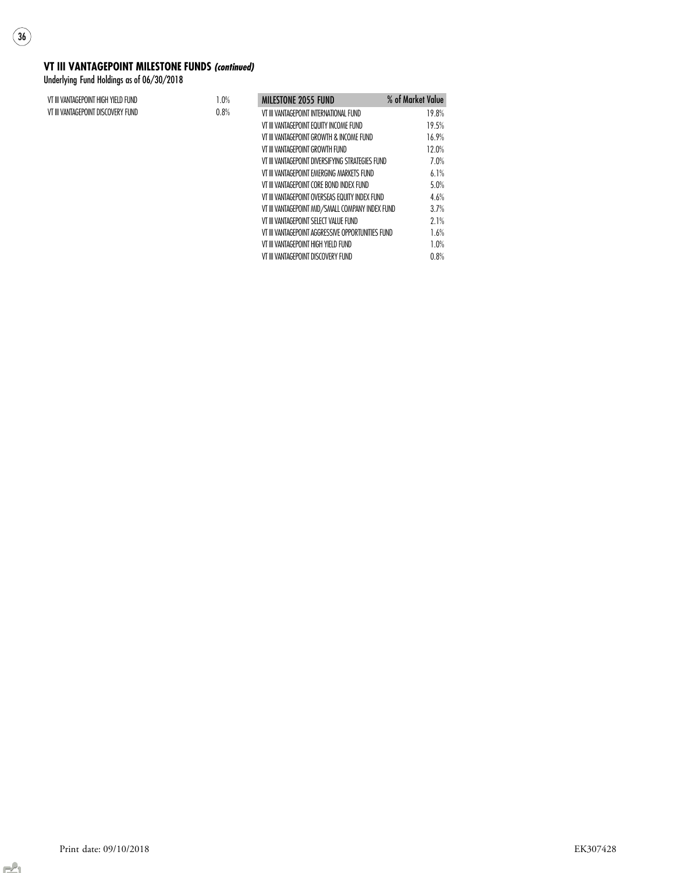#### VT III VANTAGEPOINT MILESTONE FUNDS (continued)

Underlying Fund Holdings as of 06/30/2018

 $\binom{36}{}$ 

| VT III VANTAGEPOINT HIGH YIELD FUND | 1.0% | <b>MILESTONE 2055 FUND</b>                        | % of Market Value |
|-------------------------------------|------|---------------------------------------------------|-------------------|
| VT III VANTAGEPOINT DISCOVERY FUND  | 0.8% | VT III VANTAGEPOINT INTERNATIONAL FUND            | 19.8%             |
|                                     |      | VT III VANTAGEPOINT EQUITY INCOME FUND            | 19.5%             |
|                                     |      | VT III VANTAGEPOINT GROWTH & INCOME FUND          | 16.9%             |
|                                     |      | VT III VANTAGEPOINT GROWTH FUND                   | 12.0%             |
|                                     |      | VT III VANTAGEPOINT DIVERSIFYING STRATEGIES FUND  | 7.0%              |
|                                     |      | VT III VANTAGEPOINT EMERGING MARKETS FUND         | 6.1%              |
|                                     |      | VT III VANTAGEPOINT CORE BOND INDEX FUND          | 5.0%              |
|                                     |      | VT III VANTAGEPOINT OVERSEAS EQUITY INDEX FUND    | 4.6%              |
|                                     |      | VT III VANTAGEPOINT MID/SMALL COMPANY INDEX FUND  | 3.7%              |
|                                     |      | VT III VANTAGEPOINT SELECT VALUE FUND             | 2.1%              |
|                                     |      | VT III VANTAGEPOINT AGGRESSIVE OPPORTUNITIES FUND | 1.6%              |
|                                     |      | VT III VANTAGEPOINT HIGH YIELD FUND               | 1.0%              |
|                                     |      | VT III VANTAGEPOINT DISCOVERY FUND                | 0.8%              |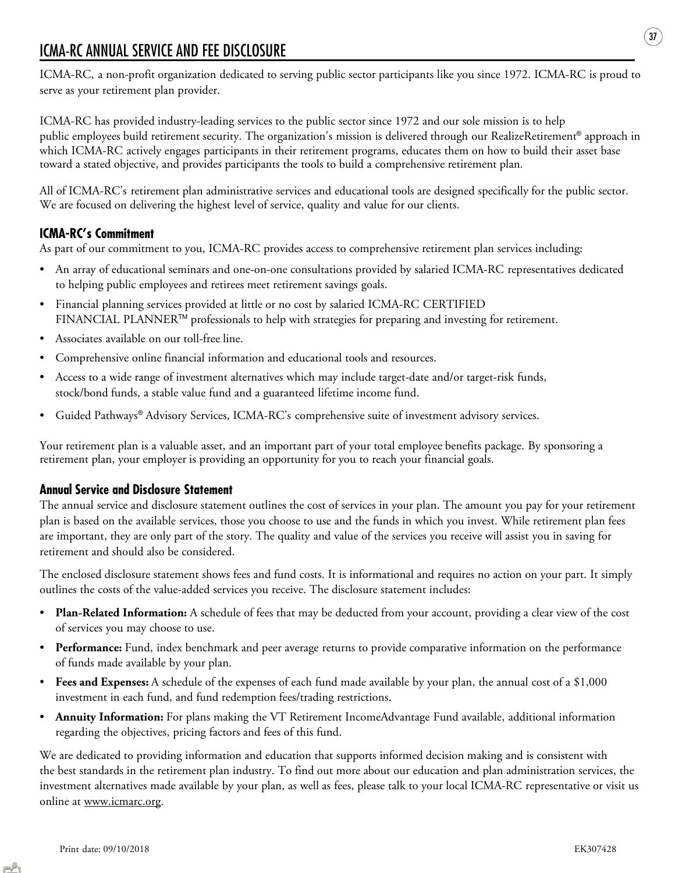## ICMA-RC ANNUAL SERVICE AND FEE DISCLOSURE

ICMA-RC, a non-profit organization dedicated to serving public sector participants like you since 1972. ICMA-RC is proud to serve as your retirement plan provider.

ICMA-RC has provided industry-leading services to the public sector since 1972 and our sole mission is to help public employees build retirement security. The organization's mission is delivered through our RealizeRetirement® approach in which ICMA-RC actively engages participants in their retirement programs, educates them on how to build their asset base toward a stated objective, and provides participants the tools to build a comprehensive retirement plan.

All of ICMA-RC's retirement plan administrative services and educational tools are designed specifically for the public sector. We are focused on delivering the highest level of service, quality and value for our clients.

### ICMA-RC's Commitment

As part of our commitment to you, ICMA-RC provides access to comprehensive retirement plan services including:

- An array of educational seminars and one-on-one consultations provided by salaried ICMA-RC representatives dedicated to helping public employees and retirees meet retirement savings goals.
- Financial planning services provided at little or no cost by salaried ICMA-RC CERTIFIED FINANCIAL PLANNERTM professionals to help with strategies for preparing and investing for retirement.
- Associates available on our toll-free line.
- Comprehensive online financial information and educational tools and resources.
- Access to a wide range of investment alternatives which may include target-date and/or target-risk funds, stock/bond funds, a stable value fund and a guaranteed lifetime income fund.
- Guided Pathways® Advisory Services, ICMA-RC's comprehensive suite of investment advisory services.

Your retirement plan is a valuable asset, and an important part of your total employee benefits package. By sponsoring a retirement plan, your employer is providing an opportunity for you to reach your financial goals.

### Annual Service and Disclosure Statement

The annual service and disclosure statement outlines the cost of services in your plan. The amount you pay for your retirement plan is based on the available services, those you choose to use and the funds in which you invest. While retirement plan fees are important, they are only part of the story. The quality and value of the services you receive will assist you in saving for retirement and should also be considered.

The enclosed disclosure statement shows fees and fund costs. It is informational and requires no action on your part. It simply outlines the costs of the value-added services you receive. The disclosure statement includes:

- **Plan-Related Information:** A schedule of fees that may be deducted from your account, providing a clear view of the cost of services you may choose to use.
- Performance: Fund, index benchmark and peer average returns to provide comparative information on the performance of funds made available by your plan.
- Fees and Expenses: A schedule of the expenses of each fund made available by your plan, the annual cost of a \$1,000 investment in each fund, and fund redemption fees/trading restrictions.
- Annuity Information: For plans making the VT Retirement IncomeAdvantage Fund available, additional information regarding the objectives, pricing factors and fees of this fund.

We are dedicated to providing information and education that supports informed decision making and is consistent with the best standards in the retirement plan industry. To find out more about our education and plan administration services, the investment alternatives made available by your plan, as well as fees, please talk to your local ICMA-RC representative or visit us online at www.icmarc.org.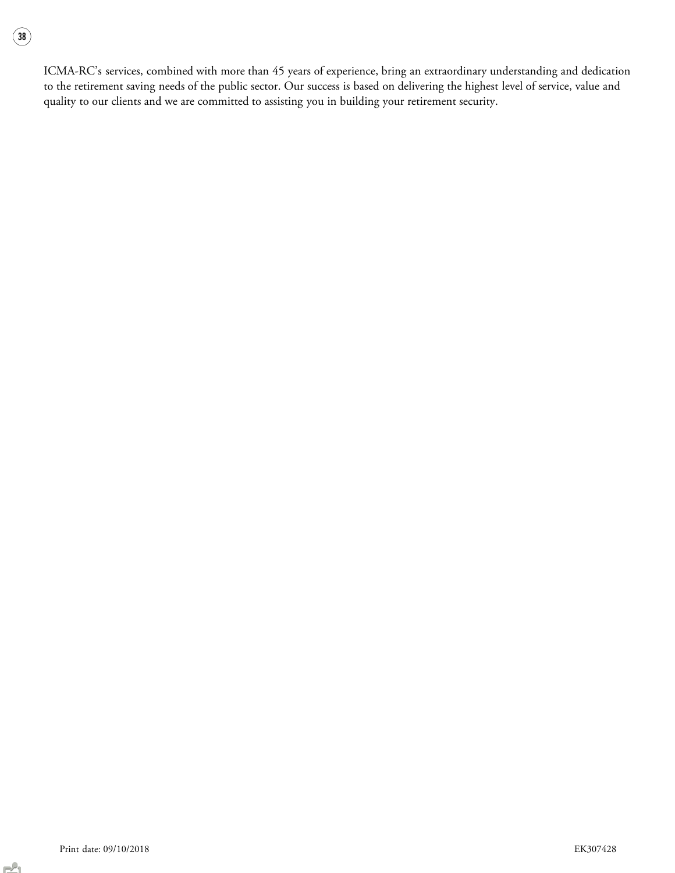$\binom{38}{}$ 

ICMA-RC's services, combined with more than 45 years of experience, bring an extraordinary understanding and dedication to the retirement saving needs of the public sector. Our success is based on delivering the highest level of service, value and quality to our clients and we are committed to assisting you in building your retirement security.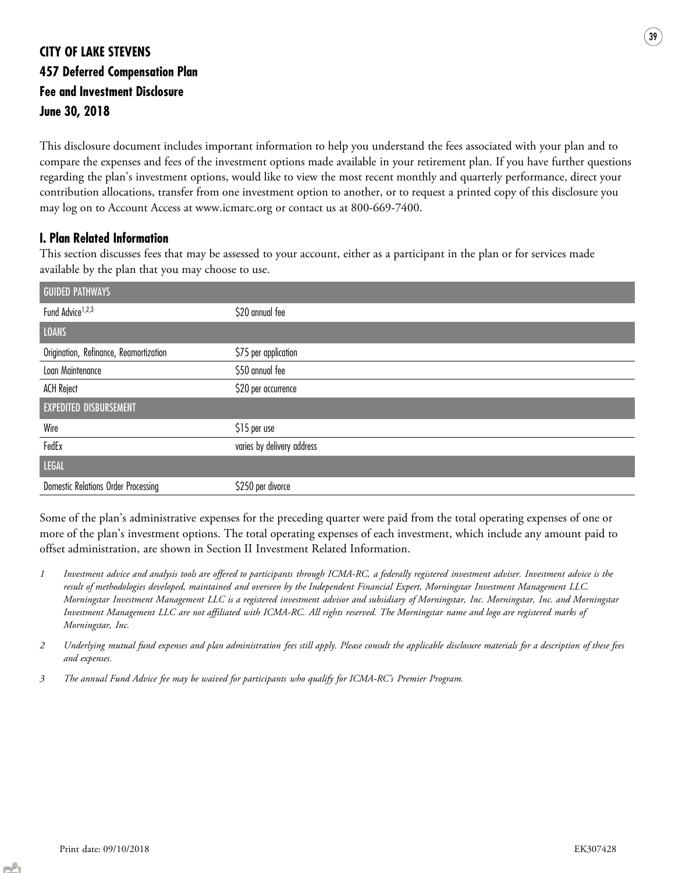## CITY OF LAKE STEVENS 457 Deferred Compensation Plan Fee and Investment Disclosure June 30, 2018

This disclosure document includes important information to help you understand the fees associated with your plan and to compare the expenses and fees of the investment options made available in your retirement plan. If you have further questions regarding the plan's investment options, would like to view the most recent monthly and quarterly performance, direct your contribution allocations, transfer from one investment option to another, or to request a printed copy of this disclosure you may log on to Account Access at www.icmarc.org or contact us at 800-669-7400.

### I. Plan Related Information

This section discusses fees that may be assessed to your account, either as a participant in the plan or for services made available by the plan that you may choose to use.

| <b>GUIDED PATHWAYS</b>                 |                            |
|----------------------------------------|----------------------------|
| Fund Advice <sup>1,2,3</sup>           | \$20 annual fee            |
| <b>LOANS</b>                           |                            |
| Origination, Refinance, Reamortization | \$75 per application       |
| Loan Maintenance                       | \$50 annual fee            |
| <b>ACH Reject</b>                      | \$20 per occurrence        |
| <b>EXPEDITED DISBURSEMENT</b>          |                            |
| Wire                                   | \$15 per use               |
| FedEx                                  | varies by delivery address |
| <b>LEGAL</b>                           |                            |
| Domestic Relations Order Processing    | \$250 per divorce          |

Some of the plan's administrative expenses for the preceding quarter were paid from the total operating expenses of one or more of the plan's investment options. The total operating expenses of each investment, which include any amount paid to offset administration, are shown in Section II Investment Related Information.

- 1 Investment advice and analysis tools are offered to participants through ICMA-RC, a federally registered investment adviser. Investment advice is the result of methodologies developed, maintained and overseen by the Independent Financial Expert, Morningstar Investment Management LLC. Morningstar Investment Management LLC is a registered investment advisor and subsidiary of Morningstar, Inc. Morningstar, Inc. and Morningstar Investment Management LLC are not affiliated with ICMA-RC. All rights reserved. The Morningstar name and logo are registered marks of Morningstar, Inc.
- 2 Underlying mutual fund expenses and plan administration fees still apply. Please consult the applicable disclosure materials for a description of these fees and expenses.
- 3 The annual Fund Advice fee may be waived for participants who qualify for ICMA-RC's Premier Program.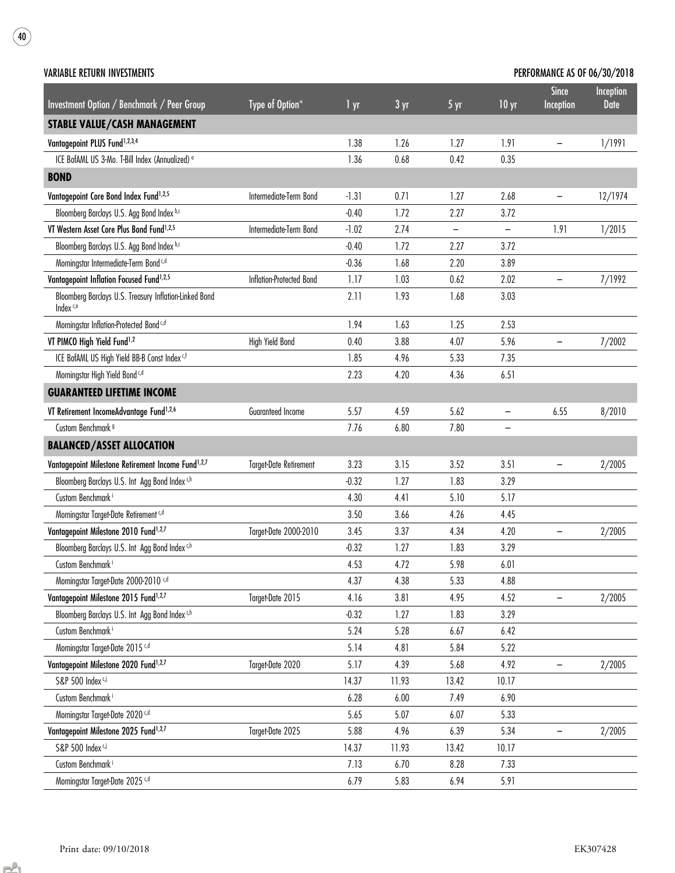| <b>VARIABLE RETURN INVESTMENTS</b>                                             |                               |                 |                 |                   |                          | <b>PERFORMANCE AS OF 06/30/2018</b> |                   |
|--------------------------------------------------------------------------------|-------------------------------|-----------------|-----------------|-------------------|--------------------------|-------------------------------------|-------------------|
| Investment Option / Benchmark / Peer Group                                     | Type of Option*               | 1 <sub>yr</sub> | 3 <sub>yr</sub> | 5 yr              | 10 <sub>yr</sub>         | <b>Since</b><br>Inception           | Inception<br>Date |
| <b>STABLE VALUE/CASH MANAGEMENT</b>                                            |                               |                 |                 |                   |                          |                                     |                   |
| Vantagepoint PLUS Fund <sup>1,2,3,4</sup>                                      |                               | 1.38            | 1.26            | 1.27              | 1.91                     | -                                   | 1/1991            |
| ICE BofAML US 3-Mo. T-Bill Index (Annualized) <sup>o</sup>                     |                               | 1.36            | 0.68            | 0.42              | 0.35                     |                                     |                   |
| <b>BOND</b>                                                                    |                               |                 |                 |                   |                          |                                     |                   |
| Vantagepoint Core Bond Index Fund <sup>1,2,5</sup>                             | Intermediate-Term Bond        | $-1.31$         | 0.71            | 1.27              | 2.68                     | -                                   | 12/1974           |
| Bloomberg Barclays U.S. Agg Bond Index b,c                                     |                               | $-0.40$         | 1.72            | 2.27              | 3.72                     |                                     |                   |
| VT Western Asset Core Plus Bond Fund <sup>1,2,5</sup>                          | Intermediate-Term Bond        | $-1.02$         | 2.74            | $\qquad \qquad -$ | $\overline{\phantom{a}}$ | 1.91                                | 1/2015            |
| Bloomberg Barclays U.S. Agg Bond Index b,c                                     |                               | $-0.40$         | 1.72            | 2.27              | 3.72                     |                                     |                   |
| Morningstar Intermediate-Term Bond <sup>c,d</sup>                              |                               | $-0.36$         | 1.68            | 2.20              | 3.89                     |                                     |                   |
| Vantagepoint Inflation Focused Fund <sup>1,2,5</sup>                           | Inflation-Protected Bond      | 1.17            | 1.03            | 0.62              | 2.02                     | $\qquad \qquad -$                   | 7/1992            |
| Bloomberg Barclays U.S. Treasury Inflation-Linked Bond<br>Index <sup>c,e</sup> |                               | 2.11            | 1.93            | 1.68              | 3.03                     |                                     |                   |
| Morningstar Inflation-Protected Bond <sup>c,d</sup>                            |                               | 1.94            | 1.63            | 1.25              | 2.53                     |                                     |                   |
| VT PIMCO High Yield Fund <sup>1,2</sup>                                        | High Yield Bond               | 0.40            | 3.88            | 4.07              | 5.96                     | -                                   | 7/2002            |
| ICE BofAML US High Yield BB-B Const Index cf                                   |                               | 1.85            | 4.96            | 5.33              | 7.35                     |                                     |                   |
| Morningstar High Yield Bond <sup>c,d</sup>                                     |                               | 2.23            | 4.20            | 4.36              | 6.51                     |                                     |                   |
| <b>GUARANTEED LIFETIME INCOME</b>                                              |                               |                 |                 |                   |                          |                                     |                   |
| VT Retirement IncomeAdvantage Fund <sup>1,2,6</sup>                            | Guaranteed Income             | 5.57            | 4.59            | 5.62              | $\overline{\phantom{0}}$ | 6.55                                | 8/2010            |
| Custom Benchmark <sup>9</sup>                                                  |                               | 7.76            | 6.80            | 7.80              | $\qquad \qquad -$        |                                     |                   |
|                                                                                |                               |                 |                 |                   |                          |                                     |                   |
| <b>BALANCED/ASSET ALLOCATION</b>                                               |                               |                 |                 |                   |                          |                                     |                   |
| Vantagepoint Milestone Retirement Income Fund <sup>1,2,7</sup>                 | <b>Target-Date Retirement</b> | 3.23            | 3.15            | 3.52              | 3.51                     | -                                   | 2/2005            |
| Bloomberg Barclays U.S. Int Agg Bond Index c,h                                 |                               | $-0.32$         | 1.27            | 1.83              | 3.29                     |                                     |                   |
| Custom Benchmark <sup>i</sup>                                                  |                               | 4.30            | 4.41            | 5.10              | 5.17                     |                                     |                   |
| Morningstar Target-Date Retirement <sup>c,d</sup>                              |                               | 3.50            | 3.66            | 4.26              | 4.45                     |                                     |                   |
| Vantagepoint Milestone 2010 Fund <sup>1,2,7</sup>                              | Target-Date 2000-2010         | 3.45            | 3.37            | 4.34              | 4.20                     | $\qquad \qquad -$                   | 2/2005            |
| Bloomberg Barclays U.S. Int Agg Bond Index c,h                                 |                               | $-0.32$         | 1.27            | 1.83              | 3.29                     |                                     |                   |
| Custom Benchmark <sup>i</sup>                                                  |                               | 4.53            | 4.72            | 5.98              | 6.01                     |                                     |                   |
| Morningstar Target-Date 2000-2010 c,d                                          |                               | 4.37            | 4.38            | 5.33              | 4.88                     |                                     |                   |
| Vantagepoint Milestone 2015 Fund <sup>1,2,7</sup>                              | Target-Date 2015              | 4.16            | 3.81            | 4.95              | 4.52                     |                                     | 2/2005            |
| Bloomberg Barclays U.S. Int Agg Bond Index ch                                  |                               | $-0.32$         | 1.27            | 1.83              | 3.29                     |                                     |                   |
| Custom Benchmark <sup>i</sup>                                                  |                               | 5.24            | 5.28            | 6.67              | 6.42                     |                                     |                   |
| Morningstar Target-Date 2015 <sup>c,d</sup>                                    |                               | 5.14            | 4.81            | 5.84              | 5.22                     |                                     |                   |
| Vantagepoint Milestone 2020 Fund <sup>1,2,7</sup>                              | Target-Date 2020              | 5.17            | 4.39            | 5.68              | 4.92                     |                                     | 2/2005            |
| S&P 500 Index ci                                                               |                               | 14.37           | 11.93           | 13.42             | 10.17                    |                                     |                   |
| Custom Benchmark <sup>i</sup>                                                  |                               | 6.28            | 6.00            | 7.49              | 6.90                     |                                     |                   |
| Morningstar Target-Date 2020 <sup>c,d</sup>                                    |                               | 5.65            | 5.07            | 6.07              | 5.33                     |                                     |                   |
| Vantagepoint Milestone 2025 Fund <sup>1,2,7</sup>                              | Target-Date 2025              | 5.88            | 4.96            | 6.39              | 5.34                     |                                     | 2/2005            |
| S&P 500 Index ci                                                               |                               | 14.37           | 11.93           | 13.42             | 10.17                    |                                     |                   |
| Custom Benchmark <sup>i</sup>                                                  |                               | 7.13            | 6.70            | 8.28              | 7.33                     |                                     |                   |
| Morningstar Target-Date 2025 c,d                                               |                               | 6.79            | 5.83            | 6.94              | 5.91                     |                                     |                   |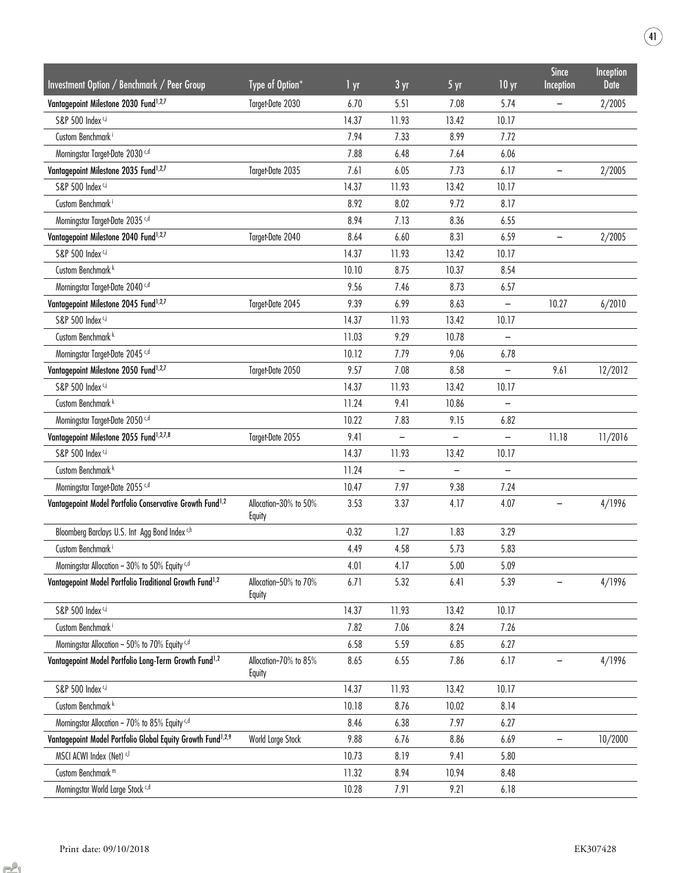| <b>Investment Option / Benchmark / Peer Group</b>                       | Type of Option*                 | 1 yr    | 3 yr                     | 5 yr              | 10 <sub>yr</sub>         | <b>Since</b><br>Inception | Inception<br><b>Date</b> |
|-------------------------------------------------------------------------|---------------------------------|---------|--------------------------|-------------------|--------------------------|---------------------------|--------------------------|
| Vantagepoint Milestone 2030 Fund <sup>1,2,7</sup>                       | Target-Date 2030                | 6.70    | 5.51                     | 7.08              | 5.74                     |                           | 2/2005                   |
| S&P 500 Index c,i                                                       |                                 | 14.37   | 11.93                    | 13.42             | 10.17                    |                           |                          |
| Custom Benchmark <sup>i</sup>                                           |                                 | 7.94    | 7.33                     | 8.99              | 7.72                     |                           |                          |
| Morningstar Target-Date 2030 <sup>c,d</sup>                             |                                 | 7.88    | 6.48                     | 7.64              | 6.06                     |                           |                          |
| Vantagepoint Milestone 2035 Fund <sup>1,2,7</sup>                       | Target-Date 2035                | 7.61    | 6.05                     | 7.73              | 6.17                     |                           | 2/2005                   |
| S&P 500 Index ci                                                        |                                 | 14.37   | 11.93                    | 13.42             | 10.17                    |                           |                          |
| Custom Benchmark <sup>i</sup>                                           |                                 | 8.92    | 8.02                     | 9.72              | 8.17                     |                           |                          |
| Morningstar Target-Date 2035 c,d                                        |                                 | 8.94    | 7.13                     | 8.36              | 6.55                     |                           |                          |
| Vantagepoint Milestone 2040 Fund <sup>1,2,7</sup>                       | Target-Date 2040                | 8.64    | 6.60                     | 8.31              | 6.59                     | -                         | 2/2005                   |
| S&P 500 Index <sup>c,j</sup>                                            |                                 | 14.37   | 11.93                    | 13.42             | 10.17                    |                           |                          |
| Custom Benchmark <sup>k</sup>                                           |                                 | 10.10   | 8.75                     | 10.37             | 8.54                     |                           |                          |
| Morningstar Target-Date 2040 <sup>c,d</sup>                             |                                 | 9.56    | 7.46                     | 8.73              | 6.57                     |                           |                          |
| Vantagepoint Milestone 2045 Fund <sup>1,2,7</sup>                       | Target-Date 2045                | 9.39    | 6.99                     | 8.63              | -                        | 10.27                     | 6/2010                   |
| S&P 500 Index c,i                                                       |                                 | 14.37   | 11.93                    | 13.42             | 10.17                    |                           |                          |
| Custom Benchmark <sup>k</sup>                                           |                                 | 11.03   | 9.29                     | 10.78             |                          |                           |                          |
| Morningstar Target-Date 2045 <sup>c,d</sup>                             |                                 | 10.12   | 7.79                     | 9.06              | 6.78                     |                           |                          |
| Vantagepoint Milestone 2050 Fund <sup>1,2,7</sup>                       | Target-Date 2050                | 9.57    | 7.08                     | 8.58              | $\overline{\phantom{0}}$ | 9.61                      | 12/2012                  |
| S&P 500 Index c,i                                                       |                                 | 14.37   | 11.93                    | 13.42             | 10.17                    |                           |                          |
| Custom Benchmark <sup>k</sup>                                           |                                 | 11.24   | 9.41                     | 10.86             |                          |                           |                          |
| Morningstar Target-Date 2050 c,d                                        |                                 | 10.22   | 7.83                     | 9.15              | 6.82                     |                           |                          |
| Vantagepoint Milestone 2055 Fund <sup>1,2,7,8</sup>                     | Target-Date 2055                | 9.41    | $\overline{\phantom{0}}$ | $\qquad \qquad -$ | $\overline{\phantom{0}}$ | 11.18                     | 11/2016                  |
| S&P 500 Index <sup>c,i</sup>                                            |                                 | 14.37   | 11.93                    | 13.42             | 10.17                    |                           |                          |
| Custom Benchmark <sup>k</sup>                                           |                                 | 11.24   | $\overline{\phantom{0}}$ |                   | —                        |                           |                          |
| Morningstar Target-Date 2055 c,d                                        |                                 | 10.47   | 7.97                     | 9.38              | 7.24                     |                           |                          |
| Vantagepoint Model Portfolio Conservative Growth Fund <sup>1,2</sup>    | Allocation-30% to 50%<br>Equity | 3.53    | 3.37                     | 4.17              | 4.07                     |                           | 4/1996                   |
| Bloomberg Barclays U.S. Int Agg Bond Index c,h                          |                                 | $-0.32$ | 1.27                     | 1.83              | 3.29                     |                           |                          |
| Custom Benchmark <sup>i</sup>                                           |                                 | 4.49    | 4.58                     | 5.73              | 5.83                     |                           |                          |
| Morningstar Allocation - 30% to 50% Equity c,d                          |                                 | 4.01    | 4.17                     | 5.00              | 5.09                     |                           |                          |
| Vantagepoint Model Portfolio Traditional Growth Fund <sup>1,2</sup>     | Allocation-50% to 70%<br>Equity | 6.71    | 5.32                     | 6.41              | 5.39                     |                           | 4/1996                   |
| S&P 500 Index ci                                                        |                                 | 14.37   | 11.93                    | 13.42             | 10.17                    |                           |                          |
| Custom Benchmark <sup>i</sup>                                           |                                 | 7.82    | 7.06                     | 8.24              | 7.26                     |                           |                          |
| Morningstar Allocation - 50% to 70% Equity c,d                          |                                 | 6.58    | 5.59                     | 6.85              | 6.27                     |                           |                          |
| Vantagepoint Model Portfolio Long-Term Growth Fund <sup>1,2</sup>       | Allocation-70% to 85%<br>Equity | 8.65    | 6.55                     | 7.86              | 6.17                     |                           | 4/1996                   |
| S&P 500 Index c,i                                                       |                                 | 14.37   | 11.93                    | 13.42             | 10.17                    |                           |                          |
| Custom Benchmark <sup>k</sup>                                           |                                 | 10.18   | 8.76                     | 10.02             | 8.14                     |                           |                          |
| Morningstar Allocation - 70% to 85% Equity c,d                          |                                 | 8.46    | 6.38                     | 7.97              | 6.27                     |                           |                          |
| Vantagepoint Model Portfolio Global Equity Growth Fund <sup>1,2,9</sup> | World Large Stock               | 9.88    | 6.76                     | 8.86              | 6.69                     |                           | 10/2000                  |
| MSCI ACWI Index (Net) c,l                                               |                                 | 10.73   | 8.19                     | 9.41              | 5.80                     |                           |                          |
| Custom Benchmark <sup>m</sup>                                           |                                 | 11.32   | 8.94                     | 10.94             | 8.48                     |                           |                          |
| Morningstar World Large Stock c,d                                       |                                 | 10.28   | 7.91                     | 9.21              | 6.18                     |                           |                          |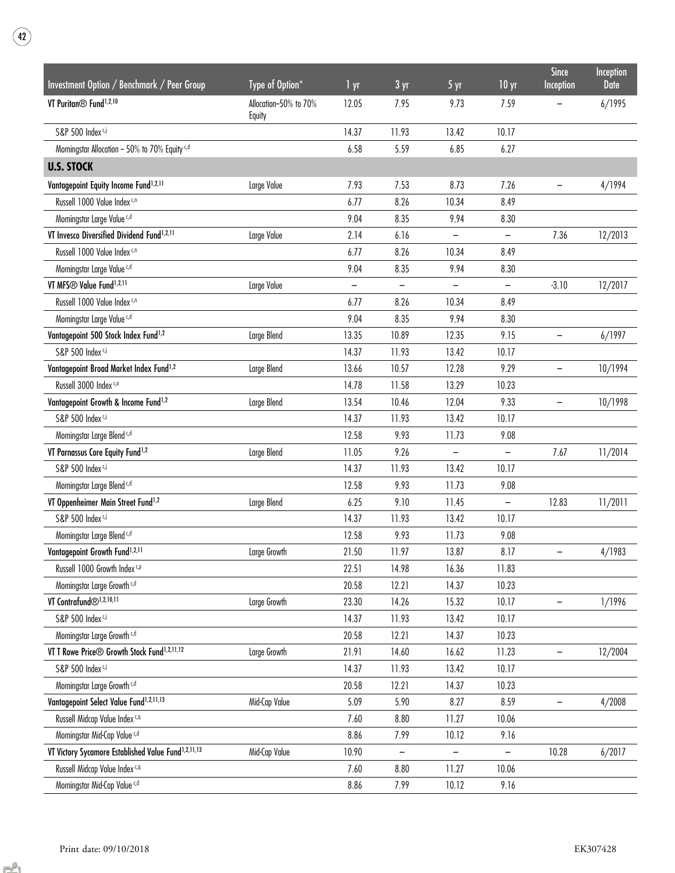| VT Puritan <sup>®</sup> Fund <sup>1,2,10</sup><br>6/1995<br>Allocation-50% to 70%<br>12.05<br>7.95<br>9.73<br>7.59<br>Equity<br>S&P 500 Index c,i<br>14.37<br>11.93<br>13.42<br>10.17<br>Morningstar Allocation - 50% to 70% Equity c,d<br>6.58<br>5.59<br>6.85<br>6.27<br><b>U.S. STOCK</b><br>Vantagepoint Equity Income Fund <sup>1,2,11</sup><br>Large Value<br>7.93<br>7.53<br>8.73<br>7.26<br>4/1994<br>Russell 1000 Value Index c,n<br>8.26<br>6.77<br>10.34<br>8.49<br>9.04<br>Morningstar Large Value c,d<br>8.35<br>9.94<br>8.30<br>VT Invesco Diversified Dividend Fund <sup>1,2,11</sup><br>12/2013<br>Large Value<br>2.14<br>6.16<br>7.36<br>$\overline{\phantom{a}}$<br>$\qquad \qquad -$<br>Russell 1000 Value Index c,n<br>6.77<br>8.26<br>10.34<br>8.49<br>Morningstar Large Value c,d<br>9.04<br>8.35<br>9.94<br>8.30<br>VT MFS® Value Fund <sup>1,2,11</sup><br>Large Value<br>$-3.10$<br>12/2017<br>-<br>Russell 1000 Value Index c,n<br>6.77<br>8.26<br>10.34<br>8.49<br>Morningstar Large Value c,d<br>9.04<br>8.35<br>9.94<br>8.30<br>Vantagepoint 500 Stock Index Fund <sup>1,2</sup><br>12.35<br>9.15<br>6/1997<br>Large Blend<br>13.35<br>10.89<br>$\overline{\phantom{m}}$<br>S&P 500 Index <sup>c,i</sup><br>14.37<br>11.93<br>13.42<br>10.17<br>Vantagepoint Broad Market Index Fund <sup>1,2</sup><br>10.57<br>12.28<br>9.29<br>10/1994<br>Large Blend<br>13.66<br>Russell 3000 Index c,o<br>14.78<br>11.58<br>13.29<br>10.23<br>9.33<br>Vantagepoint Growth & Income Fund <sup>1,2</sup><br>13.54<br>10.46<br>12.04<br>10/1998<br>Large Blend<br>$\qquad \qquad -$<br>S&P 500 Index c,i<br>14.37<br>11.93<br>13.42<br>10.17<br>Morningstar Large Blend c,d<br>12.58<br>9.93<br>11.73<br>9.08<br>VT Parnassus Core Equity Fund <sup>1,2</sup><br>11/2014<br>Large Blend<br>9.26<br>7.67<br>11.05<br>-<br>$\qquad \qquad -$<br>S&P 500 Index c,i<br>14.37<br>11.93<br>13.42<br>10.17<br>Morningstar Large Blend <sup>c,d</sup><br>9.08<br>12.58<br>9.93<br>11.73<br>VT Oppenheimer Main Street Fund <sup>1,2</sup><br>12.83<br>Large Blend<br>6.25<br>9.10<br>11.45<br>11/2011<br>$\overline{\phantom{0}}$<br>S&P 500 Index c,i<br>14.37<br>13.42<br>10.17<br>11.93<br>9.08<br>Morningstar Large Blend <sup>c,d</sup><br>12.58<br>9.93<br>11.73<br>Vantagepoint Growth Fund <sup>1,2,11</sup><br>Large Growth<br>21.50<br>11.97<br>13.87<br>8.17<br>4/1983<br>14.98<br>16.36<br>11.83<br>Russell 1000 Growth Index C,P<br>22.51<br>Morningstar Large Growth <sup>c,d</sup><br>10.23<br>20.58<br>12.21<br>14.37<br>VT Contrafund <sup>®1,2,10,11</sup><br>Large Growth<br>1/1996<br>23.30<br>14.26<br>15.32<br>10.17<br>S&P 500 Index ci<br>10.17<br>14.37<br>11.93<br>13.42<br>Morningstar Large Growth <sup>c,d</sup><br>20.58<br>12.21<br>14.37<br>10.23<br>VT T Rowe Price® Growth Stock Fund <sup>1,2,11,12</sup><br>Large Growth<br>12/2004<br>21.91<br>14.60<br>16.62<br>11.23<br>S&P 500 Index ci<br>14.37<br>11.93<br>13.42<br>10.17<br>Morningstar Large Growth <sup>c,d</sup><br>12.21<br>14.37<br>10.23<br>20.58<br>Mid-Cap Value<br>Vantagepoint Select Value Fund <sup>1,2,11,13</sup><br>5.09<br>5.90<br>8.27<br>8.59<br>4/2008<br>Russell Midcap Value Index c,q<br>10.06<br>7.60<br>8.80<br>11.27<br>Morningstar Mid-Cap Value c,d<br>8.86<br>7.99<br>10.12<br>9.16<br>VT Victory Sycamore Established Value Fund <sup>1,2,11,13</sup><br>Mid-Cap Value<br>10.90<br>10.28<br>6/2017<br>$\overline{\phantom{0}}$<br>$\overline{\phantom{0}}$<br>Russell Midcap Value Index c,q<br>11.27<br>10.06<br>7.60<br>8.80<br>Morningstar Mid-Cap Value c,d<br>8.86<br>7.99<br>10.12<br>9.16 | Investment Option / Benchmark / Peer Group | Type of Option* | 1 yr | 3 <sub>yr</sub> | 5 yr | 10 <sub>yr</sub> | <b>Since</b><br>Inception | Inception<br><b>Date</b> |
|--------------------------------------------------------------------------------------------------------------------------------------------------------------------------------------------------------------------------------------------------------------------------------------------------------------------------------------------------------------------------------------------------------------------------------------------------------------------------------------------------------------------------------------------------------------------------------------------------------------------------------------------------------------------------------------------------------------------------------------------------------------------------------------------------------------------------------------------------------------------------------------------------------------------------------------------------------------------------------------------------------------------------------------------------------------------------------------------------------------------------------------------------------------------------------------------------------------------------------------------------------------------------------------------------------------------------------------------------------------------------------------------------------------------------------------------------------------------------------------------------------------------------------------------------------------------------------------------------------------------------------------------------------------------------------------------------------------------------------------------------------------------------------------------------------------------------------------------------------------------------------------------------------------------------------------------------------------------------------------------------------------------------------------------------------------------------------------------------------------------------------------------------------------------------------------------------------------------------------------------------------------------------------------------------------------------------------------------------------------------------------------------------------------------------------------------------------------------------------------------------------------------------------------------------------------------------------------------------------------------------------------------------------------------------------------------------------------------------------------------------------------------------------------------------------------------------------------------------------------------------------------------------------------------------------------------------------------------------------------------------------------------------------------------------------------------------------------------------------------------------------------------------------------------------------------------------------------------------------------------------------------------------------------------------------------------------------------------------------------------------------------------------------------------------------------------------------------------------------------------------------------------------------------------------------------------------------------------------------------------------------|--------------------------------------------|-----------------|------|-----------------|------|------------------|---------------------------|--------------------------|
|                                                                                                                                                                                                                                                                                                                                                                                                                                                                                                                                                                                                                                                                                                                                                                                                                                                                                                                                                                                                                                                                                                                                                                                                                                                                                                                                                                                                                                                                                                                                                                                                                                                                                                                                                                                                                                                                                                                                                                                                                                                                                                                                                                                                                                                                                                                                                                                                                                                                                                                                                                                                                                                                                                                                                                                                                                                                                                                                                                                                                                                                                                                                                                                                                                                                                                                                                                                                                                                                                                                                                                                                                                |                                            |                 |      |                 |      |                  |                           |                          |
|                                                                                                                                                                                                                                                                                                                                                                                                                                                                                                                                                                                                                                                                                                                                                                                                                                                                                                                                                                                                                                                                                                                                                                                                                                                                                                                                                                                                                                                                                                                                                                                                                                                                                                                                                                                                                                                                                                                                                                                                                                                                                                                                                                                                                                                                                                                                                                                                                                                                                                                                                                                                                                                                                                                                                                                                                                                                                                                                                                                                                                                                                                                                                                                                                                                                                                                                                                                                                                                                                                                                                                                                                                |                                            |                 |      |                 |      |                  |                           |                          |
|                                                                                                                                                                                                                                                                                                                                                                                                                                                                                                                                                                                                                                                                                                                                                                                                                                                                                                                                                                                                                                                                                                                                                                                                                                                                                                                                                                                                                                                                                                                                                                                                                                                                                                                                                                                                                                                                                                                                                                                                                                                                                                                                                                                                                                                                                                                                                                                                                                                                                                                                                                                                                                                                                                                                                                                                                                                                                                                                                                                                                                                                                                                                                                                                                                                                                                                                                                                                                                                                                                                                                                                                                                |                                            |                 |      |                 |      |                  |                           |                          |
|                                                                                                                                                                                                                                                                                                                                                                                                                                                                                                                                                                                                                                                                                                                                                                                                                                                                                                                                                                                                                                                                                                                                                                                                                                                                                                                                                                                                                                                                                                                                                                                                                                                                                                                                                                                                                                                                                                                                                                                                                                                                                                                                                                                                                                                                                                                                                                                                                                                                                                                                                                                                                                                                                                                                                                                                                                                                                                                                                                                                                                                                                                                                                                                                                                                                                                                                                                                                                                                                                                                                                                                                                                |                                            |                 |      |                 |      |                  |                           |                          |
|                                                                                                                                                                                                                                                                                                                                                                                                                                                                                                                                                                                                                                                                                                                                                                                                                                                                                                                                                                                                                                                                                                                                                                                                                                                                                                                                                                                                                                                                                                                                                                                                                                                                                                                                                                                                                                                                                                                                                                                                                                                                                                                                                                                                                                                                                                                                                                                                                                                                                                                                                                                                                                                                                                                                                                                                                                                                                                                                                                                                                                                                                                                                                                                                                                                                                                                                                                                                                                                                                                                                                                                                                                |                                            |                 |      |                 |      |                  |                           |                          |
|                                                                                                                                                                                                                                                                                                                                                                                                                                                                                                                                                                                                                                                                                                                                                                                                                                                                                                                                                                                                                                                                                                                                                                                                                                                                                                                                                                                                                                                                                                                                                                                                                                                                                                                                                                                                                                                                                                                                                                                                                                                                                                                                                                                                                                                                                                                                                                                                                                                                                                                                                                                                                                                                                                                                                                                                                                                                                                                                                                                                                                                                                                                                                                                                                                                                                                                                                                                                                                                                                                                                                                                                                                |                                            |                 |      |                 |      |                  |                           |                          |
|                                                                                                                                                                                                                                                                                                                                                                                                                                                                                                                                                                                                                                                                                                                                                                                                                                                                                                                                                                                                                                                                                                                                                                                                                                                                                                                                                                                                                                                                                                                                                                                                                                                                                                                                                                                                                                                                                                                                                                                                                                                                                                                                                                                                                                                                                                                                                                                                                                                                                                                                                                                                                                                                                                                                                                                                                                                                                                                                                                                                                                                                                                                                                                                                                                                                                                                                                                                                                                                                                                                                                                                                                                |                                            |                 |      |                 |      |                  |                           |                          |
|                                                                                                                                                                                                                                                                                                                                                                                                                                                                                                                                                                                                                                                                                                                                                                                                                                                                                                                                                                                                                                                                                                                                                                                                                                                                                                                                                                                                                                                                                                                                                                                                                                                                                                                                                                                                                                                                                                                                                                                                                                                                                                                                                                                                                                                                                                                                                                                                                                                                                                                                                                                                                                                                                                                                                                                                                                                                                                                                                                                                                                                                                                                                                                                                                                                                                                                                                                                                                                                                                                                                                                                                                                |                                            |                 |      |                 |      |                  |                           |                          |
|                                                                                                                                                                                                                                                                                                                                                                                                                                                                                                                                                                                                                                                                                                                                                                                                                                                                                                                                                                                                                                                                                                                                                                                                                                                                                                                                                                                                                                                                                                                                                                                                                                                                                                                                                                                                                                                                                                                                                                                                                                                                                                                                                                                                                                                                                                                                                                                                                                                                                                                                                                                                                                                                                                                                                                                                                                                                                                                                                                                                                                                                                                                                                                                                                                                                                                                                                                                                                                                                                                                                                                                                                                |                                            |                 |      |                 |      |                  |                           |                          |
|                                                                                                                                                                                                                                                                                                                                                                                                                                                                                                                                                                                                                                                                                                                                                                                                                                                                                                                                                                                                                                                                                                                                                                                                                                                                                                                                                                                                                                                                                                                                                                                                                                                                                                                                                                                                                                                                                                                                                                                                                                                                                                                                                                                                                                                                                                                                                                                                                                                                                                                                                                                                                                                                                                                                                                                                                                                                                                                                                                                                                                                                                                                                                                                                                                                                                                                                                                                                                                                                                                                                                                                                                                |                                            |                 |      |                 |      |                  |                           |                          |
|                                                                                                                                                                                                                                                                                                                                                                                                                                                                                                                                                                                                                                                                                                                                                                                                                                                                                                                                                                                                                                                                                                                                                                                                                                                                                                                                                                                                                                                                                                                                                                                                                                                                                                                                                                                                                                                                                                                                                                                                                                                                                                                                                                                                                                                                                                                                                                                                                                                                                                                                                                                                                                                                                                                                                                                                                                                                                                                                                                                                                                                                                                                                                                                                                                                                                                                                                                                                                                                                                                                                                                                                                                |                                            |                 |      |                 |      |                  |                           |                          |
|                                                                                                                                                                                                                                                                                                                                                                                                                                                                                                                                                                                                                                                                                                                                                                                                                                                                                                                                                                                                                                                                                                                                                                                                                                                                                                                                                                                                                                                                                                                                                                                                                                                                                                                                                                                                                                                                                                                                                                                                                                                                                                                                                                                                                                                                                                                                                                                                                                                                                                                                                                                                                                                                                                                                                                                                                                                                                                                                                                                                                                                                                                                                                                                                                                                                                                                                                                                                                                                                                                                                                                                                                                |                                            |                 |      |                 |      |                  |                           |                          |
|                                                                                                                                                                                                                                                                                                                                                                                                                                                                                                                                                                                                                                                                                                                                                                                                                                                                                                                                                                                                                                                                                                                                                                                                                                                                                                                                                                                                                                                                                                                                                                                                                                                                                                                                                                                                                                                                                                                                                                                                                                                                                                                                                                                                                                                                                                                                                                                                                                                                                                                                                                                                                                                                                                                                                                                                                                                                                                                                                                                                                                                                                                                                                                                                                                                                                                                                                                                                                                                                                                                                                                                                                                |                                            |                 |      |                 |      |                  |                           |                          |
|                                                                                                                                                                                                                                                                                                                                                                                                                                                                                                                                                                                                                                                                                                                                                                                                                                                                                                                                                                                                                                                                                                                                                                                                                                                                                                                                                                                                                                                                                                                                                                                                                                                                                                                                                                                                                                                                                                                                                                                                                                                                                                                                                                                                                                                                                                                                                                                                                                                                                                                                                                                                                                                                                                                                                                                                                                                                                                                                                                                                                                                                                                                                                                                                                                                                                                                                                                                                                                                                                                                                                                                                                                |                                            |                 |      |                 |      |                  |                           |                          |
|                                                                                                                                                                                                                                                                                                                                                                                                                                                                                                                                                                                                                                                                                                                                                                                                                                                                                                                                                                                                                                                                                                                                                                                                                                                                                                                                                                                                                                                                                                                                                                                                                                                                                                                                                                                                                                                                                                                                                                                                                                                                                                                                                                                                                                                                                                                                                                                                                                                                                                                                                                                                                                                                                                                                                                                                                                                                                                                                                                                                                                                                                                                                                                                                                                                                                                                                                                                                                                                                                                                                                                                                                                |                                            |                 |      |                 |      |                  |                           |                          |
|                                                                                                                                                                                                                                                                                                                                                                                                                                                                                                                                                                                                                                                                                                                                                                                                                                                                                                                                                                                                                                                                                                                                                                                                                                                                                                                                                                                                                                                                                                                                                                                                                                                                                                                                                                                                                                                                                                                                                                                                                                                                                                                                                                                                                                                                                                                                                                                                                                                                                                                                                                                                                                                                                                                                                                                                                                                                                                                                                                                                                                                                                                                                                                                                                                                                                                                                                                                                                                                                                                                                                                                                                                |                                            |                 |      |                 |      |                  |                           |                          |
|                                                                                                                                                                                                                                                                                                                                                                                                                                                                                                                                                                                                                                                                                                                                                                                                                                                                                                                                                                                                                                                                                                                                                                                                                                                                                                                                                                                                                                                                                                                                                                                                                                                                                                                                                                                                                                                                                                                                                                                                                                                                                                                                                                                                                                                                                                                                                                                                                                                                                                                                                                                                                                                                                                                                                                                                                                                                                                                                                                                                                                                                                                                                                                                                                                                                                                                                                                                                                                                                                                                                                                                                                                |                                            |                 |      |                 |      |                  |                           |                          |
|                                                                                                                                                                                                                                                                                                                                                                                                                                                                                                                                                                                                                                                                                                                                                                                                                                                                                                                                                                                                                                                                                                                                                                                                                                                                                                                                                                                                                                                                                                                                                                                                                                                                                                                                                                                                                                                                                                                                                                                                                                                                                                                                                                                                                                                                                                                                                                                                                                                                                                                                                                                                                                                                                                                                                                                                                                                                                                                                                                                                                                                                                                                                                                                                                                                                                                                                                                                                                                                                                                                                                                                                                                |                                            |                 |      |                 |      |                  |                           |                          |
|                                                                                                                                                                                                                                                                                                                                                                                                                                                                                                                                                                                                                                                                                                                                                                                                                                                                                                                                                                                                                                                                                                                                                                                                                                                                                                                                                                                                                                                                                                                                                                                                                                                                                                                                                                                                                                                                                                                                                                                                                                                                                                                                                                                                                                                                                                                                                                                                                                                                                                                                                                                                                                                                                                                                                                                                                                                                                                                                                                                                                                                                                                                                                                                                                                                                                                                                                                                                                                                                                                                                                                                                                                |                                            |                 |      |                 |      |                  |                           |                          |
|                                                                                                                                                                                                                                                                                                                                                                                                                                                                                                                                                                                                                                                                                                                                                                                                                                                                                                                                                                                                                                                                                                                                                                                                                                                                                                                                                                                                                                                                                                                                                                                                                                                                                                                                                                                                                                                                                                                                                                                                                                                                                                                                                                                                                                                                                                                                                                                                                                                                                                                                                                                                                                                                                                                                                                                                                                                                                                                                                                                                                                                                                                                                                                                                                                                                                                                                                                                                                                                                                                                                                                                                                                |                                            |                 |      |                 |      |                  |                           |                          |
|                                                                                                                                                                                                                                                                                                                                                                                                                                                                                                                                                                                                                                                                                                                                                                                                                                                                                                                                                                                                                                                                                                                                                                                                                                                                                                                                                                                                                                                                                                                                                                                                                                                                                                                                                                                                                                                                                                                                                                                                                                                                                                                                                                                                                                                                                                                                                                                                                                                                                                                                                                                                                                                                                                                                                                                                                                                                                                                                                                                                                                                                                                                                                                                                                                                                                                                                                                                                                                                                                                                                                                                                                                |                                            |                 |      |                 |      |                  |                           |                          |
|                                                                                                                                                                                                                                                                                                                                                                                                                                                                                                                                                                                                                                                                                                                                                                                                                                                                                                                                                                                                                                                                                                                                                                                                                                                                                                                                                                                                                                                                                                                                                                                                                                                                                                                                                                                                                                                                                                                                                                                                                                                                                                                                                                                                                                                                                                                                                                                                                                                                                                                                                                                                                                                                                                                                                                                                                                                                                                                                                                                                                                                                                                                                                                                                                                                                                                                                                                                                                                                                                                                                                                                                                                |                                            |                 |      |                 |      |                  |                           |                          |
|                                                                                                                                                                                                                                                                                                                                                                                                                                                                                                                                                                                                                                                                                                                                                                                                                                                                                                                                                                                                                                                                                                                                                                                                                                                                                                                                                                                                                                                                                                                                                                                                                                                                                                                                                                                                                                                                                                                                                                                                                                                                                                                                                                                                                                                                                                                                                                                                                                                                                                                                                                                                                                                                                                                                                                                                                                                                                                                                                                                                                                                                                                                                                                                                                                                                                                                                                                                                                                                                                                                                                                                                                                |                                            |                 |      |                 |      |                  |                           |                          |
|                                                                                                                                                                                                                                                                                                                                                                                                                                                                                                                                                                                                                                                                                                                                                                                                                                                                                                                                                                                                                                                                                                                                                                                                                                                                                                                                                                                                                                                                                                                                                                                                                                                                                                                                                                                                                                                                                                                                                                                                                                                                                                                                                                                                                                                                                                                                                                                                                                                                                                                                                                                                                                                                                                                                                                                                                                                                                                                                                                                                                                                                                                                                                                                                                                                                                                                                                                                                                                                                                                                                                                                                                                |                                            |                 |      |                 |      |                  |                           |                          |
|                                                                                                                                                                                                                                                                                                                                                                                                                                                                                                                                                                                                                                                                                                                                                                                                                                                                                                                                                                                                                                                                                                                                                                                                                                                                                                                                                                                                                                                                                                                                                                                                                                                                                                                                                                                                                                                                                                                                                                                                                                                                                                                                                                                                                                                                                                                                                                                                                                                                                                                                                                                                                                                                                                                                                                                                                                                                                                                                                                                                                                                                                                                                                                                                                                                                                                                                                                                                                                                                                                                                                                                                                                |                                            |                 |      |                 |      |                  |                           |                          |
|                                                                                                                                                                                                                                                                                                                                                                                                                                                                                                                                                                                                                                                                                                                                                                                                                                                                                                                                                                                                                                                                                                                                                                                                                                                                                                                                                                                                                                                                                                                                                                                                                                                                                                                                                                                                                                                                                                                                                                                                                                                                                                                                                                                                                                                                                                                                                                                                                                                                                                                                                                                                                                                                                                                                                                                                                                                                                                                                                                                                                                                                                                                                                                                                                                                                                                                                                                                                                                                                                                                                                                                                                                |                                            |                 |      |                 |      |                  |                           |                          |
|                                                                                                                                                                                                                                                                                                                                                                                                                                                                                                                                                                                                                                                                                                                                                                                                                                                                                                                                                                                                                                                                                                                                                                                                                                                                                                                                                                                                                                                                                                                                                                                                                                                                                                                                                                                                                                                                                                                                                                                                                                                                                                                                                                                                                                                                                                                                                                                                                                                                                                                                                                                                                                                                                                                                                                                                                                                                                                                                                                                                                                                                                                                                                                                                                                                                                                                                                                                                                                                                                                                                                                                                                                |                                            |                 |      |                 |      |                  |                           |                          |
|                                                                                                                                                                                                                                                                                                                                                                                                                                                                                                                                                                                                                                                                                                                                                                                                                                                                                                                                                                                                                                                                                                                                                                                                                                                                                                                                                                                                                                                                                                                                                                                                                                                                                                                                                                                                                                                                                                                                                                                                                                                                                                                                                                                                                                                                                                                                                                                                                                                                                                                                                                                                                                                                                                                                                                                                                                                                                                                                                                                                                                                                                                                                                                                                                                                                                                                                                                                                                                                                                                                                                                                                                                |                                            |                 |      |                 |      |                  |                           |                          |
|                                                                                                                                                                                                                                                                                                                                                                                                                                                                                                                                                                                                                                                                                                                                                                                                                                                                                                                                                                                                                                                                                                                                                                                                                                                                                                                                                                                                                                                                                                                                                                                                                                                                                                                                                                                                                                                                                                                                                                                                                                                                                                                                                                                                                                                                                                                                                                                                                                                                                                                                                                                                                                                                                                                                                                                                                                                                                                                                                                                                                                                                                                                                                                                                                                                                                                                                                                                                                                                                                                                                                                                                                                |                                            |                 |      |                 |      |                  |                           |                          |
|                                                                                                                                                                                                                                                                                                                                                                                                                                                                                                                                                                                                                                                                                                                                                                                                                                                                                                                                                                                                                                                                                                                                                                                                                                                                                                                                                                                                                                                                                                                                                                                                                                                                                                                                                                                                                                                                                                                                                                                                                                                                                                                                                                                                                                                                                                                                                                                                                                                                                                                                                                                                                                                                                                                                                                                                                                                                                                                                                                                                                                                                                                                                                                                                                                                                                                                                                                                                                                                                                                                                                                                                                                |                                            |                 |      |                 |      |                  |                           |                          |
|                                                                                                                                                                                                                                                                                                                                                                                                                                                                                                                                                                                                                                                                                                                                                                                                                                                                                                                                                                                                                                                                                                                                                                                                                                                                                                                                                                                                                                                                                                                                                                                                                                                                                                                                                                                                                                                                                                                                                                                                                                                                                                                                                                                                                                                                                                                                                                                                                                                                                                                                                                                                                                                                                                                                                                                                                                                                                                                                                                                                                                                                                                                                                                                                                                                                                                                                                                                                                                                                                                                                                                                                                                |                                            |                 |      |                 |      |                  |                           |                          |
|                                                                                                                                                                                                                                                                                                                                                                                                                                                                                                                                                                                                                                                                                                                                                                                                                                                                                                                                                                                                                                                                                                                                                                                                                                                                                                                                                                                                                                                                                                                                                                                                                                                                                                                                                                                                                                                                                                                                                                                                                                                                                                                                                                                                                                                                                                                                                                                                                                                                                                                                                                                                                                                                                                                                                                                                                                                                                                                                                                                                                                                                                                                                                                                                                                                                                                                                                                                                                                                                                                                                                                                                                                |                                            |                 |      |                 |      |                  |                           |                          |
|                                                                                                                                                                                                                                                                                                                                                                                                                                                                                                                                                                                                                                                                                                                                                                                                                                                                                                                                                                                                                                                                                                                                                                                                                                                                                                                                                                                                                                                                                                                                                                                                                                                                                                                                                                                                                                                                                                                                                                                                                                                                                                                                                                                                                                                                                                                                                                                                                                                                                                                                                                                                                                                                                                                                                                                                                                                                                                                                                                                                                                                                                                                                                                                                                                                                                                                                                                                                                                                                                                                                                                                                                                |                                            |                 |      |                 |      |                  |                           |                          |
|                                                                                                                                                                                                                                                                                                                                                                                                                                                                                                                                                                                                                                                                                                                                                                                                                                                                                                                                                                                                                                                                                                                                                                                                                                                                                                                                                                                                                                                                                                                                                                                                                                                                                                                                                                                                                                                                                                                                                                                                                                                                                                                                                                                                                                                                                                                                                                                                                                                                                                                                                                                                                                                                                                                                                                                                                                                                                                                                                                                                                                                                                                                                                                                                                                                                                                                                                                                                                                                                                                                                                                                                                                |                                            |                 |      |                 |      |                  |                           |                          |
|                                                                                                                                                                                                                                                                                                                                                                                                                                                                                                                                                                                                                                                                                                                                                                                                                                                                                                                                                                                                                                                                                                                                                                                                                                                                                                                                                                                                                                                                                                                                                                                                                                                                                                                                                                                                                                                                                                                                                                                                                                                                                                                                                                                                                                                                                                                                                                                                                                                                                                                                                                                                                                                                                                                                                                                                                                                                                                                                                                                                                                                                                                                                                                                                                                                                                                                                                                                                                                                                                                                                                                                                                                |                                            |                 |      |                 |      |                  |                           |                          |
|                                                                                                                                                                                                                                                                                                                                                                                                                                                                                                                                                                                                                                                                                                                                                                                                                                                                                                                                                                                                                                                                                                                                                                                                                                                                                                                                                                                                                                                                                                                                                                                                                                                                                                                                                                                                                                                                                                                                                                                                                                                                                                                                                                                                                                                                                                                                                                                                                                                                                                                                                                                                                                                                                                                                                                                                                                                                                                                                                                                                                                                                                                                                                                                                                                                                                                                                                                                                                                                                                                                                                                                                                                |                                            |                 |      |                 |      |                  |                           |                          |
|                                                                                                                                                                                                                                                                                                                                                                                                                                                                                                                                                                                                                                                                                                                                                                                                                                                                                                                                                                                                                                                                                                                                                                                                                                                                                                                                                                                                                                                                                                                                                                                                                                                                                                                                                                                                                                                                                                                                                                                                                                                                                                                                                                                                                                                                                                                                                                                                                                                                                                                                                                                                                                                                                                                                                                                                                                                                                                                                                                                                                                                                                                                                                                                                                                                                                                                                                                                                                                                                                                                                                                                                                                |                                            |                 |      |                 |      |                  |                           |                          |
|                                                                                                                                                                                                                                                                                                                                                                                                                                                                                                                                                                                                                                                                                                                                                                                                                                                                                                                                                                                                                                                                                                                                                                                                                                                                                                                                                                                                                                                                                                                                                                                                                                                                                                                                                                                                                                                                                                                                                                                                                                                                                                                                                                                                                                                                                                                                                                                                                                                                                                                                                                                                                                                                                                                                                                                                                                                                                                                                                                                                                                                                                                                                                                                                                                                                                                                                                                                                                                                                                                                                                                                                                                |                                            |                 |      |                 |      |                  |                           |                          |
|                                                                                                                                                                                                                                                                                                                                                                                                                                                                                                                                                                                                                                                                                                                                                                                                                                                                                                                                                                                                                                                                                                                                                                                                                                                                                                                                                                                                                                                                                                                                                                                                                                                                                                                                                                                                                                                                                                                                                                                                                                                                                                                                                                                                                                                                                                                                                                                                                                                                                                                                                                                                                                                                                                                                                                                                                                                                                                                                                                                                                                                                                                                                                                                                                                                                                                                                                                                                                                                                                                                                                                                                                                |                                            |                 |      |                 |      |                  |                           |                          |
|                                                                                                                                                                                                                                                                                                                                                                                                                                                                                                                                                                                                                                                                                                                                                                                                                                                                                                                                                                                                                                                                                                                                                                                                                                                                                                                                                                                                                                                                                                                                                                                                                                                                                                                                                                                                                                                                                                                                                                                                                                                                                                                                                                                                                                                                                                                                                                                                                                                                                                                                                                                                                                                                                                                                                                                                                                                                                                                                                                                                                                                                                                                                                                                                                                                                                                                                                                                                                                                                                                                                                                                                                                |                                            |                 |      |                 |      |                  |                           |                          |
|                                                                                                                                                                                                                                                                                                                                                                                                                                                                                                                                                                                                                                                                                                                                                                                                                                                                                                                                                                                                                                                                                                                                                                                                                                                                                                                                                                                                                                                                                                                                                                                                                                                                                                                                                                                                                                                                                                                                                                                                                                                                                                                                                                                                                                                                                                                                                                                                                                                                                                                                                                                                                                                                                                                                                                                                                                                                                                                                                                                                                                                                                                                                                                                                                                                                                                                                                                                                                                                                                                                                                                                                                                |                                            |                 |      |                 |      |                  |                           |                          |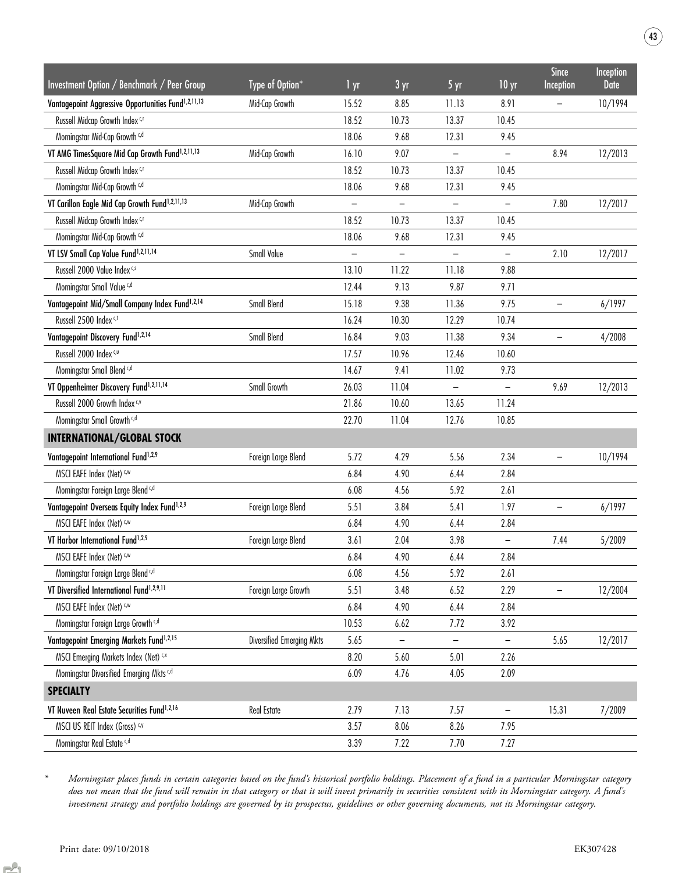| Investment Option / Benchmark / Peer Group                      | Type of Option*           | 1 yr                     | $3 \text{ yr}$           | 5 yr                     | 10 <sub>yr</sub>         | <b>Since</b><br><b>Inception</b> | Inception<br><b>Date</b> |
|-----------------------------------------------------------------|---------------------------|--------------------------|--------------------------|--------------------------|--------------------------|----------------------------------|--------------------------|
| Vantagepoint Aggressive Opportunities Fund <sup>1,2,11,13</sup> | Mid-Cap Growth            | 15.52                    | 8.85                     | 11.13                    | 8.91                     |                                  | 10/1994                  |
| Russell Midcap Growth Index CJ                                  |                           | 18.52                    | 10.73                    | 13.37                    | 10.45                    |                                  |                          |
| Morningstar Mid-Cap Growth <sup>c,d</sup>                       |                           | 18.06                    | 9.68                     | 12.31                    | 9.45                     |                                  |                          |
| VT AMG TimesSquare Mid Cap Growth Fund <sup>1,2,11,13</sup>     | Mid-Cap Growth            | 16.10                    | 9.07                     |                          |                          | 8.94                             | 12/2013                  |
| Russell Midcap Growth Index c,r                                 |                           | 18.52                    | 10.73                    | 13.37                    | 10.45                    |                                  |                          |
| Morningstar Mid-Cap Growth <sup>c,d</sup>                       |                           | 18.06                    | 9.68                     | 12.31                    | 9.45                     |                                  |                          |
| VT Carillon Eagle Mid Cap Growth Fund <sup>1,2,11,13</sup>      | Mid-Cap Growth            | $\overline{\phantom{0}}$ | -                        |                          |                          | 7.80                             | 12/2017                  |
| Russell Midcap Growth Index c,r                                 |                           | 18.52                    | 10.73                    | 13.37                    | 10.45                    |                                  |                          |
| Morningstar Mid-Cap Growth <sup>c,d</sup>                       |                           | 18.06                    | 9.68                     | 12.31                    | 9.45                     |                                  |                          |
| VT LSV Small Cap Value Fund <sup>1,2,11,14</sup>                | Small Value               | $\qquad \qquad -$        | $\overline{\phantom{m}}$ | $\overline{\phantom{m}}$ | $\overline{\phantom{a}}$ | 2.10                             | 12/2017                  |
| Russell 2000 Value Index c,s                                    |                           | 13.10                    | 11.22                    | 11.18                    | 9.88                     |                                  |                          |
| Morningstar Small Value c,d                                     |                           | 12.44                    | 9.13                     | 9.87                     | 9.71                     |                                  |                          |
| Vantagepoint Mid/Small Company Index Fund <sup>1,2,14</sup>     | Small Blend               | 15.18                    | 9.38                     | 11.36                    | 9.75                     |                                  | 6/1997                   |
| Russell 2500 Index c,t                                          |                           | 16.24                    | 10.30                    | 12.29                    | 10.74                    |                                  |                          |
| Vantagepoint Discovery Fund <sup>1,2,14</sup>                   | Small Blend               | 16.84                    | 9.03                     | 11.38                    | 9.34                     |                                  | 4/2008                   |
| Russell 2000 Index c,u                                          |                           | 17.57                    | 10.96                    | 12.46                    | 10.60                    |                                  |                          |
| Morningstar Small Blend <sup>c,d</sup>                          |                           | 14.67                    | 9.41                     | 11.02                    | 9.73                     |                                  |                          |
| VT Oppenheimer Discovery Fund <sup>1,2,11,14</sup>              | Small Growth              | 26.03                    | 11.04                    |                          | $\qquad \qquad -$        | 9.69                             | 12/2013                  |
| Russell 2000 Growth Index C,V                                   |                           | 21.86                    | 10.60                    | 13.65                    | 11.24                    |                                  |                          |
| Morningstar Small Growth <sup>c,d</sup>                         |                           | 22.70                    | 11.04                    | 12.76                    | 10.85                    |                                  |                          |
| <b>INTERNATIONAL/GLOBAL STOCK</b>                               |                           |                          |                          |                          |                          |                                  |                          |
| Vantagepoint International Fund <sup>1,2,9</sup>                | Foreign Large Blend       | 5.72                     | 4.29                     | 5.56                     | 2.34                     | $\qquad \qquad -$                | 10/1994                  |
| MSCI EAFE Index (Net) <,w                                       |                           | 6.84                     | 4.90                     | 6.44                     | 2.84                     |                                  |                          |
| Morningstar Foreign Large Blend c,d                             |                           | 6.08                     | 4.56                     | 5.92                     | 2.61                     |                                  |                          |
| Vantagepoint Overseas Equity Index Fund <sup>1,2,9</sup>        | Foreign Large Blend       | 5.51                     | 3.84                     | 5.41                     | 1.97                     | $\overline{\phantom{0}}$         | 6/1997                   |
| MSCI EAFE Index (Net) <.w                                       |                           | 6.84                     | 4.90                     | 6.44                     | 2.84                     |                                  |                          |
| VT Harbor International Fund <sup>1,2,9</sup>                   | Foreign Large Blend       | 3.61                     | 2.04                     | 3.98                     | $\overline{\phantom{0}}$ | 7.44                             | 5/2009                   |
| MSCI EAFE Index (Net) <,w                                       |                           | 6.84                     | 4.90                     | 6.44                     | 2.84                     |                                  |                          |
| Morningstar Foreign Large Blend <sup>c,d</sup>                  |                           | 6.08                     | 4.56                     | 5.92                     | 2.61                     |                                  |                          |
| VT Diversified International Fund <sup>1,2,9,11</sup>           | Foreign Large Growth      | 5.51                     | 3.48                     | 6.52                     | 2.29                     | -                                | 12/2004                  |
| MSCI EAFE Index (Net) <.w                                       |                           | 6.84                     | 4.90                     | 6.44                     | 2.84                     |                                  |                          |
| Morningstar Foreign Large Growth <sup>c,d</sup>                 |                           | 10.53                    | 6.62                     | 7.72                     | 3.92                     |                                  |                          |
| Vantagepoint Emerging Markets Fund <sup>1,2,15</sup>            | Diversified Emerging Mkts | 5.65                     | -                        |                          |                          | 5.65                             | 12/2017                  |
| MSCI Emerging Markets Index (Net) C,x                           |                           | 8.20                     | 5.60                     | 5.01                     | 2.26                     |                                  |                          |
| Morningstar Diversified Emerging Mkts c,d                       |                           | 6.09                     | 4.76                     | 4.05                     | 2.09                     |                                  |                          |
| <b>SPECIALTY</b>                                                |                           |                          |                          |                          |                          |                                  |                          |
| VT Nuveen Real Estate Securities Fund <sup>1,2,16</sup>         | Real Estate               | 2.79                     | 7.13                     | 7.57                     | $\overline{\phantom{m}}$ | 15.31                            | 7/2009                   |
| MSCI US REIT Index (Gross) C.V                                  |                           | 3.57                     | 8.06                     | 8.26                     | 7.95                     |                                  |                          |
| Morningstar Real Estate c,d                                     |                           | 3.39                     | 7.22                     | 7.70                     | 7.27                     |                                  |                          |

Morningstar places funds in certain categories based on the fund's historical portfolio holdings. Placement of a fund in a particular Morningstar category does not mean that the fund will remain in that category or that it will invest primarily in securities consistent with its Morningstar category. A fund's investment strategy and portfolio holdings are governed by its prospectus, guidelines or other governing documents, not its Morningstar category.

 $\left( 43\right)$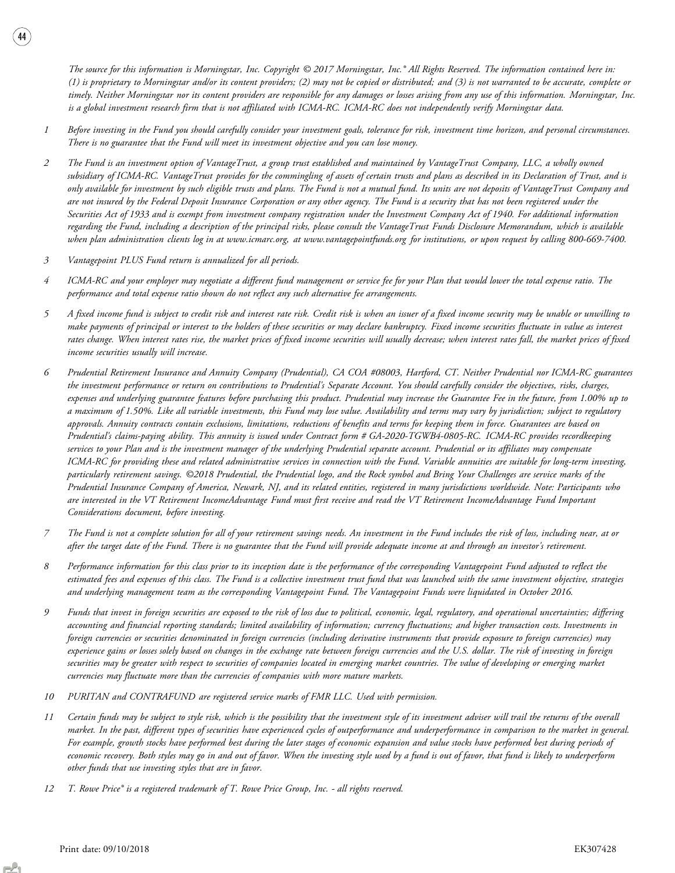The source for this information is Morningstar, Inc. Copyright © 2017 Morningstar, Inc.® All Rights Reserved. The information contained here in: (1) is proprietary to Morningstar and/or its content providers; (2) may not be copied or distributed; and (3) is not warranted to be accurate, complete or timely. Neither Morningstar nor its content providers are responsible for any damages or losses arising from any use of this information. Morningstar, Inc. is a global investment research firm that is not affiliated with ICMA-RC. ICMA-RC does not independently verify Morningstar data.

- 1 Before investing in the Fund you should carefully consider your investment goals, tolerance for risk, investment time horizon, and personal circumstances. There is no guarantee that the Fund will meet its investment objective and you can lose money.
- 2 The Fund is an investment option of VantageTrust, a group trust established and maintained by VantageTrust Company, LLC, a wholly owned subsidiary of ICMA-RC. VantageTrust provides for the commingling of assets of certain trusts and plans as described in its Declaration of Trust, and is only available for investment by such eligible trusts and plans. The Fund is not a mutual fund. Its units are not deposits of VantageTrust Company and are not insured by the Federal Deposit Insurance Corporation or any other agency. The Fund is a security that has not been registered under the Securities Act of 1933 and is exempt from investment company registration under the Investment Company Act of 1940. For additional information regarding the Fund, including a description of the principal risks, please consult the VantageTrust Funds Disclosure Memorandum, which is available when plan administration clients log in at www.icmarc.org, at www.vantagepointfunds.org for institutions, or upon request by calling 800-669-7400.
- 3 Vantagepoint PLUS Fund return is annualized for all periods.

- 4 ICMA-RC and your employer may negotiate a different fund management or service fee for your Plan that would lower the total expense ratio. The performance and total expense ratio shown do not reflect any such alternative fee arrangements.
- 5 A fixed income fund is subject to credit risk and interest rate risk. Credit risk is when an issuer of a fixed income security may be unable or unwilling to make payments of principal or interest to the holders of these securities or may declare bankruptcy. Fixed income securities fluctuate in value as interest rates change. When interest rates rise, the market prices of fixed income securities will usually decrease; when interest rates fall, the market prices of fixed income securities usually will increase.
- 6 Prudential Retirement Insurance and Annuity Company (Prudential), CA COA #08003, Hartford, CT. Neither Prudential nor ICMA-RC guarantees the investment performance or return on contributions to Prudential's Separate Account. You should carefully consider the objectives, risks, charges, expenses and underlying guarantee features before purchasing this product. Prudential may increase the Guarantee Fee in the future, from 1.00% up to a maximum of 1.50%. Like all variable investments, this Fund may lose value. Availability and terms may vary by jurisdiction; subject to regulatory approvals. Annuity contracts contain exclusions, limitations, reductions of benefits and terms for keeping them in force. Guarantees are based on Prudential's claims-paying ability. This annuity is issued under Contract form # GA-2020-TGWB4-0805-RC. ICMA-RC provides recordkeeping services to your Plan and is the investment manager of the underlying Prudential separate account. Prudential or its affiliates may compensate ICMA-RC for providing these and related administrative services in connection with the Fund. Variable annuities are suitable for long-term investing, particularly retirement savings. ©2018 Prudential, the Prudential logo, and the Rock symbol and Bring Your Challenges are service marks of the Prudential Insurance Company of America, Newark, NJ, and its related entities, registered in many jurisdictions worldwide. Note: Participants who are interested in the VT Retirement IncomeAdvantage Fund must first receive and read the VT Retirement IncomeAdvantage Fund Important Considerations document, before investing.
- 7 The Fund is not a complete solution for all of your retirement savings needs. An investment in the Fund includes the risk of loss, including near, at or after the target date of the Fund. There is no guarantee that the Fund will provide adequate income at and through an investor's retirement.
- 8 Performance information for this class prior to its inception date is the performance of the corresponding Vantagepoint Fund adjusted to reflect the estimated fees and expenses of this class. The Fund is a collective investment trust fund that was launched with the same investment objective, strategies and underlying management team as the corresponding Vantagepoint Fund. The Vantagepoint Funds were liquidated in October 2016.
- 9 Funds that invest in foreign securities are exposed to the risk of loss due to political, economic, legal, regulatory, and operational uncertainties; differing accounting and financial reporting standards; limited availability of information; currency fluctuations; and higher transaction costs. Investments in foreign currencies or securities denominated in foreign currencies (including derivative instruments that provide exposure to foreign currencies) may experience gains or losses solely based on changes in the exchange rate between foreign currencies and the U.S. dollar. The risk of investing in foreign securities may be greater with respect to securities of companies located in emerging market countries. The value of developing or emerging market currencies may fluctuate more than the currencies of companies with more mature markets.
- 10 PURITAN and CONTRAFUND are registered service marks of FMR LLC. Used with permission.
- 11 Certain funds may be subject to style risk, which is the possibility that the investment style of its investment adviser will trail the returns of the overall market. In the past, different types of securities have experienced cycles of outperformance and underperformance in comparison to the market in general. For example, growth stocks have performed best during the later stages of economic expansion and value stocks have performed best during periods of economic recovery. Both styles may go in and out of favor. When the investing style used by a fund is out of favor, that fund is likely to underperform other funds that use investing styles that are in favor.
- 12 T. Rowe Price® is a registered trademark of T. Rowe Price Group, Inc. all rights reserved.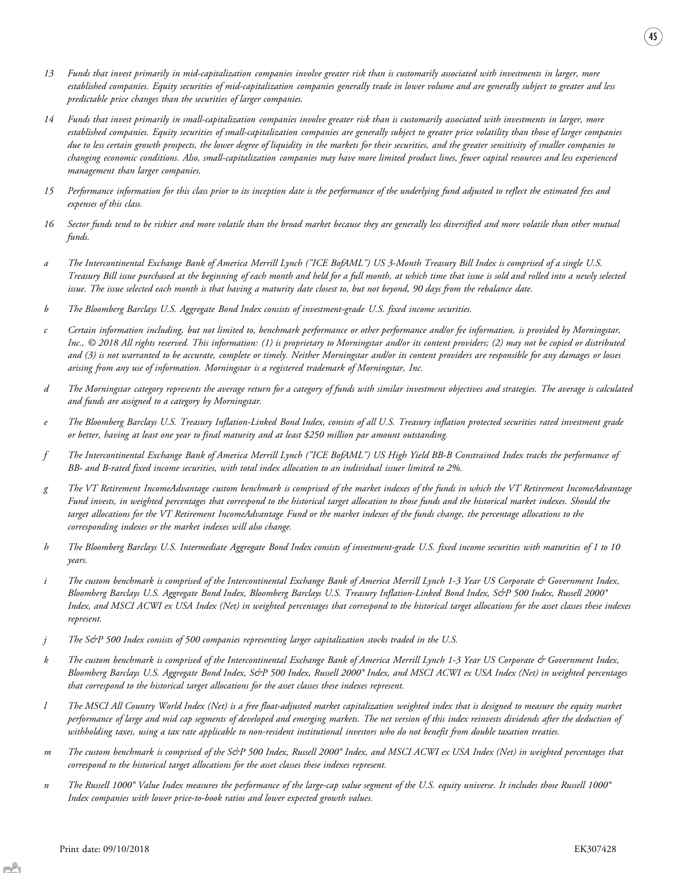- 13 Funds that invest primarily in mid-capitalization companies involve greater risk than is customarily associated with investments in larger, more established companies. Equity securities of mid-capitalization companies generally trade in lower volume and are generally subject to greater and less predictable price changes than the securities of larger companies.
- 14 Funds that invest primarily in small-capitalization companies involve greater risk than is customarily associated with investments in larger, more established companies. Equity securities of small-capitalization companies are generally subject to greater price volatility than those of larger companies due to less certain growth prospects, the lower degree of liquidity in the markets for their securities, and the greater sensitivity of smaller companies to changing economic conditions. Also, small-capitalization companies may have more limited product lines, fewer capital resources and less experienced management than larger companies.
- 15 Performance information for this class prior to its inception date is the performance of the underlying fund adjusted to reflect the estimated fees and expenses of this class.
- 16 Sector funds tend to be riskier and more volatile than the broad market because they are generally less diversified and more volatile than other mutual funds.
- a The Intercontinental Exchange Bank of America Merrill Lynch ("ICE BofAML") US 3-Month Treasury Bill Index is comprised of a single U.S. Treasury Bill issue purchased at the beginning of each month and held for a full month, at which time that issue is sold and rolled into a newly selected issue. The issue selected each month is that having a maturity date closest to, but not beyond, 90 days from the rebalance date.
- b The Bloomberg Barclays U.S. Aggregate Bond Index consists of investment-grade U.S. fixed income securities.
- c Certain information including, but not limited to, benchmark performance or other performance and/or fee information, is provided by Morningstar, Inc., © 2018 All rights reserved. This information: (1) is proprietary to Morningstar and/or its content providers; (2) may not be copied or distributed and (3) is not warranted to be accurate, complete or timely. Neither Morningstar and/or its content providers are responsible for any damages or losses arising from any use of information. Morningstar is a registered trademark of Morningstar, Inc.
- d The Morningstar category represents the average return for a category of funds with similar investment objectives and strategies. The average is calculated and funds are assigned to a category by Morningstar.
- e The Bloomberg Barclays U.S. Treasury Inflation-Linked Bond Index, consists of all U.S. Treasury inflation protected securities rated investment grade or better, having at least one year to final maturity and at least \$250 million par amount outstanding.
- f The Intercontinental Exchange Bank of America Merrill Lynch ("ICE BofAML") US High Yield BB-B Constrained Index tracks the performance of BB- and B-rated fixed income securities, with total index allocation to an individual issuer limited to 2%.
- g The VT Retirement IncomeAdvantage custom benchmark is comprised of the market indexes of the funds in which the VT Retirement IncomeAdvantage Fund invests, in weighted percentages that correspond to the historical target allocation to those funds and the historical market indexes. Should the target allocations for the VT Retirement IncomeAdvantage Fund or the market indexes of the funds change, the percentage allocations to the corresponding indexes or the market indexes will also change.
- h The Bloomberg Barclays U.S. Intermediate Aggregate Bond Index consists of investment-grade U.S. fixed income securities with maturities of 1 to 10 years.
- i The custom benchmark is comprised of the Intercontinental Exchange Bank of America Merrill Lynch 1-3 Year US Corporate & Government Index, Bloomberg Barclays U.S. Aggregate Bond Index, Bloomberg Barclays U.S. Treasury Inflation-Linked Bond Index, S&P 500 Index, Russell 2000® Index, and MSCI ACWI ex USA Index (Net) in weighted percentages that correspond to the historical target allocations for the asset classes these indexes represent.
- $j$  The S&P 500 Index consists of 500 companies representing larger capitalization stocks traded in the U.S.
- k The custom benchmark is comprised of the Intercontinental Exchange Bank of America Merrill Lynch 1-3 Year US Corporate & Government Index, Bloomberg Barclays U.S. Aggregate Bond Index, S&P 500 Index, Russell 2000® Index, and MSCI ACWI ex USA Index (Net) in weighted percentages that correspond to the historical target allocations for the asset classes these indexes represent.
- l The MSCI All Country World Index (Net) is a free float-adjusted market capitalization weighted index that is designed to measure the equity market performance of large and mid cap segments of developed and emerging markets. The net version of this index reinvests dividends after the deduction of withholding taxes, using a tax rate applicable to non-resident institutional investors who do not benefit from double taxation treaties.
- m The custom benchmark is comprised of the S&P 500 Index, Russell 2000° Index, and MSCI ACWI ex USA Index (Net) in weighted percentages that correspond to the historical target allocations for the asset classes these indexes represent.
- n The Russell 1000® Value Index measures the performance of the large-cap value segment of the U.S. equity universe. It includes those Russell 1000® Index companies with lower price-to-book ratios and lower expected growth values.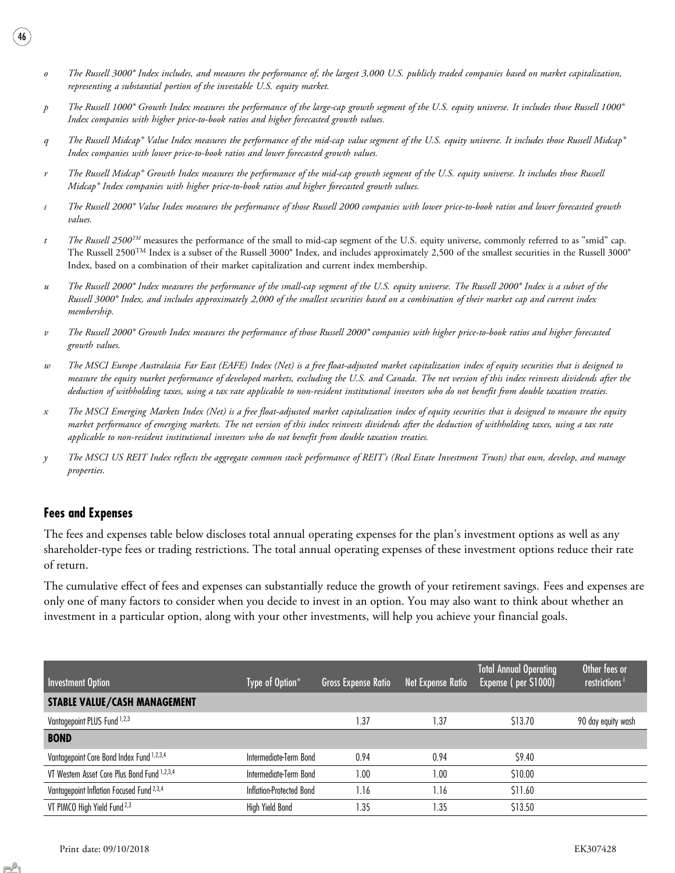- o The Russell 3000® Index includes, and measures the performance of, the largest 3,000 U.S. publicly traded companies based on market capitalization, representing a substantial portion of the investable U.S. equity market.
- p The Russell 1000® Growth Index measures the performance of the large-cap growth segment of the U.S. equity universe. It includes those Russell 1000® Index companies with higher price-to-book ratios and higher forecasted growth values.
- q The Russell Midcap® Value Index measures the performance of the mid-cap value segment of the U.S. equity universe. It includes those Russell Midcap® Index companies with lower price-to-book ratios and lower forecasted growth values.
- The Russell Midcap® Growth Index measures the performance of the mid-cap growth segment of the U.S. equity universe. It includes those Russell Midcap® Index companies with higher price-to-book ratios and higher forecasted growth values.
- s The Russell 2000® Value Index measures the performance of those Russell 2000 companies with lower price-to-book ratios and lower forecasted growth values.
- $t$  The Russell 2500<sup>TM</sup> measures the performance of the small to mid-cap segment of the U.S. equity universe, commonly referred to as "smid" cap. The Russell  $2500^{TM}$  Index is a subset of the Russell  $3000^{\circ}$  Index, and includes approximately 2,500 of the smallest securities in the Russell  $3000^{\circ}$ Index, based on a combination of their market capitalization and current index membership.
- u The Russell 2000® Index measures the performance of the small-cap segment of the U.S. equity universe. The Russell 2000® Index is a subset of the Russell 3000® Index, and includes approximately 2,000 of the smallest securities based on a combination of their market cap and current index membership.
- v The Russell 2000® Growth Index measures the performance of those Russell 2000® companies with higher price-to-book ratios and higher forecasted growth values.
- w The MSCI Europe Australasia Far East (EAFE) Index (Net) is a free float-adjusted market capitalization index of equity securities that is designed to measure the equity market performance of developed markets, excluding the U.S. and Canada. The net version of this index reinvests dividends after the deduction of withholding taxes, using a tax rate applicable to non-resident institutional investors who do not benefit from double taxation treaties.
- x The MSCI Emerging Markets Index (Net) is a free float-adjusted market capitalization index of equity securities that is designed to measure the equity market performance of emerging markets. The net version of this index reinvests dividends after the deduction of withholding taxes, using a tax rate applicable to non-resident institutional investors who do not benefit from double taxation treaties.
- y The MSCI US REIT Index reflects the aggregate common stock performance of REIT's (Real Estate Investment Trusts) that own, develop, and manage properties.

### Fees and Expenses

46

The fees and expenses table below discloses total annual operating expenses for the plan's investment options as well as any shareholder-type fees or trading restrictions. The total annual operating expenses of these investment options reduce their rate of return.

The cumulative effect of fees and expenses can substantially reduce the growth of your retirement savings. Fees and expenses are only one of many factors to consider when you decide to invest in an option. You may also want to think about whether an investment in a particular option, along with your other investments, will help you achieve your financial goals.

| Investment Option                                    | Type of Option*          | <b>Gross Expense Ratio</b> | Net Expense Ratio | <b>Total Annual Operating</b><br>Expense (per \$1000) | Other fees or<br>restrictions <sup>i</sup> |
|------------------------------------------------------|--------------------------|----------------------------|-------------------|-------------------------------------------------------|--------------------------------------------|
| <b>STABLE VALUE/CASH MANAGEMENT</b>                  |                          |                            |                   |                                                       |                                            |
| Vantagepoint PLUS Fund 1,2,3                         |                          | l.37                       | $\cdot$ .37       | \$13.70                                               | 90 day equity wash                         |
| <b>BOND</b>                                          |                          |                            |                   |                                                       |                                            |
| Vantagepoint Core Bond Index Fund 1,2,3,4            | Intermediate-Term Bond   | 0.94                       | 0.94              | \$9.40                                                |                                            |
| VT Western Asset Core Plus Bond Fund 1,2,3,4         | Intermediate-Term Bond   | 1.00                       | .00               | \$10.00                                               |                                            |
| Vantagepoint Inflation Focused Fund <sup>2,3,4</sup> | Inflation-Protected Bond | 1.16                       | 1.16              | \$11.60                                               |                                            |
| VT PIMCO High Yield Fund <sup>2,3</sup>              | High Yield Bond          | .35                        | .35               | \$13.50                                               |                                            |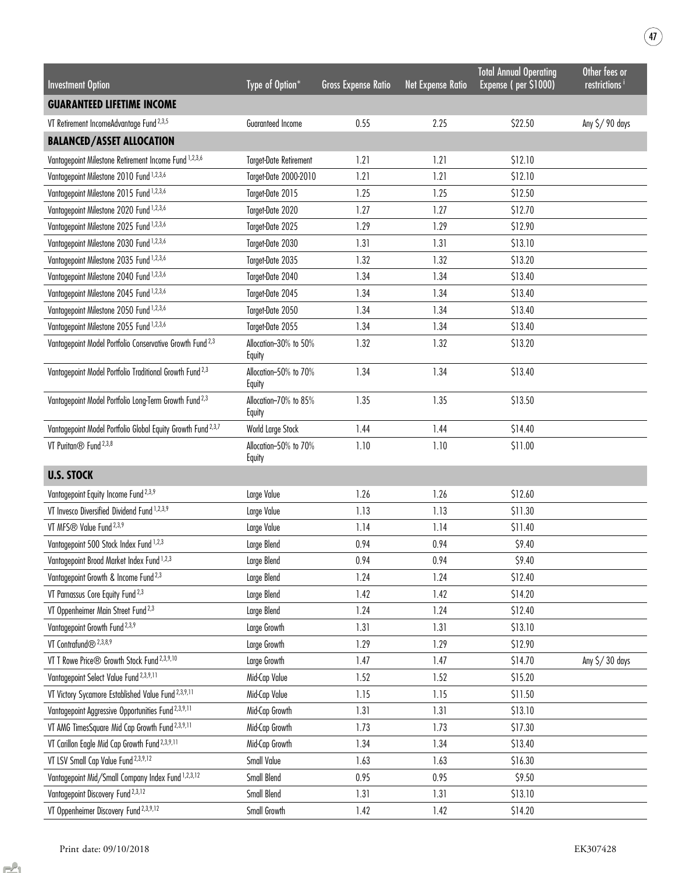| <b>Investment Option</b>                                                | Type of Option*                 | <b>Gross Expense Ratio</b> | <b>Net Expense Ratio</b> | <b>Total Annual Operating</b><br>Expense (per \$1000) | Other fees or<br>restrictions <sup>i</sup> |
|-------------------------------------------------------------------------|---------------------------------|----------------------------|--------------------------|-------------------------------------------------------|--------------------------------------------|
| <b>GUARANTEED LIFETIME INCOME</b>                                       |                                 |                            |                          |                                                       |                                            |
| VT Retirement IncomeAdvantage Fund <sup>2,3,5</sup>                     | Guaranteed Income               | 0.55                       | 2.25                     | \$22.50                                               | Any \$/90 days                             |
| <b>BALANCED/ASSET ALLOCATION</b>                                        |                                 |                            |                          |                                                       |                                            |
| Vantagepoint Milestone Retirement Income Fund 1,2,3,6                   | <b>Target-Date Retirement</b>   | 1.21                       | 1.21                     | \$12.10                                               |                                            |
| Vantagepoint Milestone 2010 Fund 1,2,3,6                                | Target-Date 2000-2010           | 1.21                       | 1.21                     | \$12.10                                               |                                            |
| Vantagepoint Milestone 2015 Fund 1,2,3,6                                | Target-Date 2015                | 1.25                       | 1.25                     | \$12.50                                               |                                            |
| Vantagepoint Milestone 2020 Fund 1,2,3,6                                | Target-Date 2020                | 1.27                       | 1.27                     | \$12.70                                               |                                            |
| Vantagepoint Milestone 2025 Fund 1,2,3,6                                | Target-Date 2025                | 1.29                       | 1.29                     | \$12.90                                               |                                            |
| Vantagepoint Milestone 2030 Fund 1,2,3,6                                | Target-Date 2030                | 1.31                       | 1.31                     | \$13.10                                               |                                            |
| Vantagepoint Milestone 2035 Fund 1,2,3,6                                | Target-Date 2035                | 1.32                       | 1.32                     | \$13.20                                               |                                            |
| Vantagepoint Milestone 2040 Fund 1,2,3,6                                | Target-Date 2040                | 1.34                       | 1.34                     | \$13.40                                               |                                            |
| Vantagepoint Milestone 2045 Fund 1,2,3,6                                | Target-Date 2045                | 1.34                       | 1.34                     | \$13.40                                               |                                            |
| Vantagepoint Milestone 2050 Fund 1,2,3,6                                | Target-Date 2050                | 1.34                       | 1.34                     | \$13.40                                               |                                            |
| Vantagepoint Milestone 2055 Fund 1,2,3,6                                | Target-Date 2055                | 1.34                       | 1.34                     | \$13.40                                               |                                            |
| Vantagepoint Model Portfolio Conservative Growth Fund <sup>2,3</sup>    | Allocation-30% to 50%<br>Equity | 1.32                       | 1.32                     | \$13.20                                               |                                            |
| Vantagepoint Model Portfolio Traditional Growth Fund <sup>2,3</sup>     | Allocation-50% to 70%<br>Equity | 1.34                       | 1.34                     | \$13.40                                               |                                            |
| Vantagepoint Model Portfolio Long-Term Growth Fund <sup>2,3</sup>       | Allocation-70% to 85%<br>Equity | 1.35                       | 1.35                     | \$13.50                                               |                                            |
| Vantagepoint Model Portfolio Global Equity Growth Fund <sup>2,3,7</sup> | World Large Stock               | 1.44                       | 1.44                     | \$14.40                                               |                                            |
| VT Puritan <sup>®</sup> Fund <sup>2,3,8</sup>                           | Allocation-50% to 70%<br>Equity | 1.10                       | 1.10                     | \$11.00                                               |                                            |
| <b>U.S. STOCK</b>                                                       |                                 |                            |                          |                                                       |                                            |
| Vantagepoint Equity Income Fund <sup>2,3,9</sup>                        | Large Value                     | 1.26                       | 1.26                     | \$12.60                                               |                                            |
| VT Invesco Diversified Dividend Fund 1,2,3,9                            | Large Value                     | 1.13                       | 1.13                     | \$11.30                                               |                                            |
| VT MFS® Value Fund <sup>2,3,9</sup>                                     | Large Value                     | 1.14                       | 1.14                     | \$11.40                                               |                                            |
| Vantagepoint 500 Stock Index Fund 1,2,3                                 | Large Blend                     | 0.94                       | 0.94                     | \$9.40                                                |                                            |
| Vantagepoint Broad Market Index Fund 1,2,3                              | Large Blend                     | 0.94                       | 0.94                     | \$9.40                                                |                                            |
| Vantagepoint Growth & Income Fund <sup>2,3</sup>                        | Large Blend                     | 1.24                       | 1.24                     | \$12.40                                               |                                            |
| VT Parnassus Core Equity Fund <sup>2,3</sup>                            | Large Blend                     | 1.42                       | 1.42                     | \$14.20                                               |                                            |
| VT Oppenheimer Main Street Fund <sup>2,3</sup>                          | Large Blend                     | 1.24                       | 1.24                     | \$12.40                                               |                                            |
| Vantagepoint Growth Fund <sup>2,3,9</sup>                               | Large Growth                    | 1.31                       | 1.31                     | \$13.10                                               |                                            |
| VT Contrafund® <sup>2,3,8,9</sup>                                       | Large Growth                    | 1.29                       | 1.29                     | \$12.90                                               |                                            |
| VT T Rowe Price® Growth Stock Fund <sup>2,3,9,10</sup>                  | Large Growth                    | 1.47                       | 1.47                     | \$14.70                                               | Any \$/30 days                             |
| Vantagepoint Select Value Fund <sup>2,3,9,11</sup>                      | Mid-Cap Value                   | 1.52                       | 1.52                     | \$15.20                                               |                                            |
| VT Victory Sycamore Established Value Fund 2,3,9,11                     | Mid-Cap Value                   | 1.15                       | 1.15                     | \$11.50                                               |                                            |
| Vantagepoint Aggressive Opportunities Fund <sup>2,3,9,11</sup>          | Mid-Cap Growth                  | 1.31                       | 1.31                     | \$13.10                                               |                                            |
| VT AMG TimesSquare Mid Cap Growth Fund <sup>2,3,9,11</sup>              | Mid-Cap Growth                  | 1.73                       | 1.73                     | \$17.30                                               |                                            |
| VT Carillon Eagle Mid Cap Growth Fund 2,3,9,11                          | Mid-Cap Growth                  | 1.34                       | 1.34                     | \$13.40                                               |                                            |
| VT LSV Small Cap Value Fund <sup>2,3,9,12</sup>                         | Small Value                     | 1.63                       | 1.63                     | \$16.30                                               |                                            |
| Vantagepoint Mid/Small Company Index Fund 1,2,3,12                      | Small Blend                     | 0.95                       | 0.95                     | \$9.50                                                |                                            |
| Vantagepoint Discovery Fund <sup>2,3,12</sup>                           | Small Blend                     | 1.31                       | 1.31                     | \$13.10                                               |                                            |
| VT Oppenheimer Discovery Fund <sup>2,3,9,12</sup>                       | Small Growth                    | 1.42                       | 1.42                     | \$14.20                                               |                                            |

 $\circled{4}$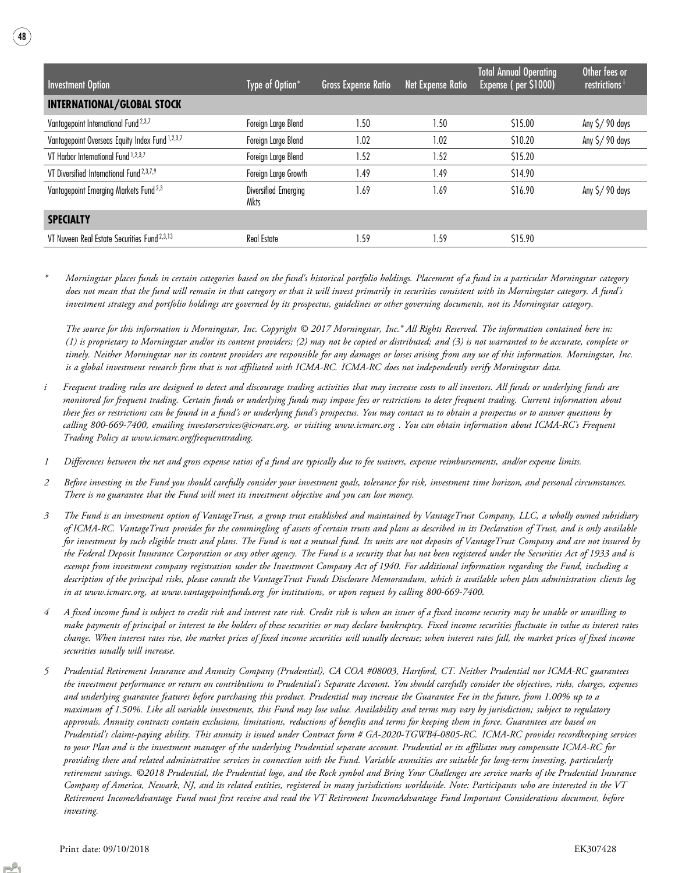| Investment Option                                 | Type of Option*              | <b>Gross Expense Ratio</b> | Net Expense Ratio | <b>Total Annual Operating</b><br>Expense (per \$1000) | Other fees or<br>restrictions <sup>i</sup> |
|---------------------------------------------------|------------------------------|----------------------------|-------------------|-------------------------------------------------------|--------------------------------------------|
| <b>INTERNATIONAL/GLOBAL STOCK</b>                 |                              |                            |                   |                                                       |                                            |
| Vantagepoint International Fund <sup>2,3,7</sup>  | Foreign Large Blend          | 1.50                       | .50               | \$15.00                                               | Any $\frac{5}{90}$ days                    |
| Vantagepoint Overseas Equity Index Fund 1,2,3,7   | Foreign Large Blend          | 1.02                       | 1.02              | \$10.20                                               | Any $\frac{5}{90}$ days                    |
| VT Harbor International Fund 1,2,3,7              | Foreign Large Blend          | 1.52                       | . 52              | \$15.20                                               |                                            |
| VT Diversified International Fund $2,3,7,9$       | Foreign Large Growth         | 1.49                       | .49               | \$14.90                                               |                                            |
| Vantagepoint Emerging Markets Fund <sup>2,3</sup> | Diversified Emerging<br>Mkts | 1.69                       | .69               | \$16.90                                               | Any $\frac{5}{90}$ days                    |
| <b>SPECIALTY</b>                                  |                              |                            |                   |                                                       |                                            |
| VT Nuveen Real Estate Securities Fund 2,3,13      | <b>Real Estate</b>           | 1.59                       | .59               | \$15.90                                               |                                            |

\* Morningstar places funds in certain categories based on the fund's historical portfolio holdings. Placement of a fund in a particular Morningstar category does not mean that the fund will remain in that category or that it will invest primarily in securities consistent with its Morningstar category. A fund's investment strategy and portfolio holdings are governed by its prospectus, guidelines or other governing documents, not its Morningstar category.

The source for this information is Morningstar, Inc. Copyright © 2017 Morningstar, Inc.® All Rights Reserved. The information contained here in: (1) is proprietary to Morningstar and/or its content providers; (2) may not be copied or distributed; and (3) is not warranted to be accurate, complete or timely. Neither Morningstar nor its content providers are responsible for any damages or losses arising from any use of this information. Morningstar, Inc. is a global investment research firm that is not affiliated with ICMA-RC. ICMA-RC does not independently verify Morningstar data.

- Frequent trading rules are designed to detect and discourage trading activities that may increase costs to all investors. All funds or underlying funds are monitored for frequent trading. Certain funds or underlying funds may impose fees or restrictions to deter frequent trading. Current information about these fees or restrictions can be found in a fund's or underlying fund's prospectus. You may contact us to obtain a prospectus or to answer questions by calling 800-669-7400, emailing investorservices@icmarc.org, or visiting www.icmarc.org . You can obtain information about ICMA-RC's Frequent Trading Policy at www.icmarc.org/frequenttrading.
- 1 Differences between the net and gross expense ratios of a fund are typically due to fee waivers, expense reimbursements, and/or expense limits.
- 2 Before investing in the Fund you should carefully consider your investment goals, tolerance for risk, investment time horizon, and personal circumstances. There is no guarantee that the Fund will meet its investment objective and you can lose money.
- 3 The Fund is an investment option of VantageTrust, a group trust established and maintained by VantageTrust Company, LLC, a wholly owned subsidiary of ICMA-RC. VantageTrust provides for the commingling of assets of certain trusts and plans as described in its Declaration of Trust, and is only available for investment by such eligible trusts and plans. The Fund is not a mutual fund. Its units are not deposits of VantageTrust Company and are not insured by the Federal Deposit Insurance Corporation or any other agency. The Fund is a security that has not been registered under the Securities Act of 1933 and is exempt from investment company registration under the Investment Company Act of 1940. For additional information regarding the Fund, including a description of the principal risks, please consult the VantageTrust Funds Disclosure Memorandum, which is available when plan administration clients log in at www.icmarc.org, at www.vantagepointfunds.org for institutions, or upon request by calling 800-669-7400.
- 4 A fixed income fund is subject to credit risk and interest rate risk. Credit risk is when an issuer of a fixed income security may be unable or unwilling to make payments of principal or interest to the holders of these securities or may declare bankruptcy. Fixed income securities fluctuate in value as interest rates change. When interest rates rise, the market prices of fixed income securities will usually decrease; when interest rates fall, the market prices of fixed income securities usually will increase.
- 5 Prudential Retirement Insurance and Annuity Company (Prudential), CA COA #08003, Hartford, CT. Neither Prudential nor ICMA-RC guarantees the investment performance or return on contributions to Prudential's Separate Account. You should carefully consider the objectives, risks, charges, expenses and underlying guarantee features before purchasing this product. Prudential may increase the Guarantee Fee in the future, from 1.00% up to a maximum of 1.50%. Like all variable investments, this Fund may lose value. Availability and terms may vary by jurisdiction; subject to regulatory approvals. Annuity contracts contain exclusions, limitations, reductions of benefits and terms for keeping them in force. Guarantees are based on Prudential's claims-paying ability. This annuity is issued under Contract form # GA-2020-TGWB4-0805-RC. ICMA-RC provides recordkeeping services to your Plan and is the investment manager of the underlying Prudential separate account. Prudential or its affiliates may compensate ICMA-RC for providing these and related administrative services in connection with the Fund. Variable annuities are suitable for long-term investing, particularly retirement savings. ©2018 Prudential, the Prudential logo, and the Rock symbol and Bring Your Challenges are service marks of the Prudential Insurance Company of America, Newark, NJ, and its related entities, registered in many jurisdictions worldwide. Note: Participants who are interested in the VT Retirement IncomeAdvantage Fund must first receive and read the VT Retirement IncomeAdvantage Fund Important Considerations document, before investing.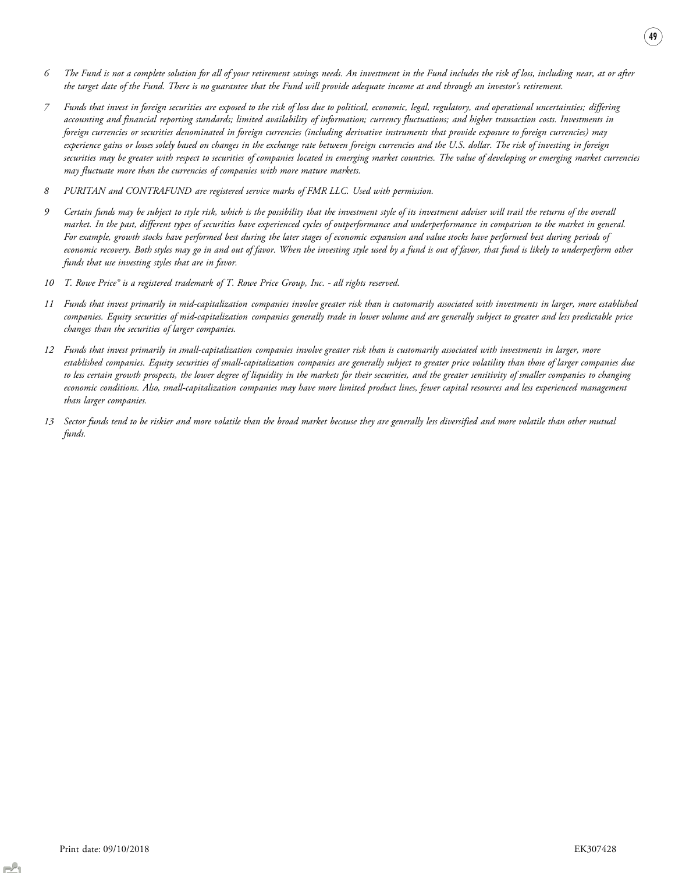- 6 The Fund is not a complete solution for all of your retirement savings needs. An investment in the Fund includes the risk of loss, including near, at or after the target date of the Fund. There is no guarantee that the Fund will provide adequate income at and through an investor's retirement.
- 7 Funds that invest in foreign securities are exposed to the risk of loss due to political, economic, legal, regulatory, and operational uncertainties; differing accounting and financial reporting standards; limited availability of information; currency fluctuations; and higher transaction costs. Investments in foreign currencies or securities denominated in foreign currencies (including derivative instruments that provide exposure to foreign currencies) may experience gains or losses solely based on changes in the exchange rate between foreign currencies and the U.S. dollar. The risk of investing in foreign securities may be greater with respect to securities of companies located in emerging market countries. The value of developing or emerging market currencies may fluctuate more than the currencies of companies with more mature markets.
- 8 PURITAN and CONTRAFUND are registered service marks of FMR LLC. Used with permission.
- 9 Certain funds may be subject to style risk, which is the possibility that the investment style of its investment adviser will trail the returns of the overall market. In the past, different types of securities have experienced cycles of outperformance and underperformance in comparison to the market in general. For example, growth stocks have performed best during the later stages of economic expansion and value stocks have performed best during periods of economic recovery. Both styles may go in and out of favor. When the investing style used by a fund is out of favor, that fund is likely to underperform other funds that use investing styles that are in favor.
- 10 T. Rowe Price® is a registered trademark of T. Rowe Price Group, Inc. all rights reserved.
- 11 Funds that invest primarily in mid-capitalization companies involve greater risk than is customarily associated with investments in larger, more established companies. Equity securities of mid-capitalization companies generally trade in lower volume and are generally subject to greater and less predictable price changes than the securities of larger companies.
- 12 Funds that invest primarily in small-capitalization companies involve greater risk than is customarily associated with investments in larger, more established companies. Equity securities of small-capitalization companies are generally subject to greater price volatility than those of larger companies due to less certain growth prospects, the lower degree of liquidity in the markets for their securities, and the greater sensitivity of smaller companies to changing economic conditions. Also, small-capitalization companies may have more limited product lines, fewer capital resources and less experienced management than larger companies.
- 13 Sector funds tend to be riskier and more volatile than the broad market because they are generally less diversified and more volatile than other mutual funds.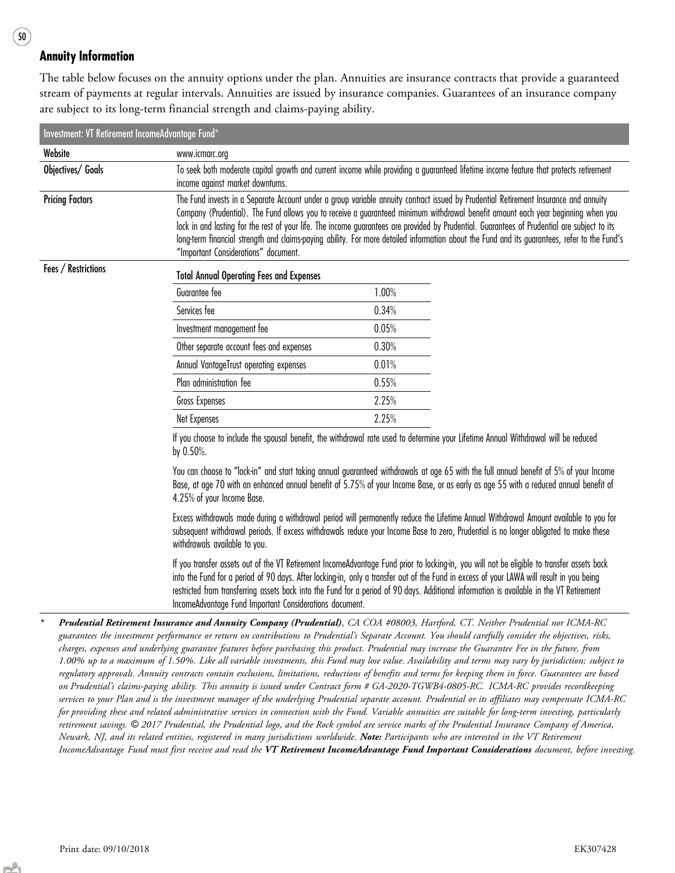### Annuity Information

The table below focuses on the annuity options under the plan. Annuities are insurance contracts that provide a guaranteed stream of payments at regular intervals. Annuities are issued by insurance companies. Guarantees of an insurance company are subject to its long-term financial strength and claims-paying ability.

| Investment: VT Retirement IncomeAdvantage Fund* |                                                                                                                                                                                                                                                                                                                                                                                                                                                                                                                                                                                                                  |       |  |
|-------------------------------------------------|------------------------------------------------------------------------------------------------------------------------------------------------------------------------------------------------------------------------------------------------------------------------------------------------------------------------------------------------------------------------------------------------------------------------------------------------------------------------------------------------------------------------------------------------------------------------------------------------------------------|-------|--|
| Website                                         | www.icmarc.org                                                                                                                                                                                                                                                                                                                                                                                                                                                                                                                                                                                                   |       |  |
| Objectives/ Goals                               | To seek both moderate capital growth and current income while providing a guaranteed lifetime income feature that protects retirement<br>income against market downturns.                                                                                                                                                                                                                                                                                                                                                                                                                                        |       |  |
| <b>Pricing Factors</b>                          | The Fund invests in a Separate Account under a group variable annuity contract issued by Prudential Retirement Insurance and annuity<br>Company (Prudential). The Fund allows you to receive a guaranteed minimum withdrawal benefit amount each year beginning when you<br>lock in and lasting for the rest of your life. The income guarantees are provided by Prudential. Guarantees of Prudential are subject to its<br>long-term financial strength and claims-paying ability. For more detailed information about the Fund and its guarantees, refer to the Fund's<br>"Important Considerations" document. |       |  |
| Fees / Restrictions                             | Total Annual Operating Fees and Expenses                                                                                                                                                                                                                                                                                                                                                                                                                                                                                                                                                                         |       |  |
|                                                 | Guarantee fee                                                                                                                                                                                                                                                                                                                                                                                                                                                                                                                                                                                                    | 1.00% |  |
|                                                 | Services fee                                                                                                                                                                                                                                                                                                                                                                                                                                                                                                                                                                                                     | 0.34% |  |
|                                                 | Investment management fee                                                                                                                                                                                                                                                                                                                                                                                                                                                                                                                                                                                        | 0.05% |  |
|                                                 | Other separate account fees and expenses                                                                                                                                                                                                                                                                                                                                                                                                                                                                                                                                                                         | 0.30% |  |
|                                                 | Annual VantageTrust operating expenses                                                                                                                                                                                                                                                                                                                                                                                                                                                                                                                                                                           | 0.01% |  |
|                                                 | Plan administration fee                                                                                                                                                                                                                                                                                                                                                                                                                                                                                                                                                                                          | 0.55% |  |
|                                                 | Gross Expenses                                                                                                                                                                                                                                                                                                                                                                                                                                                                                                                                                                                                   | 2.25% |  |
|                                                 | Net Expenses                                                                                                                                                                                                                                                                                                                                                                                                                                                                                                                                                                                                     | 2.25% |  |
|                                                 | If you choose to include the spousal benefit, the withdrawal rate used to determine your Lifetime Annual Withdrawal will be reduced<br>by $0.50\%$ .                                                                                                                                                                                                                                                                                                                                                                                                                                                             |       |  |

You can choose to "lock-in" and start taking annual guaranteed withdrawals at age 65 with the full annual benefit of 5% of your Income Base, at age 70 with an enhanced annual benefit of 5.75% of your Income Base, or as early as age 55 with a reduced annual benefit of 4.25% of your Income Base.

Excess withdrawals made during a withdrawal period will permanently reduce the Lifetime Annual Withdrawal Amount available to you for subsequent withdrawal periods. If excess withdrawals reduce your Income Base to zero, Prudential is no longer obligated to make these withdrawals available to you.

If you transfer assets out of the VT Retirement IncomeAdvantage Fund prior to locking-in, you will not be eligible to transfer assets back into the Fund for a period of 90 days. After locking-in, only a transfer out of the Fund in excess of your LAWA will result in you being restricted from transferring assets back into the Fund for a period of 90 days. Additional information is available in the VT Retirement IncomeAdvantage Fund Important Considerations document.

\* Prudential Retirement Insurance and Annuity Company (Prudential)*, CA COA #08003, Hartford, CT. Neither Prudential nor ICMA-RC guarantees the investment performance or return on contributions to Prudential*'*s Separate Account. You should carefully consider the objectives, risks, charges, expenses and underlying guarantee features before purchasing this product. Prudential may increase the Guarantee Fee in the future, from 1.00% up to a maximum of 1.50%. Like all variable investments, this Fund may lose value. Availability and terms may vary by jurisdiction; subject to regulatory approvals. Annuity contracts contain exclusions, limitations, reductions of benefits and terms for keeping them in force. Guarantees are based on Prudential*'*s claims-paying ability. This annuity is issued under Contract form # GA-2020-TGWB4-0805-RC. ICMA-RC provides recordkeeping services to your Plan and is the investment manager of the underlying Prudential separate account. Prudential or its affiliates may compensate ICMA-RC for providing these and related administrative services in connection with the Fund. Variable annuities are suitable for long-term investing, particularly retirement savings.* © *2017 Prudential, the Prudential logo, and the Rock symbol are service marks of the Prudential Insurance Company of America, Newark, NJ, and its related entities, registered in many jurisdictions worldwide.* Note: *Participants who are interested in the VT Retirement IncomeAdvantage Fund must first receive and read the* VT Retirement IncomeAdvantage Fund Important Considerations *document, before investing.*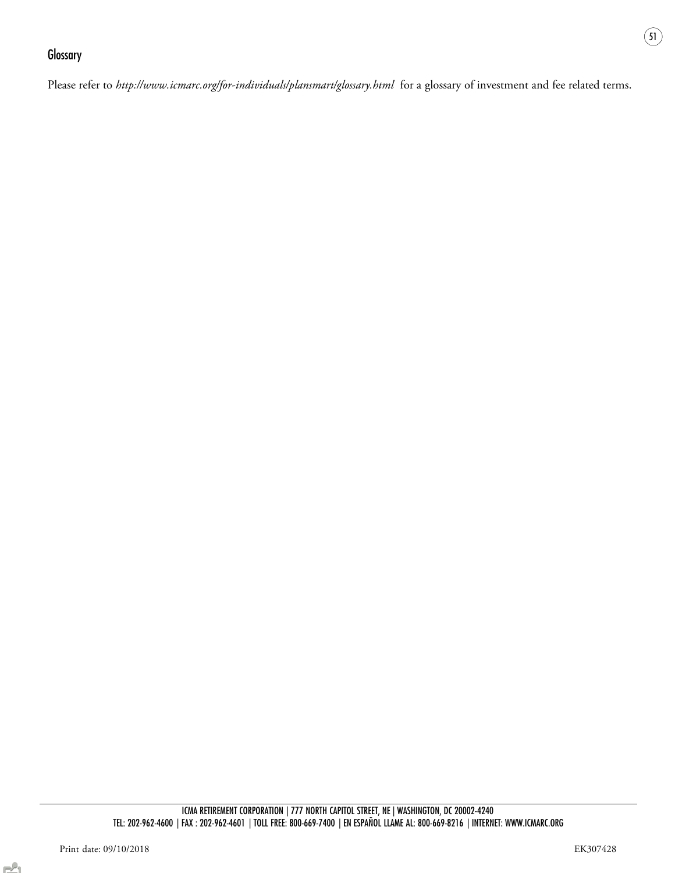### **Glossary**

Please refer to http://www.icmarc.org/for-individuals/plansmart/glossary.html for a glossary of investment and fee related terms.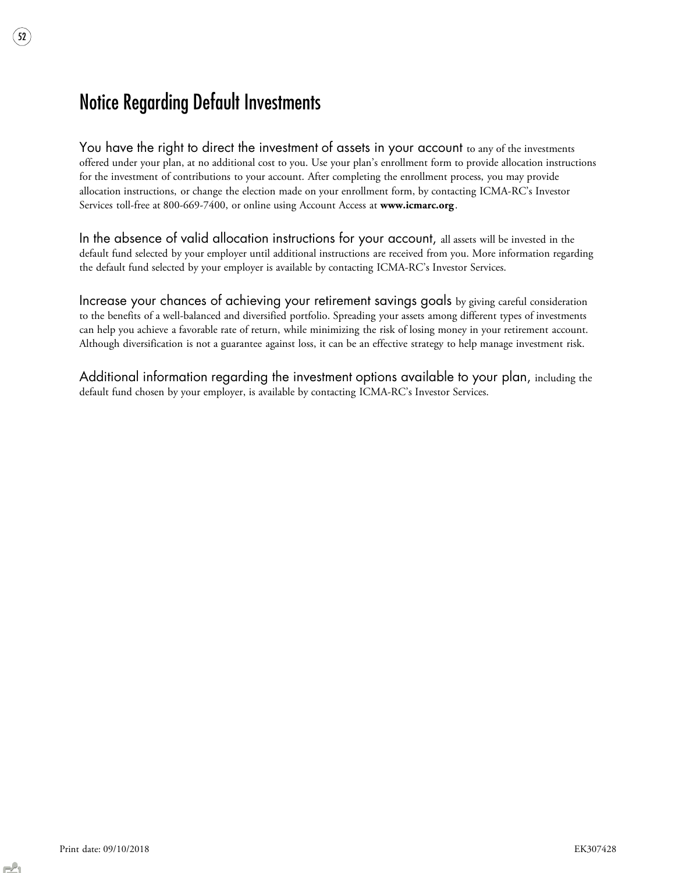## Notice Regarding Default Investments

52

You have the right to direct the investment of assets in your account to any of the investments offered under your plan, at no additional cost to you. Use your plan's enrollment form to provide allocation instructions for the investment of contributions to your account. After completing the enrollment process, you may provide allocation instructions, or change the election made on your enrollment form, by contacting ICMA-RC's Investor Services toll-free at 800-669-7400, or online using Account Access at www.icmarc.org.

In the absence of valid allocation instructions for your account, all assets will be invested in the default fund selected by your employer until additional instructions are received from you. More information regarding the default fund selected by your employer is available by contacting ICMA-RC's Investor Services.

Increase your chances of achieving your retirement savings goals by giving careful consideration to the benefits of a well-balanced and diversified portfolio. Spreading your assets among different types of investments can help you achieve a favorable rate of return, while minimizing the risk of losing money in your retirement account. Although diversification is not a guarantee against loss, it can be an effective strategy to help manage investment risk.

Additional information regarding the investment options available to your plan, including the default fund chosen by your employer, is available by contacting ICMA-RC's Investor Services.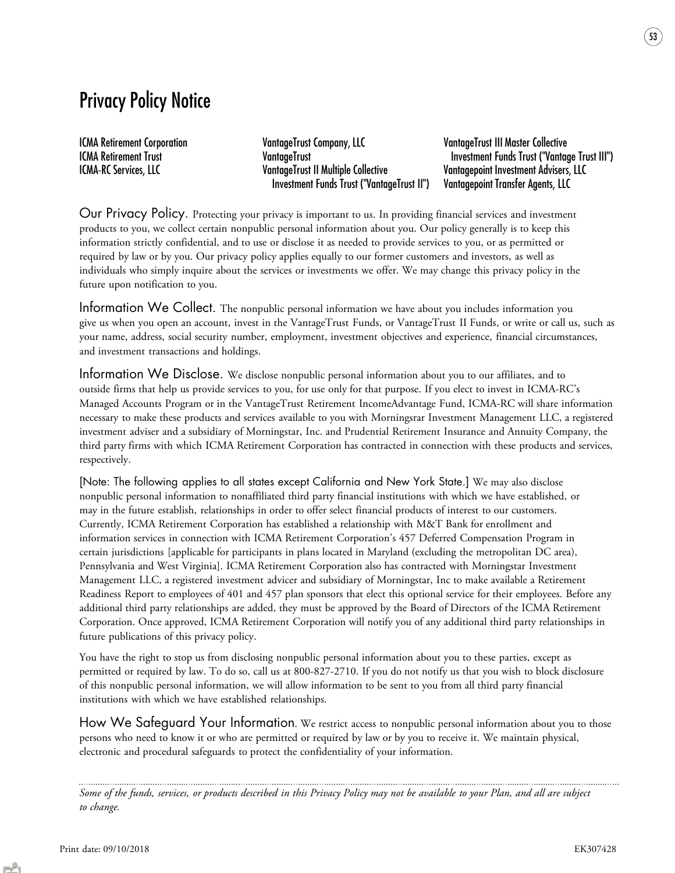## Privacy Policy Notice

ICMA Retirement Corporation VantageTrust Company, LLC VantageTrust III Master Collective ICMA-RC Services, LLC VantageTrust II Multiple Collective Vantagepoint Investment Advisers, LLC Investment Funds Trust ("VantageTrust II") Vantagepoint Transfer Agents, LLC

ICMA Retirement Trust VantageTrust Investment Funds Trust ("Vantage Trust III")

Our Privacy Policy. Protecting your privacy is important to us. In providing financial services and investment products to you, we collect certain nonpublic personal information about you. Our policy generally is to keep this information strictly confidential, and to use or disclose it as needed to provide services to you, or as permitted or required by law or by you. Our privacy policy applies equally to our former customers and investors, as well as individuals who simply inquire about the services or investments we offer. We may change this privacy policy in the future upon notification to you.

Information We Collect. The nonpublic personal information we have about you includes information you give us when you open an account, invest in the VantageTrust Funds, or VantageTrust II Funds, or write or call us, such as your name, address, social security number, employment, investment objectives and experience, financial circumstances, and investment transactions and holdings.

Information We Disclose. We disclose nonpublic personal information about you to our affiliates, and to outside firms that help us provide services to you, for use only for that purpose. If you elect to invest in ICMA-RC's Managed Accounts Program or in the VantageTrust Retirement IncomeAdvantage Fund, ICMA-RC will share information necessary to make these products and services available to you with Morningsrar Investment Management LLC, a registered investment adviser and a subsidiary of Morningstar, Inc. and Prudential Retirement Insurance and Annuity Company, the third party firms with which ICMA Retirement Corporation has contracted in connection with these products and services, respectively.

[Note: The following applies to all states except California and New York State.] We may also disclose nonpublic personal information to nonaffiliated third party financial institutions with which we have established, or may in the future establish, relationships in order to offer select financial products of interest to our customers. Currently, ICMA Retirement Corporation has established a relationship with M&T Bank for enrollment and information services in connection with ICMA Retirement Corporation's 457 Deferred Compensation Program in certain jurisdictions [applicable for participants in plans located in Maryland (excluding the metropolitan DC area), Pennsylvania and West Virginia]. ICMA Retirement Corporation also has contracted with Morningstar Investment Management LLC, a registered investment advicer and subsidiary of Morningstar, Inc to make available a Retirement Readiness Report to employees of 401 and 457 plan sponsors that elect this optional service for their employees. Before any additional third party relationships are added, they must be approved by the Board of Directors of the ICMA Retirement Corporation. Once approved, ICMA Retirement Corporation will notify you of any additional third party relationships in future publications of this privacy policy.

You have the right to stop us from disclosing nonpublic personal information about you to these parties, except as permitted or required by law. To do so, call us at 800-827-2710. If you do not notify us that you wish to block disclosure of this nonpublic personal information, we will allow information to be sent to you from all third party financial institutions with which we have established relationships.

How We Safeguard Your Information. We restrict access to nonpublic personal information about you to those persons who need to know it or who are permitted or required by law or by you to receive it. We maintain physical, electronic and procedural safeguards to protect the confidentiality of your information.

*Some of the funds, services, or products described in this Privacy Policy may not be available to your Plan, and all are subject to change.*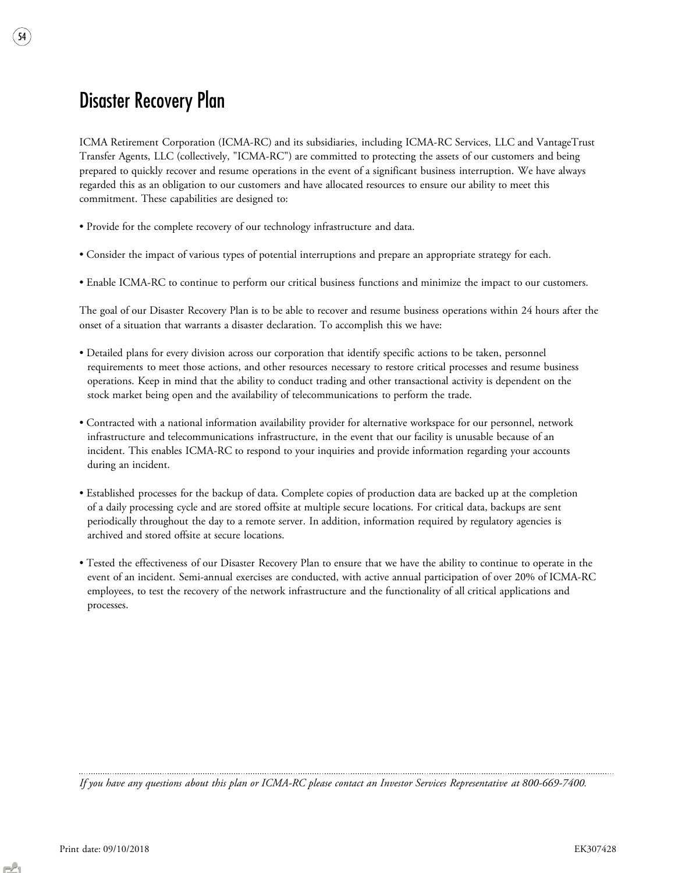## Disaster Recovery Plan

54

ICMA Retirement Corporation (ICMA-RC) and its subsidiaries, including ICMA-RC Services, LLC and VantageTrust Transfer Agents, LLC (collectively, "ICMA-RC") are committed to protecting the assets of our customers and being prepared to quickly recover and resume operations in the event of a significant business interruption. We have always regarded this as an obligation to our customers and have allocated resources to ensure our ability to meet this commitment. These capabilities are designed to:

- Provide for the complete recovery of our technology infrastructure and data.
- Consider the impact of various types of potential interruptions and prepare an appropriate strategy for each.
- Enable ICMA-RC to continue to perform our critical business functions and minimize the impact to our customers.

The goal of our Disaster Recovery Plan is to be able to recover and resume business operations within 24 hours after the onset of a situation that warrants a disaster declaration. To accomplish this we have:

- Detailed plans for every division across our corporation that identify specific actions to be taken, personnel requirements to meet those actions, and other resources necessary to restore critical processes and resume business operations. Keep in mind that the ability to conduct trading and other transactional activity is dependent on the stock market being open and the availability of telecommunications to perform the trade.
- Contracted with a national information availability provider for alternative workspace for our personnel, network infrastructure and telecommunications infrastructure, in the event that our facility is unusable because of an incident. This enables ICMA-RC to respond to your inquiries and provide information regarding your accounts during an incident.
- Established processes for the backup of data. Complete copies of production data are backed up at the completion of a daily processing cycle and are stored offsite at multiple secure locations. For critical data, backups are sent periodically throughout the day to a remote server. In addition, information required by regulatory agencies is archived and stored offsite at secure locations.
- Tested the effectiveness of our Disaster Recovery Plan to ensure that we have the ability to continue to operate in the event of an incident. Semi-annual exercises are conducted, with active annual participation of over 20% of ICMA-RC employees, to test the recovery of the network infrastructure and the functionality of all critical applications and processes.

*If you have any questions about this plan or ICMA-RC please contact an Investor Services Representative at 800-669-7400.*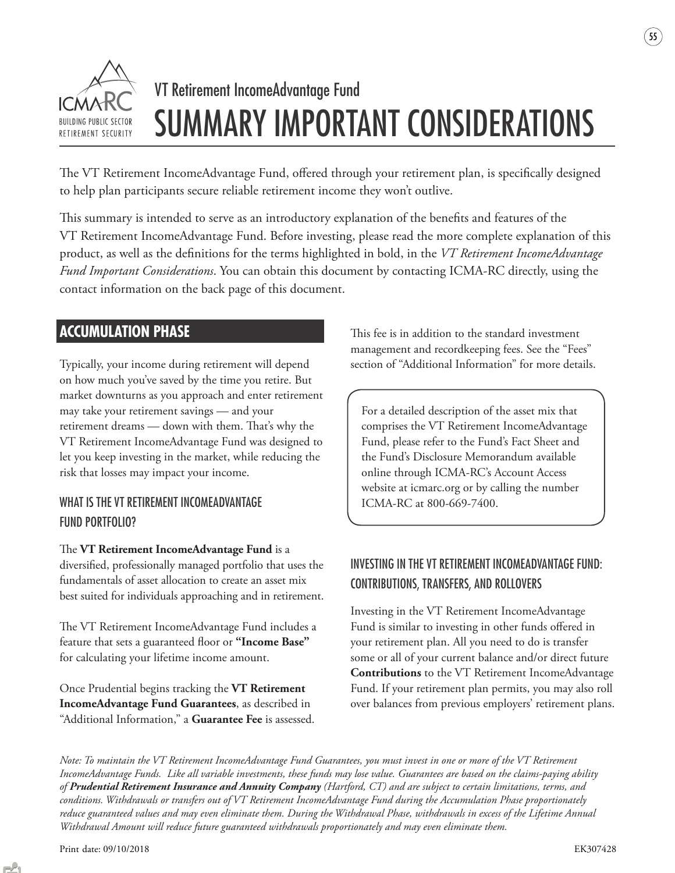

# VT Retirement IncomeAdvantage Fund SUMMARY IMPORTANT CONSIDERATIONS

The VT Retirement IncomeAdvantage Fund, offered through your retirement plan, is specifically designed to help plan participants secure reliable retirement income they won't outlive.

This summary is intended to serve as an introductory explanation of the benefits and features of the VT Retirement IncomeAdvantage Fund. Before investing, please read the more complete explanation of this product, as well as the definitions for the terms highlighted in bold, in the *VT Retirement IncomeAdvantage Fund Important Considerations*. You can obtain this document by contacting ICMA-RC directly, using the contact information on the back page of this document.

## **ACCUMULATION PHASE**

Typically, your income during retirement will depend on how much you've saved by the time you retire. But market downturns as you approach and enter retirement may take your retirement savings — and your retirement dreams — down with them. That's why the VT Retirement IncomeAdvantage Fund was designed to let you keep investing in the market, while reducing the risk that losses may impact your income.

### WHAT IS THE VT RETIREMENT INCOMEADVANTAGE FUND PORTFOLIO?

The **VT Retirement IncomeAdvantage Fund** is a diversified, professionally managed portfolio that uses the fundamentals of asset allocation to create an asset mix best suited for individuals approaching and in retirement.

The VT Retirement IncomeAdvantage Fund includes a feature that sets a guaranteed floor or "Income Base" for calculating your lifetime income amount.

Once Prudential begins tracking the **VT Retirement IncomeAdvantage Fund Guarantees**, as described in "Additional Information," a **Guarantee Fee** is assessed. This fee is in addition to the standard investment management and recordkeeping fees. See the "Fees" section of "Additional Information" for more details.

For a detailed description of the asset mix that comprises the VT Retirement IncomeAdvantage Fund, please refer to the Fund's Fact Sheet and the Fund's Disclosure Memorandum available online through ICMA-RC's Account Access website at icmarc.org or by calling the number ICMA-RC at 800-669-7400.

### INVESTING IN THE VT RETIREMENT INCOMEADVANTAGE FUND: CONTRIBUTIONS, TRANSFERS, AND ROLLOVERS

Investing in the VT Retirement IncomeAdvantage Fund is similar to investing in other funds offered in your retirement plan. All you need to do is transfer some or all of your current balance and/or direct future **Contributions** to the VT Retirement IncomeAdvantage Fund. If your retirement plan permits, you may also roll over balances from previous employers' retirement plans.

*Note: To maintain the VT Retirement IncomeAdvantage Fund Guarantees, you must invest in one or more of the VT Retirement IncomeAdvantage Funds. Like all variable investments, these funds may lose value. Guarantees are based on the claims-paying ability of Prudential Retirement Insurance and Annuity Company (Hartford, CT) and are subject to certain limitations, terms, and conditions. Withdrawals or transfers out of VT Retirement IncomeAdvantage Fund during the Accumulation Phase proportionately reduce guaranteed values and may even eliminate them. During the Withdrawal Phase, withdrawals in excess of the Lifetime Annual Withdrawal Amount will reduce future guaranteed withdrawals proportionately and may even eliminate them.*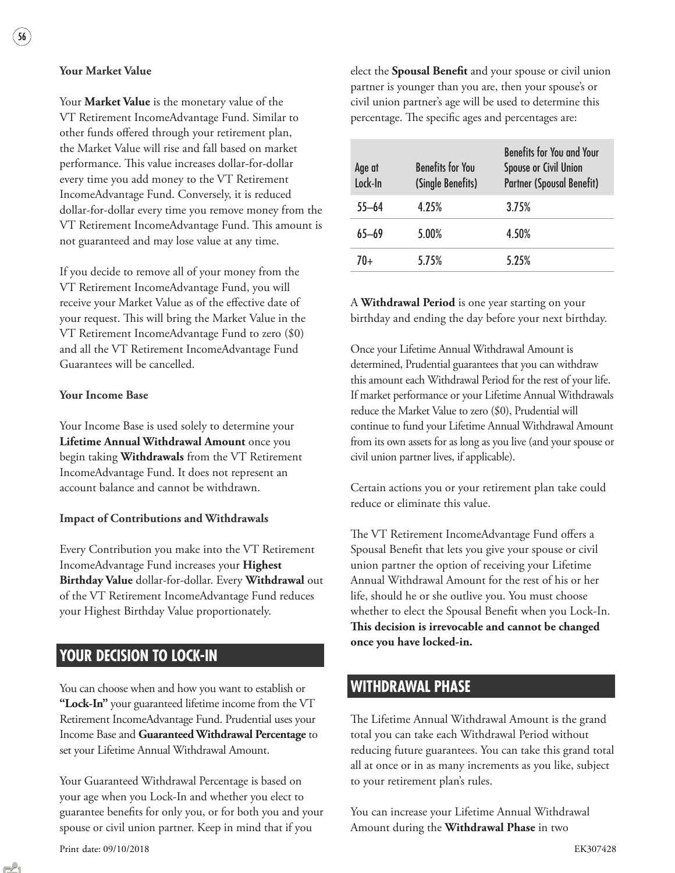### **Your Market Value**

Your **Market Value** is the monetary value of the VT Retirement IncomeAdvantage Fund. Similar to other funds offered through your retirement plan, the Market Value will rise and fall based on market performance. This value increases dollar-for-dollar every time you add money to the VT Retirement IncomeAdvantage Fund. Conversely, it is reduced dollar-for-dollar every time you remove money from the VT Retirement IncomeAdvantage Fund. This amount is not guaranteed and may lose value at any time.

If you decide to remove all of your money from the VT Retirement IncomeAdvantage Fund, you will receive your Market Value as of the effective date of your request. This will bring the Market Value in the VT Retirement IncomeAdvantage Fund to zero (\$0) and all the VT Retirement IncomeAdvantage Fund Guarantees will be cancelled.

#### **Your Income Base**

Your Income Base is used solely to determine your **Lifetime Annual Withdrawal Amount** once you begin taking **Withdrawals** from the VT Retirement IncomeAdvantage Fund. It does not represent an account balance and cannot be withdrawn.

#### **Impact of Contributions and Withdrawals**

Every Contribution you make into the VT Retirement IncomeAdvantage Fund increases your **Highest Birthday Value** dollar-for-dollar. Every **Withdrawal** out of the VT Retirement IncomeAdvantage Fund reduces your Highest Birthday Value proportionately.

### **YOUR DECISION TO LOCK-IN**

You can choose when and how you want to establish or **"Lock-In"** your guaranteed lifetime income from the VT Retirement IncomeAdvantage Fund. Prudential uses your Income Base and **Guaranteed Withdrawal Percentage** to set your Lifetime Annual Withdrawal Amount.

Your Guaranteed Withdrawal Percentage is based on your age when you Lock-In and whether you elect to guarantee benefits for only you, or for both you and your spouse or civil union partner. Keep in mind that if you

Print date: 09/10/2018 EK307428

elect the **Spousal Benefit** and your spouse or civil union partner is younger than you are, then your spouse's or civil union partner's age will be used to determine this percentage. The specific ages and percentages are:

| Age at<br>Lock-In | <b>Benefits for You</b><br>(Single Benefits) | <b>Benefits for You and Your</b><br>Spouse or Civil Union<br><b>Partner (Spousal Benefit)</b> |
|-------------------|----------------------------------------------|-----------------------------------------------------------------------------------------------|
| $55 - 64$         | 4.25%                                        | 3.75%                                                                                         |
| 65—69             | 5.00%                                        | 4.50%                                                                                         |
| 70+               | 5.75%                                        | 5.25%                                                                                         |

A **Withdrawal Period** is one year starting on your birthday and ending the day before your next birthday.

Once your Lifetime Annual Withdrawal Amount is determined, Prudential guarantees that you can withdraw this amount each Withdrawal Period for the rest of your life. If market performance or your Lifetime Annual Withdrawals reduce the Market Value to zero (\$0), Prudential will continue to fund your Lifetime Annual Withdrawal Amount from its own assets for as long as you live (and your spouse or civil union partner lives, if applicable).

Certain actions you or your retirement plan take could reduce or eliminate this value.

The VT Retirement IncomeAdvantage Fund offers a Spousal Benefit that lets you give your spouse or civil union partner the option of receiving your Lifetime Annual Withdrawal Amount for the rest of his or her life, should he or she outlive you. You must choose whether to elect the Spousal Benefit when you Lock-In. **This decision is irrevocable and cannot be changed once you have locked-in.**

### **WITHDRAWAL PHASE**

The Lifetime Annual Withdrawal Amount is the grand total you can take each Withdrawal Period without reducing future guarantees. You can take this grand total all at once or in as many increments as you like, subject to your retirement plan's rules.

You can increase your Lifetime Annual Withdrawal Amount during the **Withdrawal Phase** in two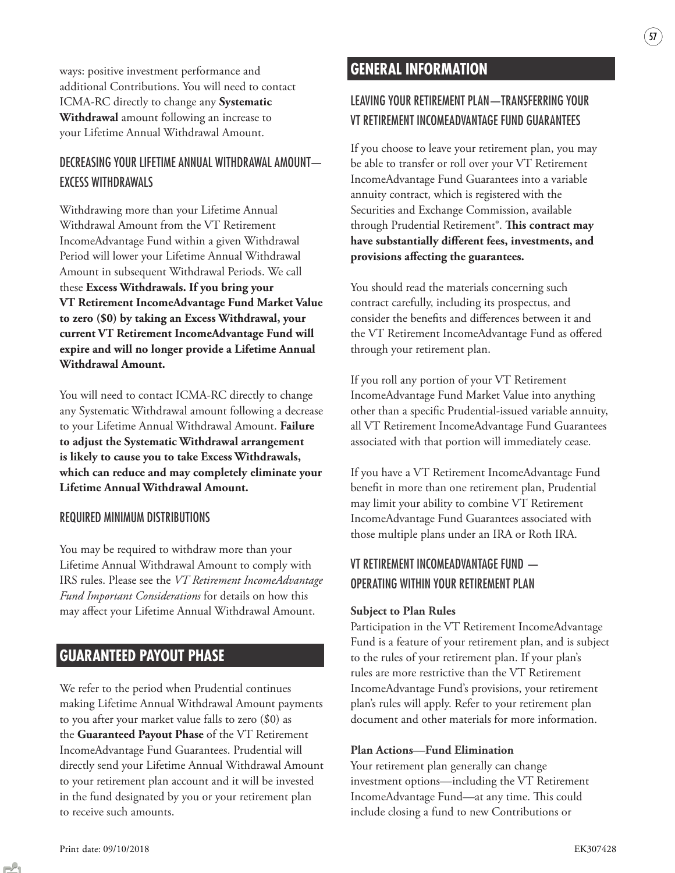ways: positive investment performance and additional Contributions. You will need to contact ICMA-RC directly to change any **Systematic Withdrawal** amount following an increase to your Lifetime Annual Withdrawal Amount.

### DECREASING YOUR LIFETIME ANNUAL WITHDRAWAL AMOUNT— EXCESS WITHDRAWALS

Withdrawing more than your Lifetime Annual Withdrawal Amount from the VT Retirement IncomeAdvantage Fund within a given Withdrawal Period will lower your Lifetime Annual Withdrawal Amount in subsequent Withdrawal Periods. We call these **Excess Withdrawals. If you bring your VT Retirement IncomeAdvantage Fund Market Value to zero (\$0) by taking an Excess Withdrawal, your current VT Retirement IncomeAdvantage Fund will expire and will no longer provide a Lifetime Annual Withdrawal Amount.**

You will need to contact ICMA-RC directly to change any Systematic Withdrawal amount following a decrease to your Lifetime Annual Withdrawal Amount. **Failure to adjust the Systematic Withdrawal arrangement is likely to cause you to take Excess Withdrawals, which can reduce and may completely eliminate your Lifetime Annual Withdrawal Amount.**

### REQUIRED MINIMUM DISTRIBUTIONS

You may be required to withdraw more than your Lifetime Annual Withdrawal Amount to comply with IRS rules. Please see the *VT Retirement IncomeAdvantage Fund Important Considerations* for details on how this may affect your Lifetime Annual Withdrawal Amount.

### **GUARANTEED PAYOUT PHASE**

We refer to the period when Prudential continues making Lifetime Annual Withdrawal Amount payments to you after your market value falls to zero (\$0) as the **Guaranteed Payout Phase** of the VT Retirement IncomeAdvantage Fund Guarantees. Prudential will directly send your Lifetime Annual Withdrawal Amount to your retirement plan account and it will be invested in the fund designated by you or your retirement plan to receive such amounts.

### **GENERAL INFORMATION**

### LEAVING YOUR RETIREMENT PLAN—TRANSFERRING YOUR VT RETIREMENT INCOMEADVANTAGE FUND GUARANTEES

57

If you choose to leave your retirement plan, you may be able to transfer or roll over your VT Retirement IncomeAdvantage Fund Guarantees into a variable annuity contract, which is registered with the Securities and Exchange Commission, available through Prudential Retirement®. **This contract may**  have substantially different fees, investments, and provisions affecting the guarantees.

You should read the materials concerning such contract carefully, including its prospectus, and consider the benefits and differences between it and the VT Retirement IncomeAdvantage Fund as offered through your retirement plan.

If you roll any portion of your VT Retirement IncomeAdvantage Fund Market Value into anything other than a specific Prudential-issued variable annuity, all VT Retirement IncomeAdvantage Fund Guarantees associated with that portion will immediately cease.

If you have a VT Retirement IncomeAdvantage Fund benefit in more than one retirement plan, Prudential may limit your ability to combine VT Retirement IncomeAdvantage Fund Guarantees associated with those multiple plans under an IRA or Roth IRA.

### VT RETIREMENT INCOMEADVANTAGE FUND — OPERATING WITHIN YOUR RETIREMENT PLAN

#### **Subject to Plan Rules**

Participation in the VT Retirement IncomeAdvantage Fund is a feature of your retirement plan, and is subject to the rules of your retirement plan. If your plan's rules are more restrictive than the VT Retirement IncomeAdvantage Fund's provisions, your retirement plan's rules will apply. Refer to your retirement plan document and other materials for more information.

#### **Plan Actions—Fund Elimination**

Your retirement plan generally can change investment options—including the VT Retirement IncomeAdvantage Fund—at any time. This could include closing a fund to new Contributions or